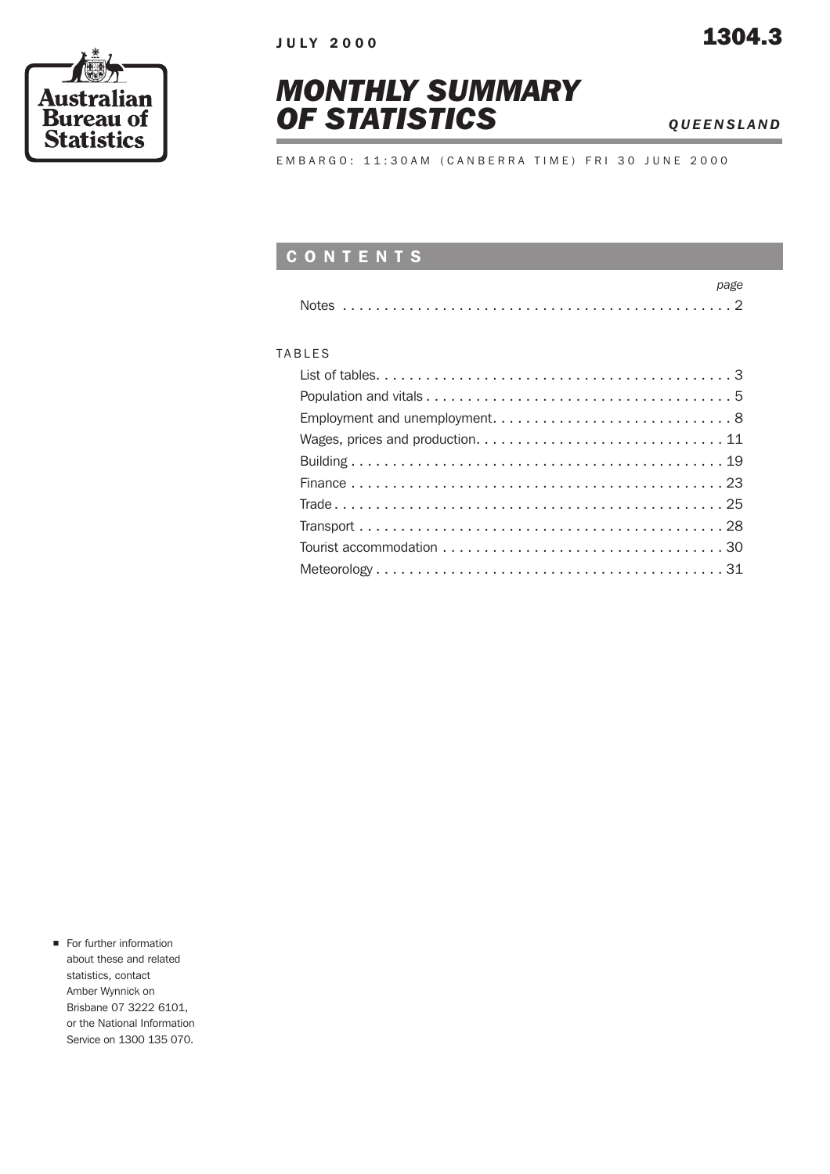





EMBARGO: 11:30AM (CANBERRA TIME) FRI 30 JUNE 2000

### CONTENTS

#### TABLES

**n** For further information about these and related statistics, contact Amber Wynnick on Brisbane 07 3222 6101, or the National Information Service on 1300 135 070.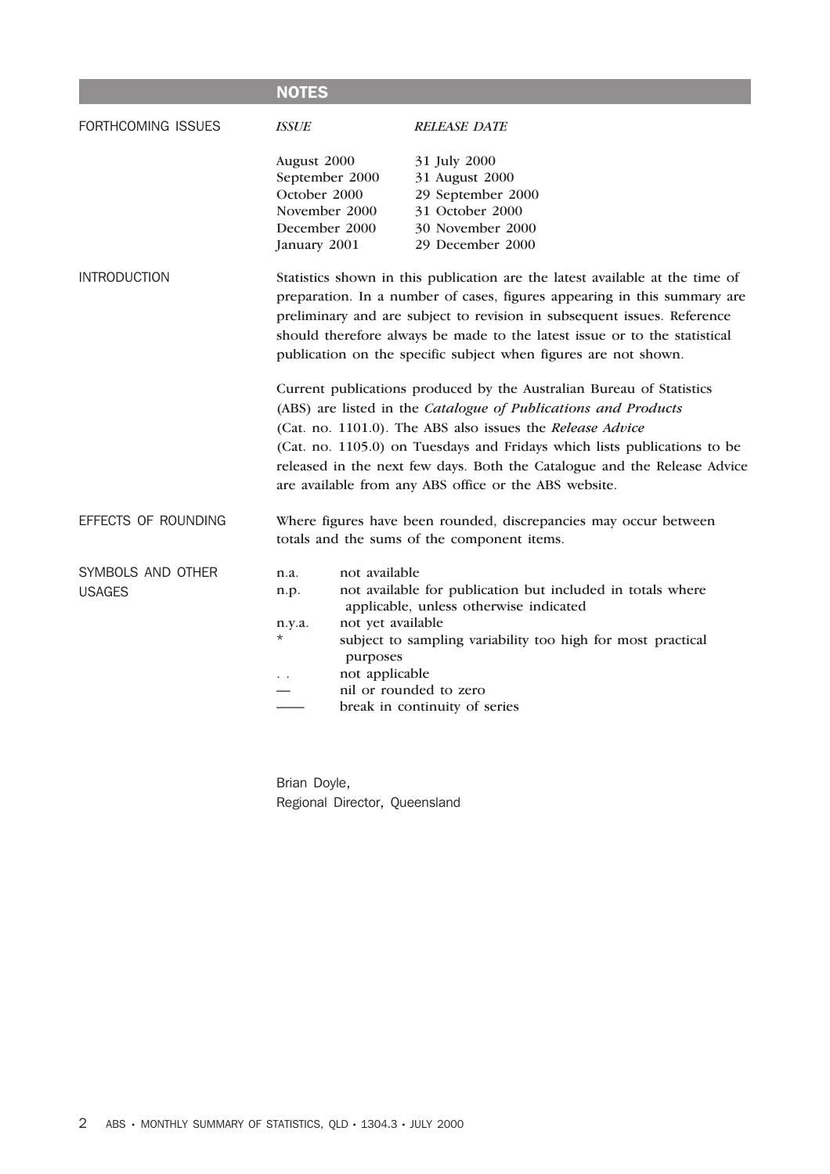|                                    | <b>NOTES</b>                                                                                                                                                                                                                                                                                                                                                                                                         |                                                                                                                                                                                                                                                                                                    |  |  |  |  |  |
|------------------------------------|----------------------------------------------------------------------------------------------------------------------------------------------------------------------------------------------------------------------------------------------------------------------------------------------------------------------------------------------------------------------------------------------------------------------|----------------------------------------------------------------------------------------------------------------------------------------------------------------------------------------------------------------------------------------------------------------------------------------------------|--|--|--|--|--|
| FORTHCOMING ISSUES                 | <b>ISSUE</b>                                                                                                                                                                                                                                                                                                                                                                                                         | <b>RELEASE DATE</b>                                                                                                                                                                                                                                                                                |  |  |  |  |  |
|                                    | August 2000<br>October 2000<br>January 2001                                                                                                                                                                                                                                                                                                                                                                          | 31 July 2000<br>31 August 2000<br>September 2000<br>29 September 2000<br>November 2000<br>31 October 2000<br>30 November 2000<br>December 2000<br>29 December 2000                                                                                                                                 |  |  |  |  |  |
| <b>INTRODUCTION</b>                | Statistics shown in this publication are the latest available at the time of<br>preparation. In a number of cases, figures appearing in this summary are<br>preliminary and are subject to revision in subsequent issues. Reference<br>should therefore always be made to the latest issue or to the statistical<br>publication on the specific subject when figures are not shown.                                  |                                                                                                                                                                                                                                                                                                    |  |  |  |  |  |
|                                    | Current publications produced by the Australian Bureau of Statistics<br>(ABS) are listed in the Catalogue of Publications and Products<br>(Cat. no. 1101.0). The ABS also issues the Release Advice<br>(Cat. no. 1105.0) on Tuesdays and Fridays which lists publications to be<br>released in the next few days. Both the Catalogue and the Release Advice<br>are available from any ABS office or the ABS website. |                                                                                                                                                                                                                                                                                                    |  |  |  |  |  |
| EFFECTS OF ROUNDING                |                                                                                                                                                                                                                                                                                                                                                                                                                      | Where figures have been rounded, discrepancies may occur between<br>totals and the sums of the component items.                                                                                                                                                                                    |  |  |  |  |  |
| SYMBOLS AND OTHER<br><b>USAGES</b> | n.a.<br>n.p.<br>n.y.a.<br>$^\star$                                                                                                                                                                                                                                                                                                                                                                                   | not available<br>not available for publication but included in totals where<br>applicable, unless otherwise indicated<br>not yet available<br>subject to sampling variability too high for most practical<br>purposes<br>not applicable<br>nil or rounded to zero<br>break in continuity of series |  |  |  |  |  |

Brian Doyle, Regional Director, Queensland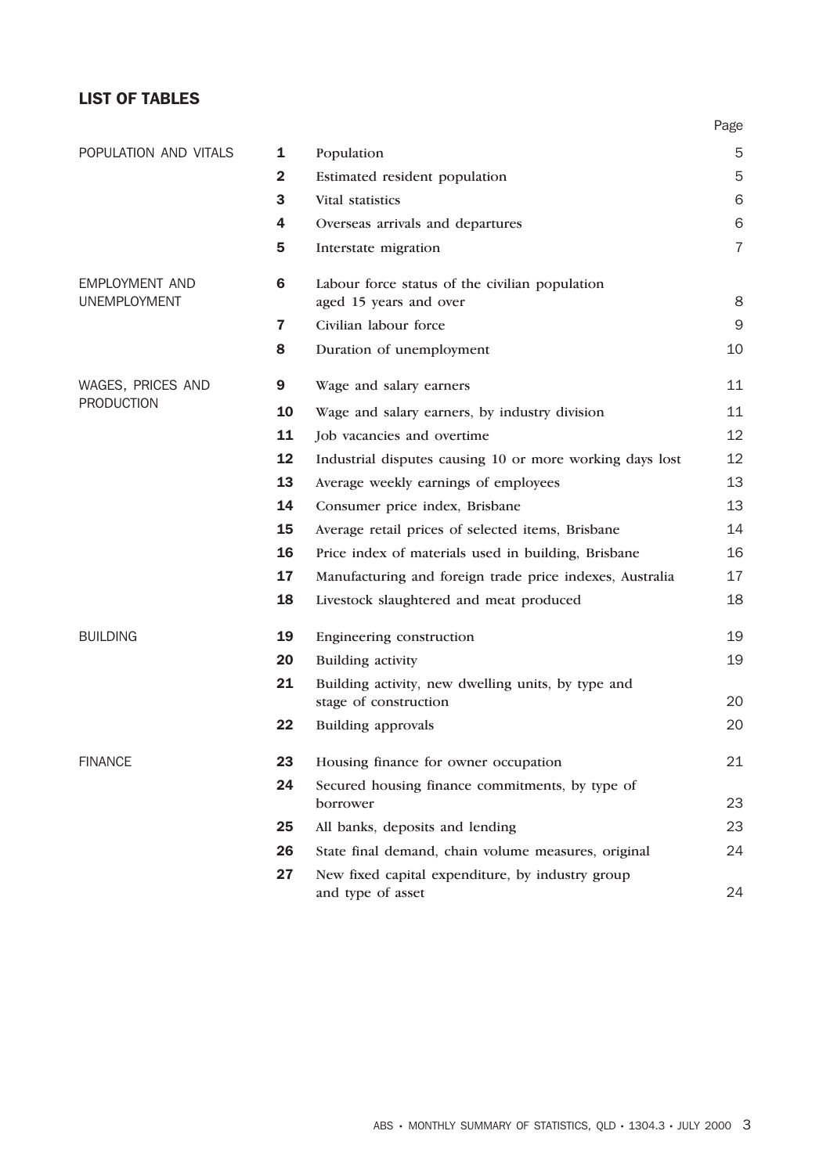#### LIST OF TABLES

|                       |              |                                                                             | Page           |
|-----------------------|--------------|-----------------------------------------------------------------------------|----------------|
| POPULATION AND VITALS | 1            | Population                                                                  | 5              |
|                       | $\mathbf{2}$ | Estimated resident population                                               | 5              |
|                       | 3            | Vital statistics                                                            | 6              |
|                       | 4            | Overseas arrivals and departures                                            | 6              |
|                       | 5            | Interstate migration                                                        | $\overline{7}$ |
| <b>EMPLOYMENT AND</b> | 6            | Labour force status of the civilian population                              |                |
| <b>UNEMPLOYMENT</b>   |              | aged 15 years and over                                                      | 8              |
|                       | 7            | Civilian labour force                                                       | $\mathsf 9$    |
|                       | 8            | Duration of unemployment                                                    | 10             |
| WAGES, PRICES AND     | 9            | Wage and salary earners                                                     | 11             |
| <b>PRODUCTION</b>     | 10           | Wage and salary earners, by industry division                               | 11             |
|                       | 11           | Job vacancies and overtime                                                  | 12             |
|                       | 12           | Industrial disputes causing 10 or more working days lost                    | 12             |
|                       | 13           | Average weekly earnings of employees                                        | 13             |
|                       | 14           | Consumer price index, Brisbane                                              | 13             |
|                       | 15           | Average retail prices of selected items, Brisbane                           | 14             |
|                       | 16           | Price index of materials used in building, Brisbane                         | 16             |
|                       | 17           | Manufacturing and foreign trade price indexes, Australia                    | 17             |
|                       | 18           | Livestock slaughtered and meat produced                                     | 18             |
| <b>BUILDING</b>       | 19           | Engineering construction                                                    | 19             |
|                       | 20           | Building activity                                                           | 19             |
|                       | 21           | Building activity, new dwelling units, by type and<br>stage of construction | 20             |
|                       | 22           | <b>Building approvals</b>                                                   | 20             |
| <b>FINANCE</b>        | 23           | Housing finance for owner occupation                                        | 21             |
|                       | 24           | Secured housing finance commitments, by type of<br>borrower                 | 23             |
|                       | 25           | All banks, deposits and lending                                             | 23             |
|                       | 26           | State final demand, chain volume measures, original                         | 24             |
|                       | 27           | New fixed capital expenditure, by industry group                            |                |
|                       |              | and type of asset                                                           | 24             |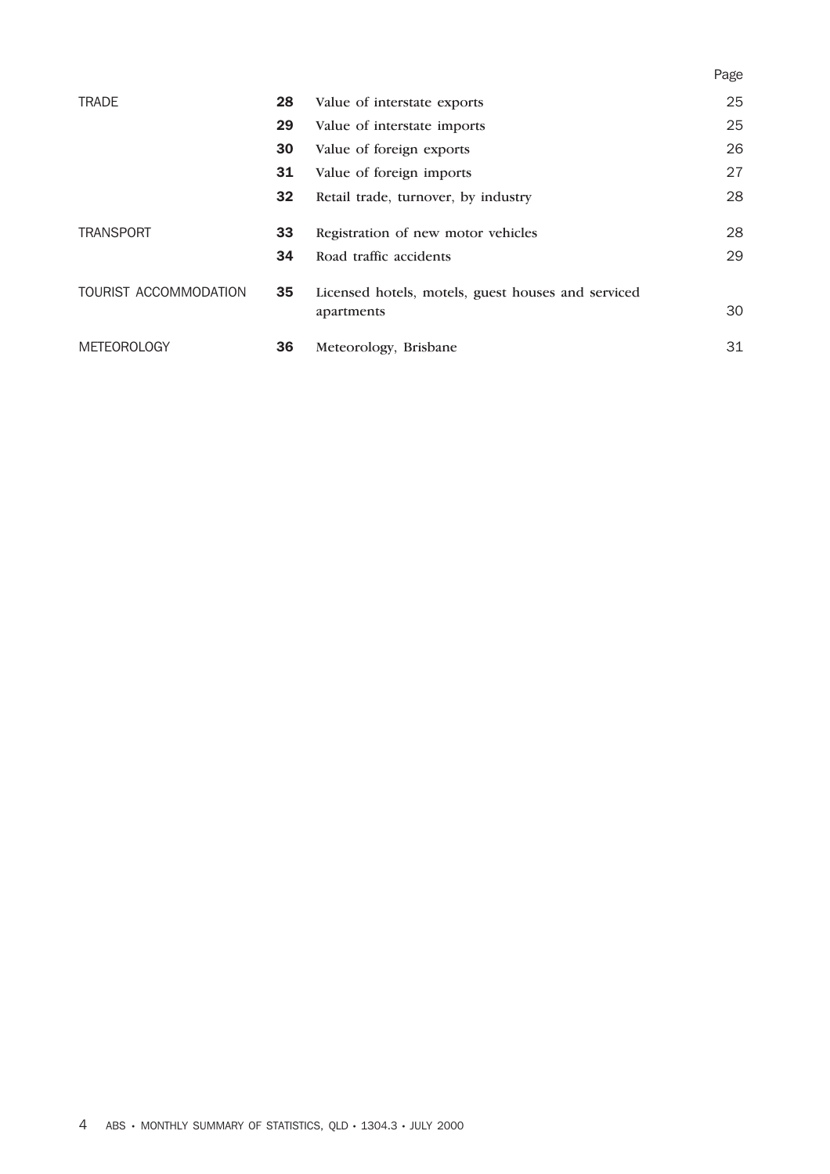|                       |    |                                                                  | Page |
|-----------------------|----|------------------------------------------------------------------|------|
| <b>TRADE</b>          | 28 | Value of interstate exports                                      | 25   |
|                       | 29 | Value of interstate imports                                      | 25   |
|                       | 30 | Value of foreign exports                                         | 26   |
|                       | 31 | Value of foreign imports                                         | 27   |
|                       | 32 | Retail trade, turnover, by industry                              | 28   |
| <b>TRANSPORT</b>      | 33 | Registration of new motor vehicles                               | 28   |
|                       | 34 | Road traffic accidents                                           | 29   |
| TOURIST ACCOMMODATION | 35 | Licensed hotels, motels, guest houses and serviced<br>apartments | 30   |
|                       |    |                                                                  |      |
| <b>METEOROLOGY</b>    | 36 | Meteorology, Brisbane                                            | 31   |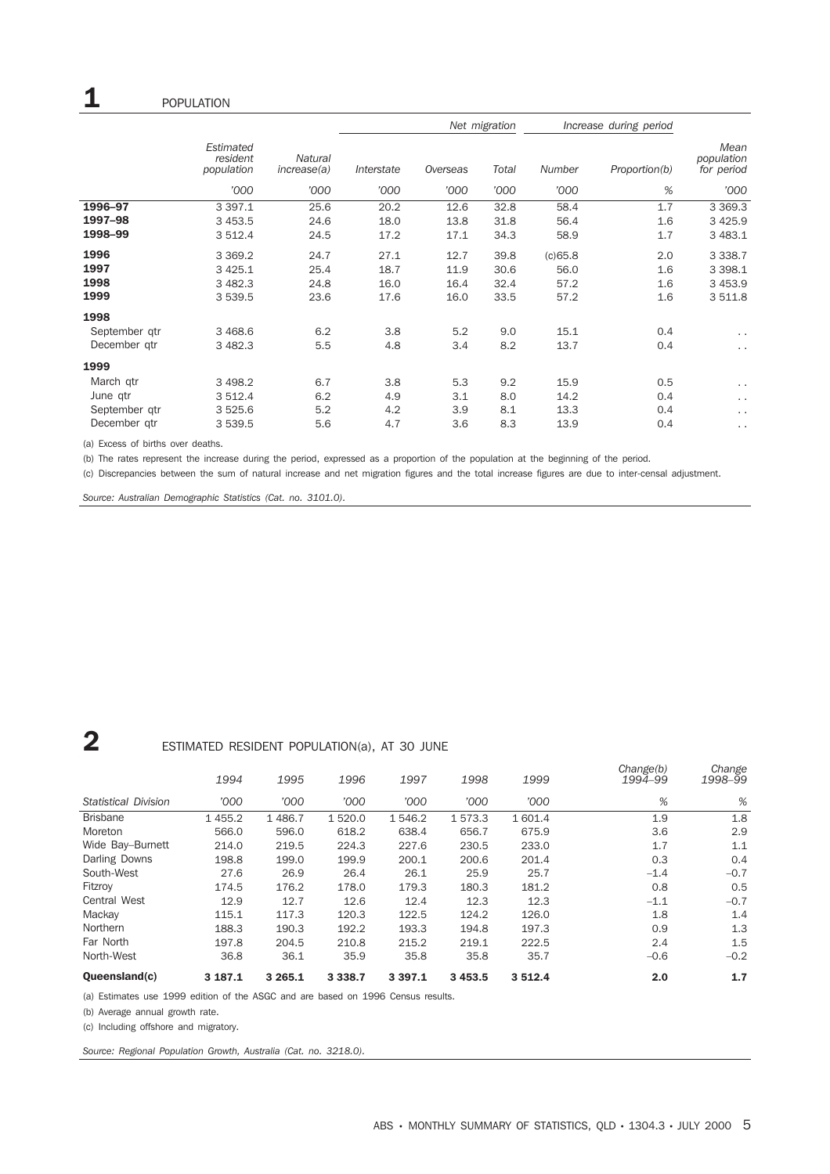|               |                                     |                        |            |          | Net migration |         | Increase during period |                                  |
|---------------|-------------------------------------|------------------------|------------|----------|---------------|---------|------------------------|----------------------------------|
|               | Estimated<br>resident<br>population | Natural<br>increase(a) | Interstate | Overseas | Total         | Number  | Proportion(b)          | Mean<br>population<br>for period |
|               | '000                                | '000                   | '000       | '000     | '000          | '000    | %                      | '000                             |
| 1996-97       | 3 3 9 7.1                           | 25.6                   | 20.2       | 12.6     | 32.8          | 58.4    | 1.7                    | 3 3 6 9 . 3                      |
| 1997-98       | 3 4 5 3.5                           | 24.6                   | 18.0       | 13.8     | 31.8          | 56.4    | 1.6                    | 3 4 2 5.9                        |
| 1998-99       | 3 512.4                             | 24.5                   | 17.2       | 17.1     | 34.3          | 58.9    | 1.7                    | 3 483.1                          |
| 1996          | 3 3 6 9.2                           | 24.7                   | 27.1       | 12.7     | 39.8          | (c)65.8 | 2.0                    | 3 3 3 8.7                        |
| 1997          | 3 4 2 5.1                           | 25.4                   | 18.7       | 11.9     | 30.6          | 56.0    | 1.6                    | 3 3 9 8.1                        |
| 1998          | 3 4 8 2.3                           | 24.8                   | 16.0       | 16.4     | 32.4          | 57.2    | 1.6                    | 3 4 5 3.9                        |
| 1999          | 3 539.5                             | 23.6                   | 17.6       | 16.0     | 33.5          | 57.2    | 1.6                    | 3 511.8                          |
| 1998          |                                     |                        |            |          |               |         |                        |                                  |
| September gtr | 3 4 68.6                            | 6.2                    | 3.8        | 5.2      | 9.0           | 15.1    | 0.4                    | $\sim$ $\sim$                    |
| December qtr  | 3 4 8 2.3                           | 5.5                    | 4.8        | 3.4      | 8.2           | 13.7    | 0.4                    | $\sim$ $\sim$                    |
| 1999          |                                     |                        |            |          |               |         |                        |                                  |
| March qtr     | 3 4 9 8.2                           | 6.7                    | 3.8        | 5.3      | 9.2           | 15.9    | 0.5                    | $\sim$ $\sim$                    |
| June qtr      | 3 512.4                             | 6.2                    | 4.9        | 3.1      | 8.0           | 14.2    | 0.4                    | $\sim$ $\sim$                    |
| September gtr | 3 5 2 5 . 6                         | 5.2                    | 4.2        | 3.9      | 8.1           | 13.3    | 0.4                    | $\ddot{\phantom{0}}$             |
| December gtr  | 3 539.5                             | 5.6                    | 4.7        | 3.6      | 8.3           | 13.9    | 0.4                    | $\sim$ $\sim$                    |

(a) Excess of births over deaths.

(b) The rates represent the increase during the period, expressed as a proportion of the population at the beginning of the period.

(c) Discrepancies between the sum of natural increase and net migration figures and the total increase figures are due to inter-censal adjustment.

*Source: Australian Demographic Statistics (Cat. no. 3101.0).*

## **2** ESTIMATED RESIDENT POPULATION(a), AT 30 JUNE

|                             | 1994    | 1995        | 1996        | 1997      | 1998        | 1999      | Change(b)<br>1994-99 | Change<br>1998-99 |
|-----------------------------|---------|-------------|-------------|-----------|-------------|-----------|----------------------|-------------------|
| <b>Statistical Division</b> | '000    | '000        | '000        | '000      | '000        | '000      | %                    | %                 |
| <b>Brisbane</b>             | 1455.2  | 1486.7      | 1 5 2 0.0   | 1 546.2   | 1573.3      | 1 601.4   | 1.9                  | 1.8               |
| Moreton                     | 566.0   | 596.0       | 618.2       | 638.4     | 656.7       | 675.9     | 3.6                  | 2.9               |
| Wide Bay-Burnett            | 214.0   | 219.5       | 224.3       | 227.6     | 230.5       | 233.0     | 1.7                  | 1.1               |
| Darling Downs               | 198.8   | 199.0       | 199.9       | 200.1     | 200.6       | 201.4     | 0.3                  | 0.4               |
| South-West                  | 27.6    | 26.9        | 26.4        | 26.1      | 25.9        | 25.7      | $-1.4$               | $-0.7$            |
| Fitzrov                     | 174.5   | 176.2       | 178.0       | 179.3     | 180.3       | 181.2     | 0.8                  | 0.5               |
| <b>Central West</b>         | 12.9    | 12.7        | 12.6        | 12.4      | 12.3        | 12.3      | $-1.1$               | $-0.7$            |
| Mackay                      | 115.1   | 117.3       | 120.3       | 122.5     | 124.2       | 126.0     | 1.8                  | 1.4               |
| Northern                    | 188.3   | 190.3       | 192.2       | 193.3     | 194.8       | 197.3     | 0.9                  | 1.3               |
| Far North                   | 197.8   | 204.5       | 210.8       | 215.2     | 219.1       | 222.5     | 2.4                  | 1.5               |
| North-West                  | 36.8    | 36.1        | 35.9        | 35.8      | 35.8        | 35.7      | $-0.6$               | $-0.2$            |
| Oueensland(c)               | 3 187.1 | 3 2 6 5 . 1 | 3 3 3 8 . 7 | 3 3 9 7.1 | 3 4 5 3 . 5 | 3 5 1 2.4 | 2.0                  | 1.7               |

(a) Estimates use 1999 edition of the ASGC and are based on 1996 Census results.

(b) Average annual growth rate.

(c) Including offshore and migratory.

*Source: Regional Population Growth, Australia (Cat. no. 3218.0).*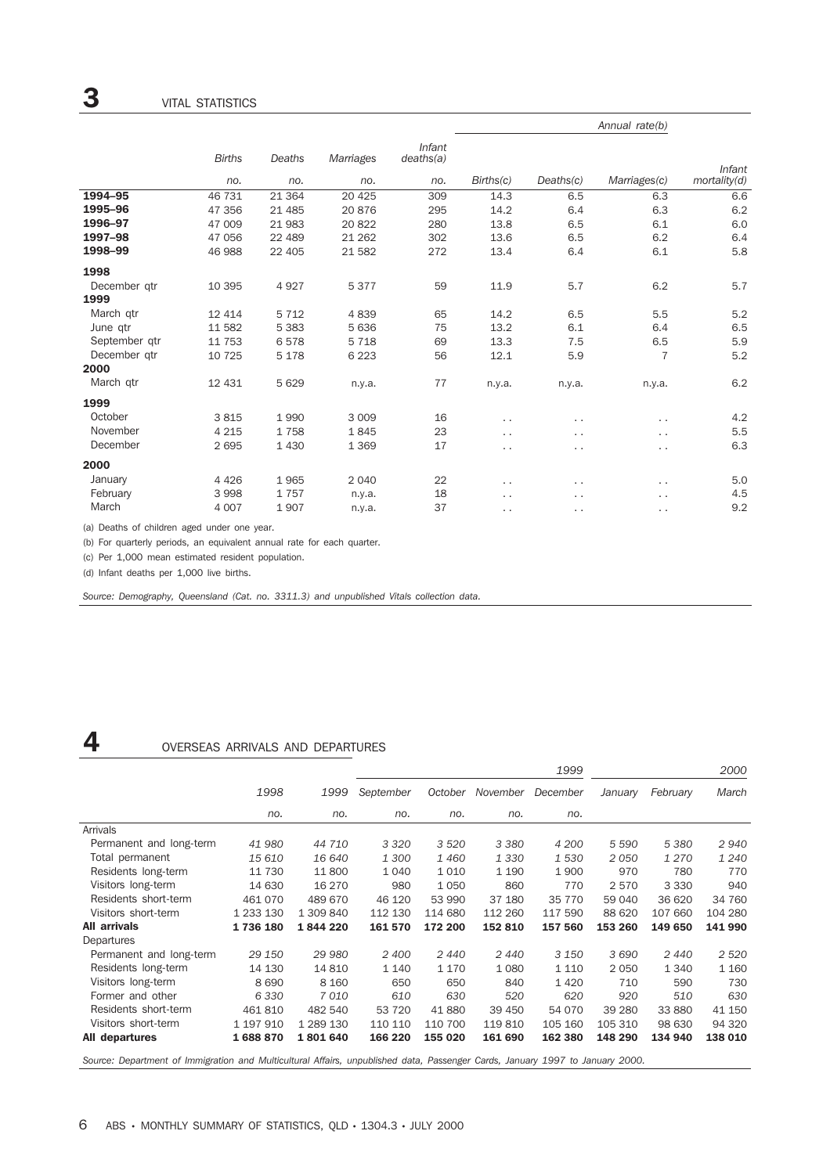|               |               |          |           |                     |                      |                      | Annual rate(b)       |               |
|---------------|---------------|----------|-----------|---------------------|----------------------|----------------------|----------------------|---------------|
|               | <b>Births</b> | Deaths   | Marriages | Infant<br>deaths(a) |                      |                      |                      | <b>Infant</b> |
|               | no.           | no.      | no.       | no.                 | Births(c)            | Deaths(c)            | Marriages(c)         | mortality(d)  |
| 1994-95       | 46 731        | 21 3 64  | 20 4 25   | 309                 | 14.3                 | 6.5                  | 6.3                  | 6.6           |
| 1995-96       | 47 356        | 21 4 8 5 | 20876     | 295                 | 14.2                 | 6.4                  | 6.3                  | 6.2           |
| 1996-97       | 47 009        | 21 983   | 20822     | 280                 | 13.8                 | 6.5                  | 6.1                  | 6.0           |
| 1997-98       | 47 056        | 22 489   | 21 262    | 302                 | 13.6                 | 6.5                  | 6.2                  | 6.4           |
| 1998-99       | 46 988        | 22 405   | 21 5 82   | 272                 | 13.4                 | 6.4                  | 6.1                  | 5.8           |
| 1998          |               |          |           |                     |                      |                      |                      |               |
| December gtr  | 10 395        | 4927     | 5377      | 59                  | 11.9                 | 5.7                  | 6.2                  | 5.7           |
| 1999          |               |          |           |                     |                      |                      |                      |               |
| March qtr     | 12 4 14       | 5 7 1 2  | 4839      | 65                  | 14.2                 | 6.5                  | 5.5                  | 5.2           |
| June qtr      | 11 582        | 5 3 8 3  | 5 6 3 6   | 75                  | 13.2                 | 6.1                  | 6.4                  | 6.5           |
| September gtr | 11 753        | 6578     | 5 7 1 8   | 69                  | 13.3                 | 7.5                  | 6.5                  | 5.9           |
| December gtr  | 10 7 25       | 5 1 7 8  | 6 2 2 3   | 56                  | 12.1                 | 5.9                  | $\overline{7}$       | 5.2           |
| 2000          |               |          |           |                     |                      |                      |                      |               |
| March qtr     | 12 4 31       | 5 6 2 9  | n.y.a.    | 77                  | n.y.a.               | n.y.a.               | n.y.a.               | $6.2\,$       |
| 1999          |               |          |           |                     |                      |                      |                      |               |
| October       | 3815          | 1990     | 3 0 0 9   | 16                  | $\ddot{\phantom{a}}$ | $\ddot{\phantom{0}}$ | . .                  | 4.2           |
| November      | 4 2 1 5       | 1758     | 1845      | 23                  | . .                  | . .                  | $\ddot{\phantom{0}}$ | 5.5           |
| December      | 2695          | 1 4 3 0  | 1 3 6 9   | 17                  | $\cdot$ .            | $\ddot{\phantom{0}}$ | $\ddot{\phantom{0}}$ | 6.3           |
| 2000          |               |          |           |                     |                      |                      |                      |               |
| January       | 4 4 2 6       | 1965     | 2 0 4 0   | 22                  | $\cdot$ .            | . .                  | $\ddot{\phantom{0}}$ | 5.0           |
| February      | 3 9 9 8       | 1757     | n.y.a.    | 18                  | . .                  | . .                  | $\ddotsc$            | 4.5           |
| March         | 4 0 0 7       | 1907     | n.y.a.    | 37                  | $\ddot{\phantom{a}}$ | $\sim$               | . .                  | 9.2           |
|               |               |          |           |                     |                      |                      |                      |               |

(a) Deaths of children aged under one year.

(b) For quarterly periods, an equivalent annual rate for each quarter.

(c) Per 1,000 mean estimated resident population.

(d) Infant deaths per 1,000 live births.

*Source: Demography, Queensland (Cat. no. 3311.3) and unpublished Vitals collection data.*

### 4 OVERSEAS ARRIVALS AND DEPARTURES

|                         |           |           |           |         |          | 1999     |         |          | 2000    |
|-------------------------|-----------|-----------|-----------|---------|----------|----------|---------|----------|---------|
|                         | 1998      | 1999      | September | October | November | December | January | February | March   |
|                         | no.       | no.       | no.       | no.     | no.      | no.      |         |          |         |
| Arrivals                |           |           |           |         |          |          |         |          |         |
| Permanent and long-term | 41 980    | 44 710    | 3 3 2 0   | 3 5 20  | 3 3 8 0  | 4 200    | 5 5 9 0 | 5 3 8 0  | 2940    |
| Total permanent         | 15 610    | 16 640    | 1 300     | 1460    | 1 3 3 0  | 1 530    | 2050    | 1 2 7 0  | 1 2 4 0 |
| Residents long-term     | 11 730    | 11 800    | 1 0 4 0   | 1010    | 1 1 9 0  | 1 9 0 0  | 970     | 780      | 770     |
| Visitors long-term      | 14 630    | 16 270    | 980       | 1050    | 860      | 770      | 2 5 7 0 | 3 3 3 0  | 940     |
| Residents short-term    | 461 070   | 489 670   | 46 120    | 53 990  | 37 180   | 35 770   | 59 040  | 36 620   | 34 760  |
| Visitors short-term     | 1 233 130 | 1 309 840 | 112 130   | 114 680 | 112 260  | 117 590  | 88 620  | 107 660  | 104 280 |
| <b>All arrivals</b>     | 1736180   | 1844220   | 161 570   | 172 200 | 152 810  | 157 560  | 153 260 | 149 650  | 141 990 |
| Departures              |           |           |           |         |          |          |         |          |         |
| Permanent and long-term | 29 150    | 29 980    | 2 400     | 2440    | 2440     | 3 1 5 0  | 3690    | 2440     | 2 5 2 0 |
| Residents long-term     | 14 130    | 14 810    | 1 1 4 0   | 1 1 7 0 | 1 0 8 0  | 1 1 1 0  | 2 0 5 0 | 1 3 4 0  | 1 1 6 0 |
| Visitors long-term      | 8690      | 8 1 6 0   | 650       | 650     | 840      | 1420     | 710     | 590      | 730     |
| Former and other        | 6 3 3 0   | 7010      | 610       | 630     | 520      | 620      | 920     | 510      | 630     |
| Residents short-term    | 461810    | 482 540   | 53 7 20   | 41880   | 39 450   | 54 070   | 39 280  | 33 880   | 41 150  |
| Visitors short-term     | 1 197 910 | 1 289 130 | 110 110   | 110 700 | 119810   | 105 160  | 105 310 | 98 630   | 94 320  |
| All departures          | 1688870   | 1801640   | 166 220   | 155 020 | 161 690  | 162 380  | 148 290 | 134 940  | 138 010 |

*Source: Department of Immigration and Multicultural Affairs, unpublished data, Passenger Cards, January 1997 to January 2000.*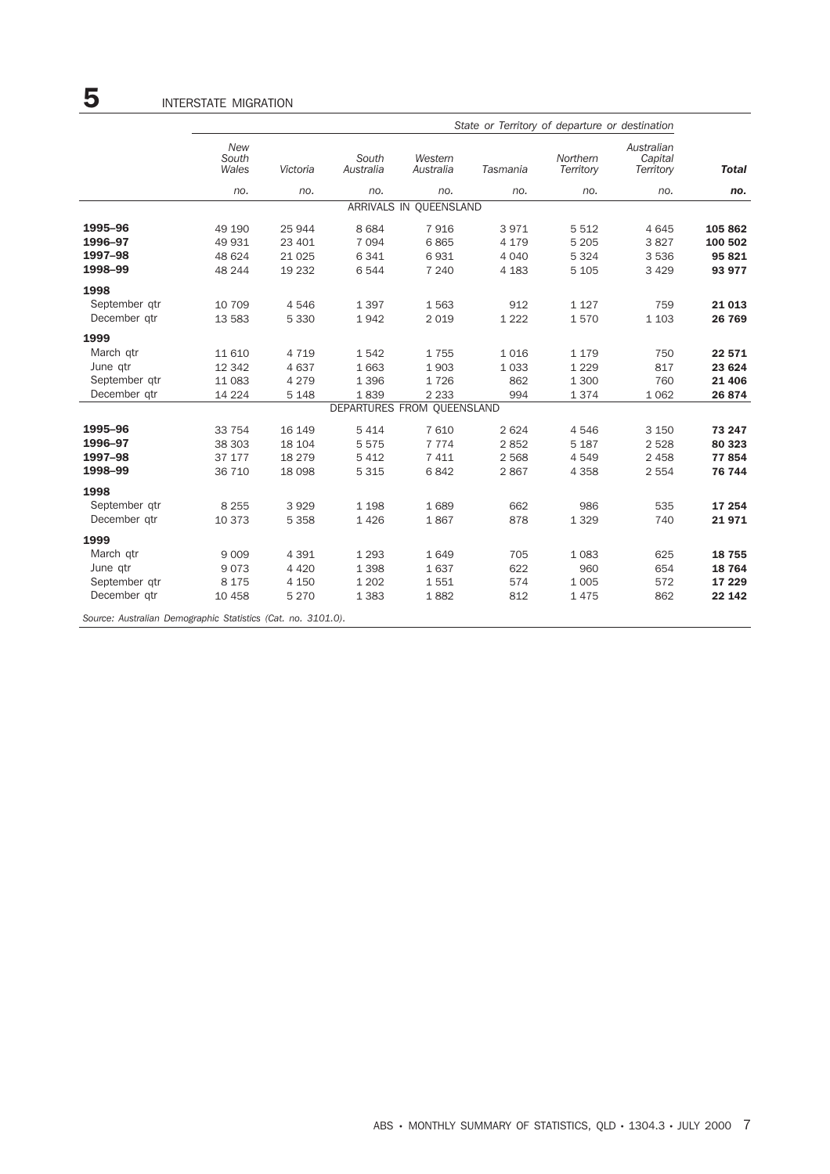|               | State or Territory of departure or destination |          |                            |                        |          |                       |                                    |              |  |  |
|---------------|------------------------------------------------|----------|----------------------------|------------------------|----------|-----------------------|------------------------------------|--------------|--|--|
|               | <b>New</b><br>South<br>Wales                   | Victoria | South<br>Australia         | Western<br>Australia   | Tasmania | Northern<br>Territory | Australian<br>Capital<br>Territory | <b>Total</b> |  |  |
|               | no.                                            | no.      | no.                        | no.                    | no.      | no.                   | no.                                | no.          |  |  |
|               |                                                |          |                            | ARRIVALS IN QUEENSLAND |          |                       |                                    |              |  |  |
| 1995-96       | 49 190                                         | 25 944   | 8684                       | 7916                   | 3971     | 5 5 1 2               | 4 6 4 5                            | 105 862      |  |  |
| 1996-97       | 49 931                                         | 23 401   | 7 0 9 4                    | 6865                   | 4 1 7 9  | 5 2 0 5               | 3827                               | 100 502      |  |  |
| 1997-98       | 48 624                                         | 21 0 25  | 6 3 4 1                    | 6931                   | 4 0 4 0  | 5 3 2 4               | 3 5 3 6                            | 95 821       |  |  |
| 1998-99       | 48 244                                         | 19 232   | 6544                       | 7 2 4 0                | 4 1 8 3  | 5 1 0 5               | 3 4 2 9                            | 93 977       |  |  |
| 1998          |                                                |          |                            |                        |          |                       |                                    |              |  |  |
| September qtr | 10 709                                         | 4546     | 1 3 9 7                    | 1563                   | 912      | 1 1 2 7               | 759                                | 21 013       |  |  |
| December qtr  | 13 583                                         | 5 3 3 0  | 1942                       | 2 0 1 9                | 1 2 2 2  | 1570                  | 1 1 0 3                            | 26 769       |  |  |
| 1999          |                                                |          |                            |                        |          |                       |                                    |              |  |  |
| March qtr     | 11 610                                         | 4 7 1 9  | 1542                       | 1755                   | 1016     | 1 1 7 9               | 750                                | 22 571       |  |  |
| June qtr      | 12 342                                         | 4637     | 1 6 6 3                    | 1903                   | 1 0 3 3  | 1 2 2 9               | 817                                | 23 624       |  |  |
| September qtr | 11 083                                         | 4 2 7 9  | 1 3 9 6                    | 1726                   | 862      | 1 300                 | 760                                | 21 40 6      |  |  |
| December qtr  | 14 2 24                                        | 5 1 4 8  | 1839                       | 2 2 3 3                | 994      | 1374                  | 1 0 6 2                            | 26 874       |  |  |
|               |                                                |          | DEPARTURES FROM QUEENSLAND |                        |          |                       |                                    |              |  |  |
| 1995-96       | 33 754                                         | 16 149   | 5 4 1 4                    | 7 6 10                 | 2 6 2 4  | 4546                  | 3 1 5 0                            | 73 247       |  |  |
| 1996-97       | 38 30 3                                        | 18 104   | 5575                       | 7 7 7 4                | 2852     | 5 1 8 7               | 2 5 2 8                            | 80 323       |  |  |
| 1997-98       | 37 177                                         | 18 279   | 5 4 1 2                    | 7 4 1 1                | 2 5 6 8  | 4549                  | 2 4 5 8                            | 77854        |  |  |
| 1998-99       | 36 710                                         | 18 098   | 5 3 1 5                    | 6842                   | 2867     | 4 3 5 8               | 2 5 5 4                            | 76 744       |  |  |
| 1998          |                                                |          |                            |                        |          |                       |                                    |              |  |  |
| September gtr | 8 2 5 5                                        | 3929     | 1 1 9 8                    | 1689                   | 662      | 986                   | 535                                | 17 254       |  |  |
| December qtr  | 10 373                                         | 5 3 5 8  | 1426                       | 1867                   | 878      | 1 3 2 9               | 740                                | 21971        |  |  |
| 1999          |                                                |          |                            |                        |          |                       |                                    |              |  |  |
| March qtr     | 9 0 0 9                                        | 4 3 9 1  | 1 2 9 3                    | 1649                   | 705      | 1 0 8 3               | 625                                | 18 755       |  |  |
| June qtr      | 9073                                           | 4 4 2 0  | 1 3 9 8                    | 1637                   | 622      | 960                   | 654                                | 18 764       |  |  |
| September gtr | 8 1 7 5                                        | 4 1 5 0  | 1 2 0 2                    | 1551                   | 574      | 1 0 0 5               | 572                                | 17 229       |  |  |
| December qtr  | 10 458                                         | 5 2 7 0  | 1 3 8 3                    | 1882                   | 812      | 1475                  | 862                                | 22 142       |  |  |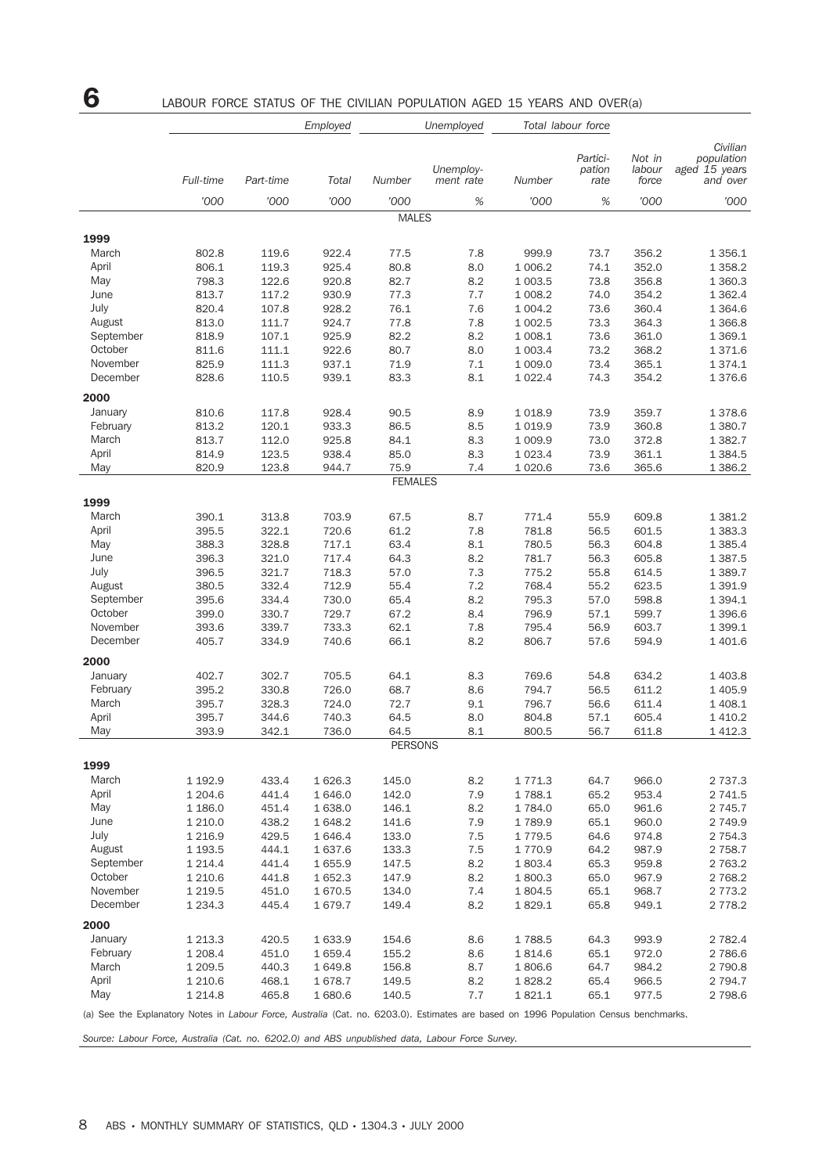## **6** LABOUR FORCE STATUS OF THE CIVILIAN POPULATION AGED 15 YEARS AND OVER(a)

|                                                                                                                                       |                |                | Employed       |                | Unemployed             |                      | Total labour force         |                           |                                                     |
|---------------------------------------------------------------------------------------------------------------------------------------|----------------|----------------|----------------|----------------|------------------------|----------------------|----------------------------|---------------------------|-----------------------------------------------------|
|                                                                                                                                       | Full-time      | Part-time      | Total          | Number         | Unemploy-<br>ment rate | Number               | Partici-<br>pation<br>rate | Not in<br>labour<br>force | Civilian<br>population<br>aged 15 years<br>and over |
|                                                                                                                                       | '000           | '000           | '000           | '000           | $\%$                   | '000                 | $\%$                       | '000                      | '000                                                |
|                                                                                                                                       |                |                |                | <b>MALES</b>   |                        |                      |                            |                           |                                                     |
| 1999                                                                                                                                  |                |                |                |                |                        |                      |                            |                           |                                                     |
| March                                                                                                                                 | 802.8          | 119.6          | 922.4          | 77.5           | 7.8                    | 999.9                | 73.7                       | 356.2                     | 1 3 5 6.1                                           |
| April                                                                                                                                 | 806.1          | 119.3          | 925.4          | 80.8           | 8.0                    | 1 006.2              | 74.1                       | 352.0                     | 1 3 5 8.2                                           |
| May                                                                                                                                   | 798.3          | 122.6          | 920.8          | 82.7           | 8.2                    | 1 003.5              | 73.8                       | 356.8                     | 1 360.3                                             |
| June                                                                                                                                  | 813.7          | 117.2          | 930.9          | 77.3           | 7.7                    | 1 008.2              | 74.0                       | 354.2                     | 1 3 6 2.4                                           |
| July<br>August                                                                                                                        | 820.4<br>813.0 | 107.8<br>111.7 | 928.2<br>924.7 | 76.1<br>77.8   | 7.6<br>7.8             | 1 0 0 4.2<br>1 002.5 | 73.6<br>73.3               | 360.4<br>364.3            | 1 3 6 4.6<br>1 3 6 6.8                              |
| September                                                                                                                             | 818.9          | 107.1          | 925.9          | 82.2           | 8.2                    | 1 008.1              | 73.6                       | 361.0                     | 1 3 6 9.1                                           |
| October                                                                                                                               | 811.6          | 111.1          | 922.6          | 80.7           | 8.0                    | 1 0 0 3.4            | 73.2                       | 368.2                     | 1 371.6                                             |
| November                                                                                                                              | 825.9          | 111.3          | 937.1          | 71.9           | 7.1                    | 1 009.0              | 73.4                       | 365.1                     | 1 3 7 4 . 1                                         |
| December                                                                                                                              | 828.6          | 110.5          | 939.1          | 83.3           | 8.1                    | 1 0 2 2.4            | 74.3                       | 354.2                     | 1 376.6                                             |
| 2000                                                                                                                                  |                |                |                |                |                        |                      |                            |                           |                                                     |
| January                                                                                                                               | 810.6          | 117.8          | 928.4          | 90.5           | 8.9                    | 1 0 18.9             | 73.9                       | 359.7                     | 1 378.6                                             |
| February                                                                                                                              | 813.2          | 120.1          | 933.3          | 86.5           | 8.5                    | 1 0 1 9.9            | 73.9                       | 360.8                     | 1 380.7                                             |
| March                                                                                                                                 | 813.7          | 112.0          | 925.8          | 84.1           | 8.3                    | 1 009.9              | 73.0                       | 372.8                     | 1 3 8 2.7                                           |
| April                                                                                                                                 | 814.9          | 123.5          | 938.4          | 85.0           | 8.3                    | 1 0 2 3.4            | 73.9                       | 361.1                     | 1 3 8 4 .5                                          |
| May                                                                                                                                   | 820.9          | 123.8          | 944.7          | 75.9           | 7.4                    | 1 0 20.6             | 73.6                       | 365.6                     | 1 386.2                                             |
|                                                                                                                                       |                |                |                | <b>FEMALES</b> |                        |                      |                            |                           |                                                     |
| 1999                                                                                                                                  |                |                |                |                |                        |                      |                            |                           |                                                     |
| March                                                                                                                                 | 390.1          | 313.8          | 703.9          | 67.5           | 8.7                    | 771.4                | 55.9                       | 609.8                     | 1 381.2                                             |
| April                                                                                                                                 | 395.5          | 322.1          | 720.6          | 61.2           | 7.8                    | 781.8                | 56.5                       | 601.5                     | 1 3 8 3 . 3                                         |
| May                                                                                                                                   | 388.3          | 328.8          | 717.1          | 63.4           | 8.1                    | 780.5                | 56.3                       | 604.8                     | 1 385.4                                             |
| June                                                                                                                                  | 396.3          | 321.0          | 717.4          | 64.3           | 8.2                    | 781.7                | 56.3                       | 605.8                     | 1 3 8 7 . 5                                         |
| July                                                                                                                                  | 396.5          | 321.7          | 718.3          | 57.0           | 7.3                    | 775.2                | 55.8                       | 614.5                     | 1 389.7                                             |
| August                                                                                                                                | 380.5          | 332.4          | 712.9          | 55.4           | 7.2                    | 768.4                | 55.2                       | 623.5                     | 1 391.9                                             |
| September<br>October                                                                                                                  | 395.6<br>399.0 | 334.4<br>330.7 | 730.0<br>729.7 | 65.4<br>67.2   | 8.2<br>8.4             | 795.3<br>796.9       | 57.0                       | 598.8<br>599.7            | 1 3 9 4 . 1<br>1 3 9 6.6                            |
| November                                                                                                                              | 393.6          | 339.7          | 733.3          | 62.1           | 7.8                    | 795.4                | 57.1<br>56.9               | 603.7                     | 1 399.1                                             |
| December                                                                                                                              | 405.7          | 334.9          | 740.6          | 66.1           | 8.2                    | 806.7                | 57.6                       | 594.9                     | 1 401.6                                             |
|                                                                                                                                       |                |                |                |                |                        |                      |                            |                           |                                                     |
| 2000                                                                                                                                  |                |                |                |                |                        |                      |                            |                           |                                                     |
| January<br>February                                                                                                                   | 402.7<br>395.2 | 302.7<br>330.8 | 705.5<br>726.0 | 64.1<br>68.7   | 8.3<br>8.6             | 769.6<br>794.7       | 54.8<br>56.5               | 634.2<br>611.2            | 1 403.8<br>1 405.9                                  |
| March                                                                                                                                 | 395.7          | 328.3          | 724.0          | 72.7           | 9.1                    | 796.7                | 56.6                       | 611.4                     | 1 408.1                                             |
| April                                                                                                                                 | 395.7          | 344.6          | 740.3          | 64.5           | 8.0                    | 804.8                | 57.1                       | 605.4                     | 1 4 1 0.2                                           |
| May                                                                                                                                   | 393.9          | 342.1          | 736.0          | 64.5           | 8.1                    | 800.5                | 56.7                       | 611.8                     | 1 4 1 2.3                                           |
|                                                                                                                                       |                |                |                | <b>PERSONS</b> |                        |                      |                            |                           |                                                     |
| 1999                                                                                                                                  |                |                |                |                |                        |                      |                            |                           |                                                     |
| March                                                                                                                                 | 1 192.9        | 433.4          | 1 626.3        | 145.0          | 8.2                    | 1 771.3              | 64.7                       | 966.0                     | 2 7 3 7 . 3                                         |
| April                                                                                                                                 | 1 204.6        | 441.4          | 1 646.0        | 142.0          | 7.9                    | 1788.1               | 65.2                       | 953.4                     | 2 741.5                                             |
| May                                                                                                                                   | 1 186.0        | 451.4          | 1 638.0        | 146.1          | 8.2                    | 1 784.0              | 65.0                       | 961.6                     | 2 7 4 5 . 7                                         |
| June                                                                                                                                  | 1 210.0        | 438.2          | 1 648.2        | 141.6          | 7.9                    | 1789.9               | 65.1                       | 960.0                     | 2 749.9                                             |
| July                                                                                                                                  | 1 2 1 6.9      | 429.5          | 1 646.4        | 133.0          | 7.5                    | 1 7 7 9.5            | 64.6                       | 974.8                     | 2 7 5 4 . 3                                         |
| August                                                                                                                                | 1 193.5        | 444.1          | 1 637.6        | 133.3          | 7.5                    | 1770.9               | 64.2                       | 987.9                     | 2 7 5 8.7                                           |
| September                                                                                                                             | 1 2 1 4 .4     | 441.4          | 1 655.9        | 147.5          | 8.2                    | 1803.4               | 65.3                       | 959.8                     | 2 7 6 3.2                                           |
| October                                                                                                                               | 1 2 1 0.6      | 441.8          | 1652.3         | 147.9          | 8.2                    | 1800.3               | 65.0                       | 967.9                     | 2 7 68.2                                            |
| November                                                                                                                              | 1 2 1 9.5      | 451.0          | 1670.5         | 134.0          | 7.4                    | 1804.5               | 65.1                       | 968.7                     | 2 7 7 3 . 2                                         |
| December                                                                                                                              | 1 2 3 4 . 3    | 445.4          | 1 679.7        | 149.4          | 8.2                    | 1829.1               | 65.8                       | 949.1                     | 2 7 7 8.2                                           |
| 2000                                                                                                                                  |                |                |                |                |                        |                      |                            |                           |                                                     |
| January                                                                                                                               | 1 2 1 3 . 3    | 420.5          | 1 633.9        | 154.6          | 8.6                    | 1788.5               | 64.3                       | 993.9                     | 2 7 8 2.4                                           |
| February                                                                                                                              | 1 208.4        | 451.0          | 1 659.4        | 155.2          | 8.6                    | 1814.6               | 65.1                       | 972.0                     | 2 786.6                                             |
| March                                                                                                                                 | 1 209.5        | 440.3          | 1 649.8        | 156.8          | 8.7                    | 1806.6               | 64.7                       | 984.2                     | 2 790.8                                             |
| April<br>May                                                                                                                          | 1 2 1 0.6      | 468.1          | 1678.7         | 149.5          | 8.2                    | 1828.2               | 65.4                       | 966.5                     | 2 7 9 4.7                                           |
|                                                                                                                                       | 1 2 1 4.8      | 465.8          | 1 680.6        | 140.5          | 7.7                    | 1821.1               | 65.1                       | 977.5                     | 2 798.6                                             |
| (a) See the Explanatory Notes in Labour Force, Australia (Cat. no. 6203.0). Estimates are based on 1996 Population Census benchmarks. |                |                |                |                |                        |                      |                            |                           |                                                     |

*Source: Labour Force, Australia (Cat. no. 6202.0) and ABS unpublished data, Labour Force Survey.*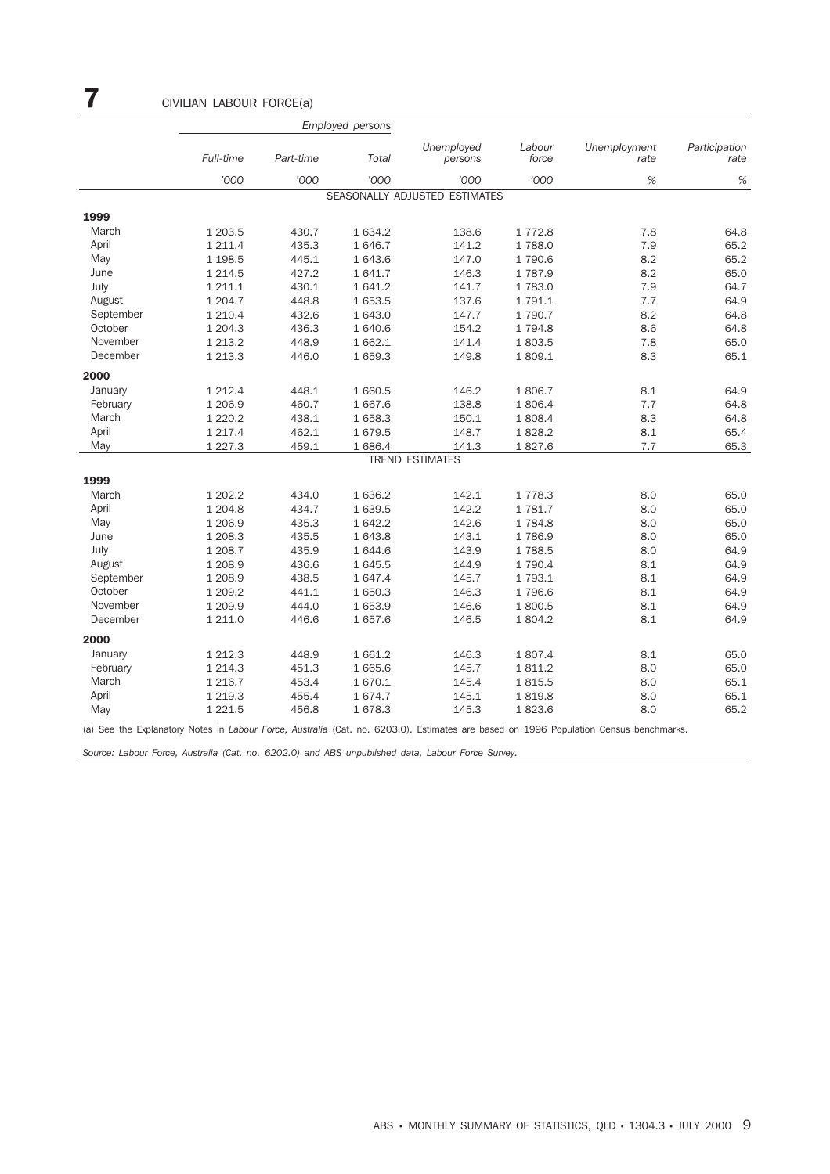|           |             |           | <b>Employed persons</b> |                               |                 |                      |                       |
|-----------|-------------|-----------|-------------------------|-------------------------------|-----------------|----------------------|-----------------------|
|           | Full-time   | Part-time | Total                   | Unemployed<br>persons         | Labour<br>force | Unemployment<br>rate | Participation<br>rate |
|           | '000        | '000      | '000                    | '000                          | '000            | %                    | %                     |
|           |             |           |                         | SEASONALLY ADJUSTED ESTIMATES |                 |                      |                       |
| 1999      |             |           |                         |                               |                 |                      |                       |
| March     | 1 203.5     | 430.7     | 1 634.2                 | 138.6                         | 1 772.8         | 7.8                  | 64.8                  |
| April     | 1 211.4     | 435.3     | 1 646.7                 | 141.2                         | 1788.0          | 7.9                  | 65.2                  |
| May       | 1 1 98.5    | 445.1     | 1 643.6                 | 147.0                         | 1 790.6         | 8.2                  | 65.2                  |
| June      | 1 2 1 4 .5  | 427.2     | 1641.7                  | 146.3                         | 1787.9          | 8.2                  | 65.0                  |
| July      | 1 211.1     | 430.1     | 1 641.2                 | 141.7                         | 1 783.0         | 7.9                  | 64.7                  |
| August    | 1 204.7     | 448.8     | 1653.5                  | 137.6                         | 1 791.1         | 7.7                  | 64.9                  |
| September | 1 2 1 0.4   | 432.6     | 1 643.0                 | 147.7                         | 1 790.7         | 8.2                  | 64.8                  |
| October   | 1 204.3     | 436.3     | 1 640.6                 | 154.2                         | 1 7 9 4.8       | 8.6                  | 64.8                  |
| November  | 1 2 1 3 . 2 | 448.9     | 1 662.1                 | 141.4                         | 1803.5          | 7.8                  | 65.0                  |
| December  | 1 213.3     | 446.0     | 1 659.3                 | 149.8                         | 1 809.1         | 8.3                  | 65.1                  |
| 2000      |             |           |                         |                               |                 |                      |                       |
| January   | 1 2 1 2 . 4 | 448.1     | 1 660.5                 | 146.2                         | 1806.7          | 8.1                  | 64.9                  |
| February  | 1 206.9     | 460.7     | 1 667.6                 | 138.8                         | 1806.4          | 7.7                  | 64.8                  |
| March     | 1 2 2 0.2   | 438.1     | 1 658.3                 | 150.1                         | 1808.4          | 8.3                  | 64.8                  |
| April     | 1 2 1 7 . 4 | 462.1     | 1679.5                  | 148.7                         | 1828.2          | 8.1                  | 65.4                  |
| May       | 1 2 2 7 . 3 | 459.1     | 1686.4                  | 141.3                         | 1827.6          | 7.7                  | 65.3                  |
|           |             |           |                         | <b>TREND ESTIMATES</b>        |                 |                      |                       |
| 1999      |             |           |                         |                               |                 |                      |                       |
| March     | 1 202.2     | 434.0     | 1 636.2                 | 142.1                         | 1778.3          | 8.0                  | 65.0                  |
| April     | 1 204.8     | 434.7     | 1 639.5                 | 142.2                         | 1781.7          | 8.0                  | 65.0                  |
| May       | 1 206.9     | 435.3     | 1642.2                  | 142.6                         | 1784.8          | 8.0                  | 65.0                  |
| June      | 1 208.3     | 435.5     | 1643.8                  | 143.1                         | 1786.9          | 8.0                  | 65.0                  |
| July      | 1 208.7     | 435.9     | 1 644.6                 | 143.9                         | 1788.5          | 8.0                  | 64.9                  |
| August    | 1 208.9     | 436.6     | 1 645.5                 | 144.9                         | 1 790.4         | 8.1                  | 64.9                  |
| September | 1 208.9     | 438.5     | 1 647.4                 | 145.7                         | 1 793.1         | 8.1                  | 64.9                  |
| October   | 1 209.2     | 441.1     | 1 650.3                 | 146.3                         | 1796.6          | 8.1                  | 64.9                  |
| November  | 1 209.9     | 444.0     | 1 653.9                 | 146.6                         | 1800.5          | 8.1                  | 64.9                  |
| December  | 1 211.0     | 446.6     | 1657.6                  | 146.5                         | 1 804.2         | 8.1                  | 64.9                  |
| 2000      |             |           |                         |                               |                 |                      |                       |
| January   | 1 2 1 2.3   | 448.9     | 1 661.2                 | 146.3                         | 1807.4          | 8.1                  | 65.0                  |
| February  | 1 2 1 4 . 3 | 451.3     | 1665.6                  | 145.7                         | 1811.2          | 8.0                  | 65.0                  |
| March     | 1 2 1 6.7   | 453.4     | 1670.1                  | 145.4                         | 1815.5          | 8.0                  | 65.1                  |
| April     | 1 2 1 9 . 3 | 455.4     | 1674.7                  | 145.1                         | 1819.8          | 8.0                  | 65.1                  |
| May       | 1 2 2 1.5   | 456.8     | 1678.3                  | 145.3                         | 1823.6          | 8.0                  | 65.2                  |

(a) See the Explanatory Notes in *Labour Force, Australia* (Cat. no. 6203.0). Estimates are based on 1996 Population Census benchmarks.

*Source: Labour Force, Australia (Cat. no. 6202.0) and ABS unpublished data, Labour Force Survey.*

7 CIVILIAN LABOUR FORCE(a)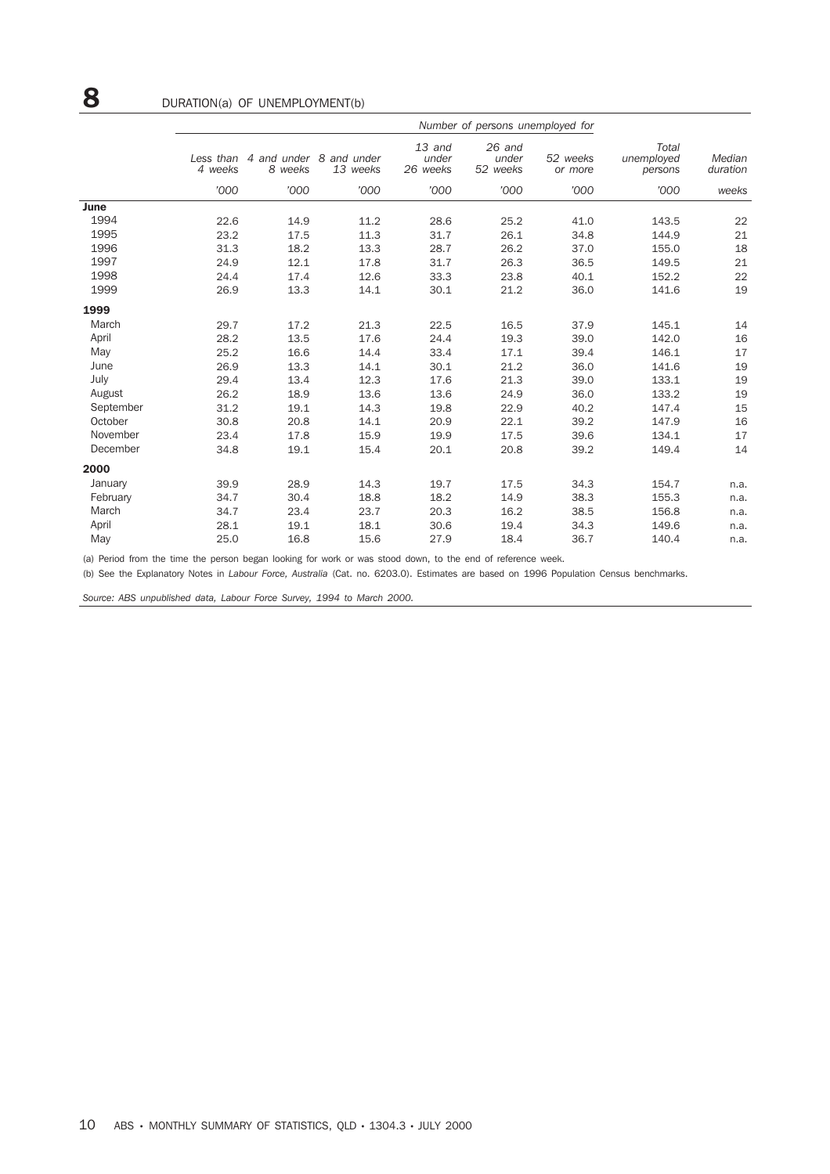|           | Less than<br>4 weeks | 8 weeks | 4 and under 8 and under<br>13 weeks | 13 and<br>under<br>26 weeks | $26$ and<br>under<br>52 weeks | 52 weeks<br>or more | Total<br>unemployed<br>persons | Median<br>duration |
|-----------|----------------------|---------|-------------------------------------|-----------------------------|-------------------------------|---------------------|--------------------------------|--------------------|
|           | '000                 | '000    | '000                                | '000                        | '000                          | '000                | '000                           | weeks              |
| June      |                      |         |                                     |                             |                               |                     |                                |                    |
| 1994      | 22.6                 | 14.9    | 11.2                                | 28.6                        | 25.2                          | 41.0                | 143.5                          | 22                 |
| 1995      | 23.2                 | 17.5    | 11.3                                | 31.7                        | 26.1                          | 34.8                | 144.9                          | 21                 |
| 1996      | 31.3                 | 18.2    | 13.3                                | 28.7                        | 26.2                          | 37.0                | 155.0                          | 18                 |
| 1997      | 24.9                 | 12.1    | 17.8                                | 31.7                        | 26.3                          | 36.5                | 149.5                          | 21                 |
| 1998      | 24.4                 | 17.4    | 12.6                                | 33.3                        | 23.8                          | 40.1                | 152.2                          | 22                 |
| 1999      | 26.9                 | 13.3    | 14.1                                | 30.1                        | 21.2                          | 36.0                | 141.6                          | 19                 |
| 1999      |                      |         |                                     |                             |                               |                     |                                |                    |
| March     | 29.7                 | 17.2    | 21.3                                | 22.5                        | 16.5                          | 37.9                | 145.1                          | 14                 |
| April     | 28.2                 | 13.5    | 17.6                                | 24.4                        | 19.3                          | 39.0                | 142.0                          | 16                 |
| May       | 25.2                 | 16.6    | 14.4                                | 33.4                        | 17.1                          | 39.4                | 146.1                          | 17                 |
| June      | 26.9                 | 13.3    | 14.1                                | 30.1                        | 21.2                          | 36.0                | 141.6                          | 19                 |
| July      | 29.4                 | 13.4    | 12.3                                | 17.6                        | 21.3                          | 39.0                | 133.1                          | 19                 |
| August    | 26.2                 | 18.9    | 13.6                                | 13.6                        | 24.9                          | 36.0                | 133.2                          | 19                 |
| September | 31.2                 | 19.1    | 14.3                                | 19.8                        | 22.9                          | 40.2                | 147.4                          | 15                 |
| October   | 30.8                 | 20.8    | 14.1                                | 20.9                        | 22.1                          | 39.2                | 147.9                          | 16                 |
| November  | 23.4                 | 17.8    | 15.9                                | 19.9                        | 17.5                          | 39.6                | 134.1                          | 17                 |
| December  | 34.8                 | 19.1    | 15.4                                | 20.1                        | 20.8                          | 39.2                | 149.4                          | 14                 |
| 2000      |                      |         |                                     |                             |                               |                     |                                |                    |
| January   | 39.9                 | 28.9    | 14.3                                | 19.7                        | 17.5                          | 34.3                | 154.7                          | n.a.               |
| February  | 34.7                 | 30.4    | 18.8                                | 18.2                        | 14.9                          | 38.3                | 155.3                          | n.a.               |
| March     | 34.7                 | 23.4    | 23.7                                | 20.3                        | 16.2                          | 38.5                | 156.8                          | n.a.               |
| April     | 28.1                 | 19.1    | 18.1                                | 30.6                        | 19.4                          | 34.3                | 149.6                          | n.a.               |
| May       | 25.0                 | 16.8    | 15.6                                | 27.9                        | 18.4                          | 36.7                | 140.4                          | n.a.               |

(a) Period from the time the person began looking for work or was stood down, to the end of reference week.

(b) See the Explanatory Notes in *Labour Force, Australia* (Cat. no. 6203.0). Estimates are based on 1996 Population Census benchmarks.

*Source: ABS unpublished data, Labour Force Survey, 1994 to March 2000.*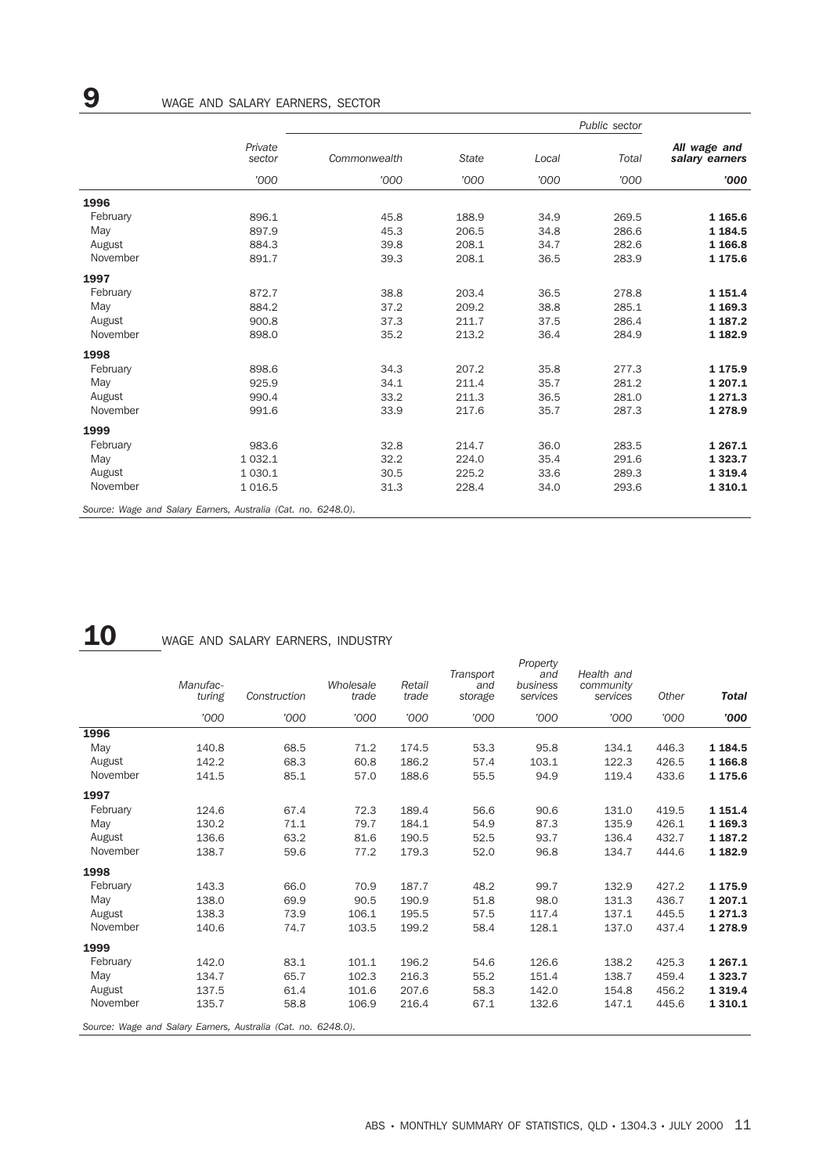|          |                                                               |              |              |       | Public sector |                                |
|----------|---------------------------------------------------------------|--------------|--------------|-------|---------------|--------------------------------|
|          | Private<br>sector                                             | Commonwealth | <b>State</b> | Local | Total         | All wage and<br>salary earners |
|          | '000                                                          | '000         | '000         | '000  | '000          | '000                           |
| 1996     |                                                               |              |              |       |               |                                |
| February | 896.1                                                         | 45.8         | 188.9        | 34.9  | 269.5         | 1 1 65.6                       |
| May      | 897.9                                                         | 45.3         | 206.5        | 34.8  | 286.6         | 1 184.5                        |
| August   | 884.3                                                         | 39.8         | 208.1        | 34.7  | 282.6         | 1 1 66.8                       |
| November | 891.7                                                         | 39.3         | 208.1        | 36.5  | 283.9         | 1 175.6                        |
| 1997     |                                                               |              |              |       |               |                                |
| February | 872.7                                                         | 38.8         | 203.4        | 36.5  | 278.8         | 1 1 5 1 . 4                    |
| May      | 884.2                                                         | 37.2         | 209.2        | 38.8  | 285.1         | 1 169.3                        |
| August   | 900.8                                                         | 37.3         | 211.7        | 37.5  | 286.4         | 1 187.2                        |
| November | 898.0                                                         | 35.2         | 213.2        | 36.4  | 284.9         | 1 182.9                        |
| 1998     |                                                               |              |              |       |               |                                |
| February | 898.6                                                         | 34.3         | 207.2        | 35.8  | 277.3         | 1 175.9                        |
| May      | 925.9                                                         | 34.1         | 211.4        | 35.7  | 281.2         | 1 207.1                        |
| August   | 990.4                                                         | 33.2         | 211.3        | 36.5  | 281.0         | 1 271.3                        |
| November | 991.6                                                         | 33.9         | 217.6        | 35.7  | 287.3         | 1 278.9                        |
| 1999     |                                                               |              |              |       |               |                                |
| February | 983.6                                                         | 32.8         | 214.7        | 36.0  | 283.5         | 1 2 6 7 . 1                    |
| May      | 1 0 3 2.1                                                     | 32.2         | 224.0        | 35.4  | 291.6         | 1 3 2 3 . 7                    |
| August   | 1 0 3 0.1                                                     | 30.5         | 225.2        | 33.6  | 289.3         | 1 3 1 9.4                      |
| November | 1 0 1 6.5                                                     | 31.3         | 228.4        | 34.0  | 293.6         | 1 3 1 0.1                      |
|          | Source: Wage and Salary Earners, Australia (Cat. no. 6248.0). |              |              |       |               |                                |

# 10 WAGE AND SALARY EARNERS, INDUSTRY

|          | Manufac-<br>turing | Construction                                                  | Wholesale<br>trade | Retail<br>trade | Transport<br>and<br>storage | Property<br>and<br>business<br>services | Health and<br>community<br>services | Other | <b>Total</b> |
|----------|--------------------|---------------------------------------------------------------|--------------------|-----------------|-----------------------------|-----------------------------------------|-------------------------------------|-------|--------------|
|          | '000               | '000                                                          | '000               | '000            | '000                        | '000                                    | '000                                | '000  | '000         |
| 1996     |                    |                                                               |                    |                 |                             |                                         |                                     |       |              |
| May      | 140.8              | 68.5                                                          | 71.2               | 174.5           | 53.3                        | 95.8                                    | 134.1                               | 446.3 | 1 1 8 4 .5   |
| August   | 142.2              | 68.3                                                          | 60.8               | 186.2           | 57.4                        | 103.1                                   | 122.3                               | 426.5 | 1 1 66.8     |
| November | 141.5              | 85.1                                                          | 57.0               | 188.6           | 55.5                        | 94.9                                    | 119.4                               | 433.6 | 1 175.6      |
| 1997     |                    |                                                               |                    |                 |                             |                                         |                                     |       |              |
| February | 124.6              | 67.4                                                          | 72.3               | 189.4           | 56.6                        | 90.6                                    | 131.0                               | 419.5 | 1 1 5 1 . 4  |
| May      | 130.2              | 71.1                                                          | 79.7               | 184.1           | 54.9                        | 87.3                                    | 135.9                               | 426.1 | 1 1 69.3     |
| August   | 136.6              | 63.2                                                          | 81.6               | 190.5           | 52.5                        | 93.7                                    | 136.4                               | 432.7 | 1 187.2      |
| November | 138.7              | 59.6                                                          | 77.2               | 179.3           | 52.0                        | 96.8                                    | 134.7                               | 444.6 | 1 182.9      |
| 1998     |                    |                                                               |                    |                 |                             |                                         |                                     |       |              |
| February | 143.3              | 66.0                                                          | 70.9               | 187.7           | 48.2                        | 99.7                                    | 132.9                               | 427.2 | 1 175.9      |
| May      | 138.0              | 69.9                                                          | 90.5               | 190.9           | 51.8                        | 98.0                                    | 131.3                               | 436.7 | 1 207.1      |
| August   | 138.3              | 73.9                                                          | 106.1              | 195.5           | 57.5                        | 117.4                                   | 137.1                               | 445.5 | 1 2 7 1 . 3  |
| November | 140.6              | 74.7                                                          | 103.5              | 199.2           | 58.4                        | 128.1                                   | 137.0                               | 437.4 | 1 2 7 8.9    |
| 1999     |                    |                                                               |                    |                 |                             |                                         |                                     |       |              |
| February | 142.0              | 83.1                                                          | 101.1              | 196.2           | 54.6                        | 126.6                                   | 138.2                               | 425.3 | 1 2 6 7 . 1  |
| May      | 134.7              | 65.7                                                          | 102.3              | 216.3           | 55.2                        | 151.4                                   | 138.7                               | 459.4 | 1 3 2 3 . 7  |
| August   | 137.5              | 61.4                                                          | 101.6              | 207.6           | 58.3                        | 142.0                                   | 154.8                               | 456.2 | 1 3 1 9 . 4  |
| November | 135.7              | 58.8                                                          | 106.9              | 216.4           | 67.1                        | 132.6                                   | 147.1                               | 445.6 | 1 3 1 0.1    |
|          |                    | Source: Wage and Salary Earners, Australia (Cat. no. 6248.0). |                    |                 |                             |                                         |                                     |       |              |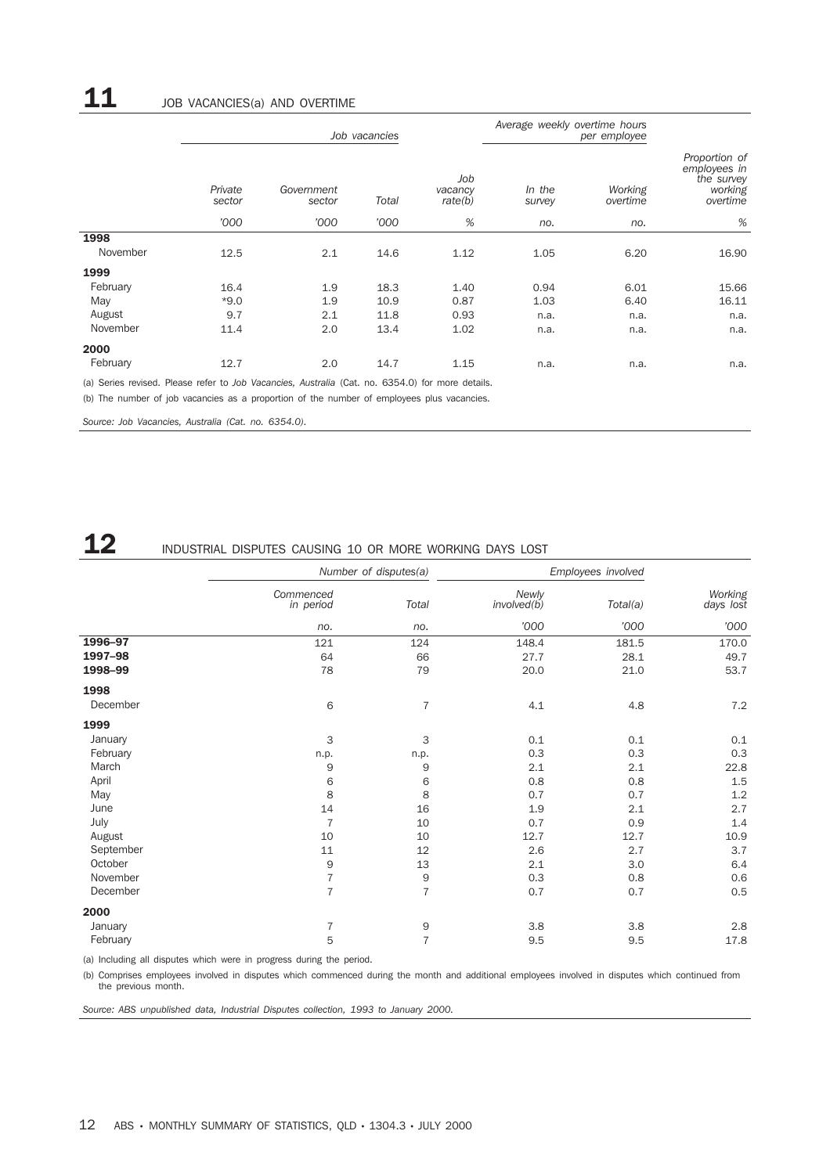|          |                   |                      | Job vacancies |                           | Average weekly overtime hours |                     |                                                                    |
|----------|-------------------|----------------------|---------------|---------------------------|-------------------------------|---------------------|--------------------------------------------------------------------|
|          | Private<br>sector | Government<br>sector | Total         | Job<br>vacancy<br>rate(b) | In the<br>survey              | Working<br>overtime | Proportion of<br>employees in<br>the survey<br>working<br>overtime |
|          | '000              | '000                 | '000          | %                         | no.                           | no.                 | %                                                                  |
| 1998     |                   |                      |               |                           |                               |                     |                                                                    |
| November | 12.5              | 2.1                  | 14.6          | 1.12                      | 1.05                          | 6.20                | 16.90                                                              |
| 1999     |                   |                      |               |                           |                               |                     |                                                                    |
| February | 16.4              | 1.9                  | 18.3          | 1.40                      | 0.94                          | 6.01                | 15.66                                                              |
| May      | $*9.0$            | 1.9                  | 10.9          | 0.87                      | 1.03                          | 6.40                | 16.11                                                              |
| August   | 9.7               | 2.1                  | 11.8          | 0.93                      | n.a.                          | n.a.                | n.a.                                                               |
| November | 11.4              | 2.0                  | 13.4          | 1.02                      | n.a.                          | n.a.                | n.a.                                                               |
| 2000     |                   |                      |               |                           |                               |                     |                                                                    |
| February | 12.7              | 2.0                  | 14.7          | 1.15                      | n.a.                          | n.a.                | n.a.                                                               |

(a) Series revised. Please refer to *Job Vacancies, Australia* (Cat. no. 6354.0) for more details.

(b) The number of job vacancies as a proportion of the number of employees plus vacancies.

*Source: Job Vacancies, Australia (Cat. no. 6354.0).*

## 12 INDUSTRIAL DISPUTES CAUSING 10 OR MORE WORKING DAYS LOST

|           |                        | Number of disputes(a) |                      | Employees involved |                      |
|-----------|------------------------|-----------------------|----------------------|--------------------|----------------------|
|           | Commenced<br>in period | <b>Total</b>          | Newly<br>involved(b) | Total(a)           | Working<br>days lost |
|           | no.                    | no.                   | '000                 | '000               | '000                 |
| 1996-97   | 121                    | 124                   | 148.4                | 181.5              | 170.0                |
| 1997-98   | 64                     | 66                    | 27.7                 | 28.1               | 49.7                 |
| 1998-99   | 78                     | 79                    | 20.0                 | 21.0               | 53.7                 |
| 1998      |                        |                       |                      |                    |                      |
| December  | 6                      | $\overline{7}$        | 4.1                  | 4.8                | 7.2                  |
| 1999      |                        |                       |                      |                    |                      |
| January   | 3                      | 3                     | 0.1                  | 0.1                | 0.1                  |
| February  | n.p.                   | n.p.                  | 0.3                  | 0.3                | 0.3                  |
| March     | $9$                    | 9                     | 2.1                  | 2.1                | 22.8                 |
| April     | 6                      | 6                     | 0.8                  | 0.8                | 1.5                  |
| May       | 8                      | 8                     | 0.7                  | 0.7                | 1.2                  |
| June      | 14                     | 16                    | 1.9                  | 2.1                | 2.7                  |
| July      | $\overline{7}$         | 10                    | 0.7                  | 0.9                | 1.4                  |
| August    | 10                     | 10                    | 12.7                 | 12.7               | 10.9                 |
| September | 11                     | 12                    | 2.6                  | 2.7                | 3.7                  |
| October   | 9                      | 13                    | 2.1                  | 3.0                | 6.4                  |
| November  | $\overline{7}$         | 9                     | 0.3                  | 0.8                | 0.6                  |
| December  | $\overline{7}$         | $\overline{7}$        | 0.7                  | 0.7                | 0.5                  |
| 2000      |                        |                       |                      |                    |                      |
| January   | 7                      | 9                     | 3.8                  | 3.8                | 2.8                  |
| February  | 5                      | $\overline{7}$        | 9.5                  | 9.5                | 17.8                 |

(a) Including all disputes which were in progress during the period.

(b) Comprises employees involved in disputes which commenced during the month and additional employees involved in disputes which continued from the previous month.

*Source: ABS unpublished data, Industrial Disputes collection, 1993 to January 2000.*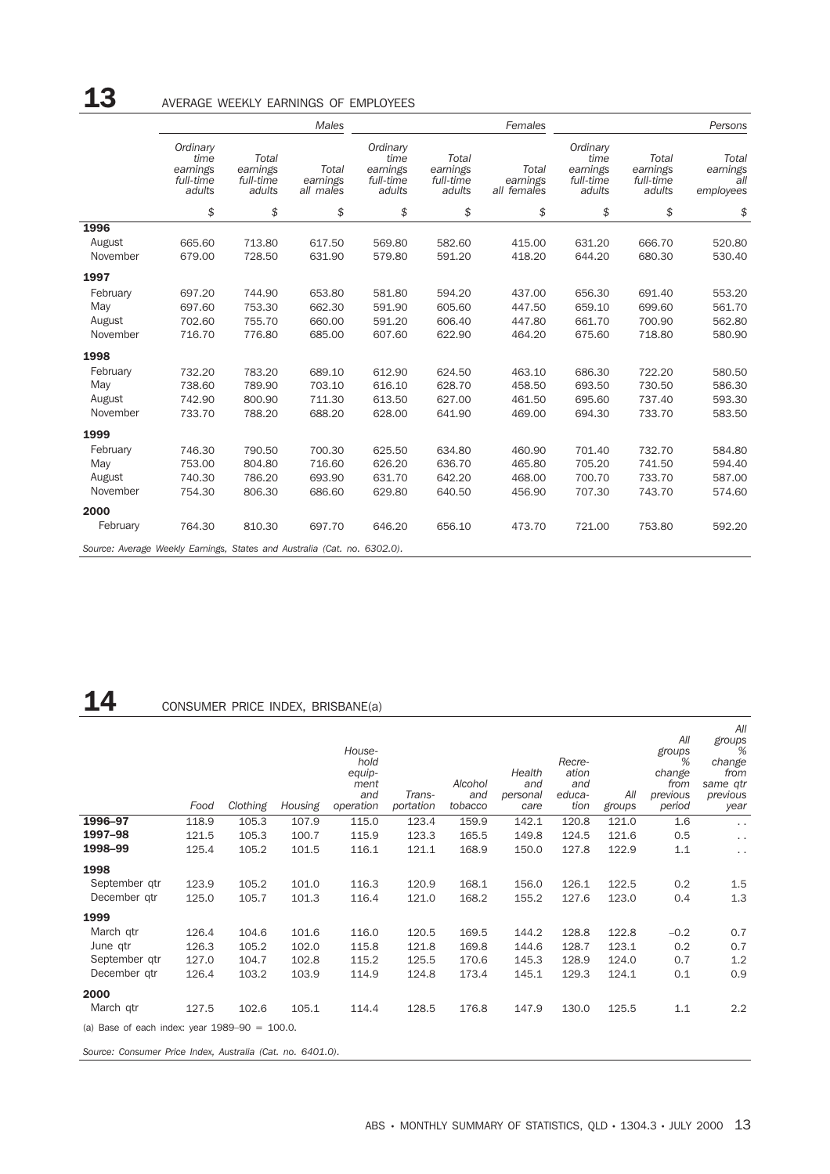|                                                                          |                                                     |                                          | Males                          |                                                     |                                          | Females                          | Persons                                             |                                          |                                       |  |
|--------------------------------------------------------------------------|-----------------------------------------------------|------------------------------------------|--------------------------------|-----------------------------------------------------|------------------------------------------|----------------------------------|-----------------------------------------------------|------------------------------------------|---------------------------------------|--|
|                                                                          | Ordinary<br>time<br>earnings<br>full-time<br>adults | Total<br>earnings<br>full-time<br>adults | Total<br>earnings<br>all males | Ordinary<br>time<br>earnings<br>full-time<br>adults | Total<br>earnings<br>full-time<br>adults | Total<br>earnings<br>all females | Ordinary<br>time<br>earnings<br>full-time<br>adults | Total<br>earnings<br>full-time<br>adults | Total<br>earnings<br>all<br>employees |  |
|                                                                          | \$                                                  | \$                                       | \$                             | \$                                                  | \$                                       | \$                               | \$                                                  | \$                                       | \$                                    |  |
| 1996                                                                     |                                                     |                                          |                                |                                                     |                                          |                                  |                                                     |                                          |                                       |  |
| August                                                                   | 665.60                                              | 713.80                                   | 617.50                         | 569.80                                              | 582.60                                   | 415.00                           | 631.20                                              | 666.70                                   | 520.80                                |  |
| November                                                                 | 679.00                                              | 728.50                                   | 631.90                         | 579.80                                              | 591.20                                   | 418.20                           | 644.20                                              | 680.30                                   | 530.40                                |  |
| 1997                                                                     |                                                     |                                          |                                |                                                     |                                          |                                  |                                                     |                                          |                                       |  |
| February                                                                 | 697.20                                              | 744.90                                   | 653.80                         | 581.80                                              | 594.20                                   | 437.00                           | 656.30                                              | 691.40                                   | 553.20                                |  |
| May                                                                      | 697.60                                              | 753.30                                   | 662.30                         | 591.90                                              | 605.60                                   | 447.50                           | 659.10                                              | 699.60                                   | 561.70                                |  |
| August                                                                   | 702.60                                              | 755.70                                   | 660.00                         | 591.20                                              | 606.40                                   | 447.80                           | 661.70                                              | 700.90                                   | 562.80                                |  |
| November                                                                 | 716.70                                              | 776.80                                   | 685.00                         | 607.60                                              | 622.90                                   | 464.20                           | 675.60                                              | 718.80                                   | 580.90                                |  |
| 1998                                                                     |                                                     |                                          |                                |                                                     |                                          |                                  |                                                     |                                          |                                       |  |
| February                                                                 | 732.20                                              | 783.20                                   | 689.10                         | 612.90                                              | 624.50                                   | 463.10                           | 686.30                                              | 722.20                                   | 580.50                                |  |
| May                                                                      | 738.60                                              | 789.90                                   | 703.10                         | 616.10                                              | 628.70                                   | 458.50                           | 693.50                                              | 730.50                                   | 586.30                                |  |
| August                                                                   | 742.90                                              | 800.90                                   | 711.30                         | 613.50                                              | 627.00                                   | 461.50                           | 695.60                                              | 737.40                                   | 593.30                                |  |
| November                                                                 | 733.70                                              | 788.20                                   | 688.20                         | 628.00                                              | 641.90                                   | 469.00                           | 694.30                                              | 733.70                                   | 583.50                                |  |
| 1999                                                                     |                                                     |                                          |                                |                                                     |                                          |                                  |                                                     |                                          |                                       |  |
| February                                                                 | 746.30                                              | 790.50                                   | 700.30                         | 625.50                                              | 634.80                                   | 460.90                           | 701.40                                              | 732.70                                   | 584.80                                |  |
| May                                                                      | 753.00                                              | 804.80                                   | 716.60                         | 626.20                                              | 636.70                                   | 465.80                           | 705.20                                              | 741.50                                   | 594.40                                |  |
| August                                                                   | 740.30                                              | 786.20                                   | 693.90                         | 631.70                                              | 642.20                                   | 468.00                           | 700.70                                              | 733.70                                   | 587.00                                |  |
| November                                                                 | 754.30                                              | 806.30                                   | 686.60                         | 629.80                                              | 640.50                                   | 456.90                           | 707.30                                              | 743.70                                   | 574.60                                |  |
| 2000                                                                     |                                                     |                                          |                                |                                                     |                                          |                                  |                                                     |                                          |                                       |  |
| February                                                                 | 764.30                                              | 810.30                                   | 697.70                         | 646.20                                              | 656.10                                   | 473.70                           | 721.00                                              | 753.80                                   | 592.20                                |  |
| Source: Average Weekly Earnings, States and Australia (Cat. no. 6302.0). |                                                     |                                          |                                |                                                     |                                          |                                  |                                                     |                                          |                                       |  |

# 14 CONSUMER PRICE INDEX, BRISBANE(a)

|                                                  | Food  | Clothing | Housing | House-<br>hold<br>equip-<br>ment<br>and<br>operation | Trans-<br>portation | Alcohol<br>and<br>tobacco | Health<br>and<br>personal<br>care | Recre-<br>ation<br>and<br>educa-<br>tion | All<br>groups | All<br>groups<br>%<br>change<br>from<br>previous<br>period | All<br>$g$ roups<br>change<br>from<br>same qtr<br>previous<br>year |
|--------------------------------------------------|-------|----------|---------|------------------------------------------------------|---------------------|---------------------------|-----------------------------------|------------------------------------------|---------------|------------------------------------------------------------|--------------------------------------------------------------------|
| 1996-97                                          | 118.9 | 105.3    | 107.9   | 115.0                                                | 123.4               | 159.9                     | 142.1                             | 120.8                                    | 121.0         | 1.6                                                        | $\sim$ $\sim$                                                      |
| 1997-98                                          | 121.5 | 105.3    | 100.7   | 115.9                                                | 123.3               | 165.5                     | 149.8                             | 124.5                                    | 121.6         | 0.5                                                        | $\sim$ $\sim$                                                      |
| 1998-99                                          | 125.4 | 105.2    | 101.5   | 116.1                                                | 121.1               | 168.9                     | 150.0                             | 127.8                                    | 122.9         | 1.1                                                        | $\sim$ $\sim$                                                      |
| 1998                                             |       |          |         |                                                      |                     |                           |                                   |                                          |               |                                                            |                                                                    |
| September gtr                                    | 123.9 | 105.2    | 101.0   | 116.3                                                | 120.9               | 168.1                     | 156.0                             | 126.1                                    | 122.5         | 0.2                                                        | 1.5                                                                |
| December qtr                                     | 125.0 | 105.7    | 101.3   | 116.4                                                | 121.0               | 168.2                     | 155.2                             | 127.6                                    | 123.0         | 0.4                                                        | 1.3                                                                |
| 1999                                             |       |          |         |                                                      |                     |                           |                                   |                                          |               |                                                            |                                                                    |
| March gtr                                        | 126.4 | 104.6    | 101.6   | 116.0                                                | 120.5               | 169.5                     | 144.2                             | 128.8                                    | 122.8         | $-0.2$                                                     | 0.7                                                                |
| June gtr                                         | 126.3 | 105.2    | 102.0   | 115.8                                                | 121.8               | 169.8                     | 144.6                             | 128.7                                    | 123.1         | 0.2                                                        | 0.7                                                                |
| September gtr                                    | 127.0 | 104.7    | 102.8   | 115.2                                                | 125.5               | 170.6                     | 145.3                             | 128.9                                    | 124.0         | 0.7                                                        | 1.2                                                                |
| December gtr                                     | 126.4 | 103.2    | 103.9   | 114.9                                                | 124.8               | 173.4                     | 145.1                             | 129.3                                    | 124.1         | 0.1                                                        | 0.9                                                                |
| 2000                                             |       |          |         |                                                      |                     |                           |                                   |                                          |               |                                                            |                                                                    |
| March qtr                                        | 127.5 | 102.6    | 105.1   | 114.4                                                | 128.5               | 176.8                     | 147.9                             | 130.0                                    | 125.5         | 1.1                                                        | 2.2                                                                |
| (a) Base of each index: year $1989-90 = 100.0$ . |       |          |         |                                                      |                     |                           |                                   |                                          |               |                                                            |                                                                    |

*Source: Consumer Price Index, Australia (Cat. no. 6401.0).*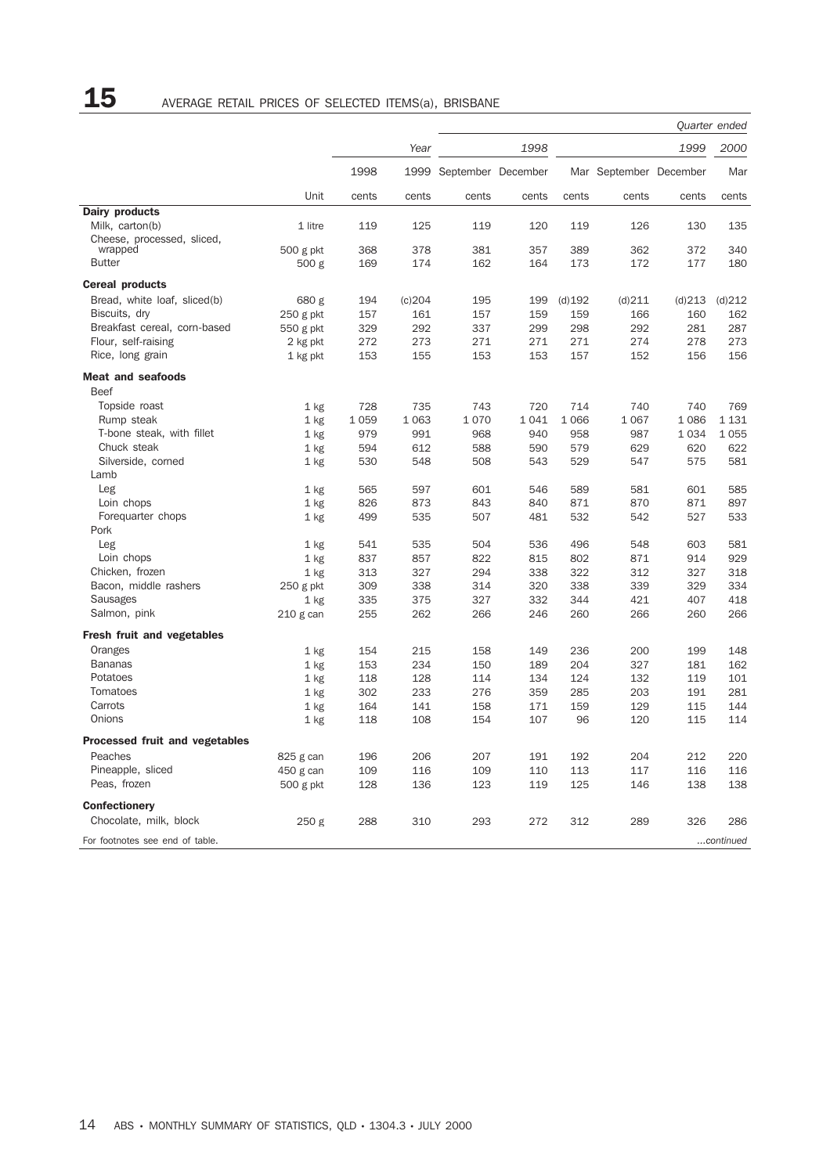|                                   |                     |            |            |                         | Quarter ended |            |                        |            |            |
|-----------------------------------|---------------------|------------|------------|-------------------------|---------------|------------|------------------------|------------|------------|
|                                   |                     |            | Year       |                         | 1998          |            |                        | 1999       | 2000       |
|                                   |                     | 1998       |            | 1999 September December |               |            | Mar September December |            | Mar        |
|                                   | Unit                | cents      | cents      | cents                   | cents         | cents      | cents                  | cents      | cents      |
| Dairy products                    |                     |            |            |                         |               |            |                        |            |            |
| Milk, carton(b)                   | 1 litre             | 119        | 125        | 119                     | 120           | 119        | 126                    | 130        | 135        |
| Cheese, processed, sliced,        |                     |            |            |                         |               |            |                        |            | 340        |
| wrapped<br><b>Butter</b>          | 500 g pkt<br>500 g  | 368<br>169 | 378<br>174 | 381<br>162              | 357<br>164    | 389<br>173 | 362<br>172             | 372<br>177 | 180        |
|                                   |                     |            |            |                         |               |            |                        |            |            |
| <b>Cereal products</b>            |                     |            |            |                         |               |            |                        |            |            |
| Bread, white loaf, sliced(b)      | 680 g               | 194        | (c)204     | 195                     | 199           | $(d)$ 192  | (d)211                 | (d)213     | (d)212     |
| Biscuits, dry                     | 250 g pkt           | 157        | 161        | 157                     | 159           | 159        | 166                    | 160        | 162        |
| Breakfast cereal, corn-based      | 550 g pkt           | 329        | 292        | 337                     | 299           | 298        | 292                    | 281        | 287        |
| Flour, self-raising               | 2 kg pkt            | 272        | 273        | 271                     | 271           | 271        | 274                    | 278        | 273        |
| Rice, long grain                  | 1 kg pkt            | 153        | 155        | 153                     | 153           | 157        | 152                    | 156        | 156        |
| <b>Meat and seafoods</b>          |                     |            |            |                         |               |            |                        |            |            |
| <b>Beef</b>                       |                     |            |            |                         |               |            |                        |            |            |
| Topside roast                     | 1 kg                | 728        | 735        | 743                     | 720           | 714        | 740                    | 740        | 769        |
| Rump steak                        | $1$ kg              | 1 0 5 9    | 1 0 6 3    | 1070                    | 1041          | 1 0 6 6    | 1 0 6 7                | 1086       | 1 1 3 1    |
| T-bone steak, with fillet         | $1$ kg              | 979        | 991        | 968                     | 940           | 958        | 987                    | 1034       | 1055       |
| Chuck steak                       | $1$ kg              | 594        | 612        | 588                     | 590           | 579        | 629                    | 620        | 622        |
| Silverside, corned                | $1$ kg              | 530        | 548        | 508                     | 543           | 529        | 547                    | 575        | 581        |
| Lamb                              |                     |            |            |                         |               |            |                        |            |            |
| Leg                               | $1$ kg              | 565        | 597        | 601                     | 546           | 589        | 581                    | 601        | 585        |
| Loin chops                        | $1$ kg              | 826        | 873        | 843                     | 840           | 871        | 870                    | 871        | 897        |
| Foreguarter chops                 | 1 kg                | 499        | 535        | 507                     | 481           | 532        | 542                    | 527        | 533        |
| Pork                              |                     |            |            |                         |               |            |                        |            |            |
| Leg                               | $1$ kg              | 541        | 535        | 504                     | 536           | 496        | 548                    | 603        | 581        |
| Loin chops<br>Chicken, frozen     | 1 kg                | 837<br>313 | 857<br>327 | 822<br>294              | 815<br>338    | 802<br>322 | 871<br>312             | 914<br>327 | 929<br>318 |
| Bacon, middle rashers             | $1$ kg<br>250 g pkt | 309        | 338        | 314                     | 320           | 338        | 339                    | 329        | 334        |
| Sausages                          | $1$ kg              | 335        | 375        | 327                     | 332           | 344        | 421                    | 407        | 418        |
| Salmon, pink                      | 210 g can           | 255        | 262        | 266                     | 246           | 260        | 266                    | 260        | 266        |
| <b>Fresh fruit and vegetables</b> |                     |            |            |                         |               |            |                        |            |            |
| Oranges                           |                     | 154        | 215        | 158                     | 149           | 236        | 200                    | 199        | 148        |
| <b>Bananas</b>                    | $1$ kg<br>$1$ kg    | 153        | 234        | 150                     | 189           | 204        | 327                    | 181        | 162        |
| Potatoes                          | $1$ kg              | 118        | 128        | 114                     | 134           | 124        | 132                    | 119        | 101        |
| Tomatoes                          | $1$ kg              | 302        | 233        | 276                     | 359           | 285        | 203                    | 191        | 281        |
| Carrots                           | $1$ kg              | 164        | 141        | 158                     | 171           | 159        | 129                    | 115        | 144        |
| Onions                            | $1$ kg              | 118        | 108        | 154                     | 107           | 96         | 120                    | 115        | 114        |
| Processed fruit and vegetables    |                     |            |            |                         |               |            |                        |            |            |
| Peaches                           | 825 g can           | 196        | 206        | 207                     | 191           | 192        | 204                    | 212        | 220        |
| Pineapple, sliced                 | 450 g can           | 109        | 116        | 109                     | 110           | 113        | 117                    | 116        | 116        |
| Peas, frozen                      | 500 g pkt           | 128        | 136        | 123                     | 119           | 125        | 146                    | 138        | 138        |
|                                   |                     |            |            |                         |               |            |                        |            |            |
| Confectionery                     |                     |            |            |                         |               |            |                        |            |            |
| Chocolate, milk, block            | 250 g               | 288        | 310        | 293                     | 272           | 312        | 289                    | 326        | 286        |
| For footnotes see end of table.   |                     |            |            |                         |               |            |                        |            | continued  |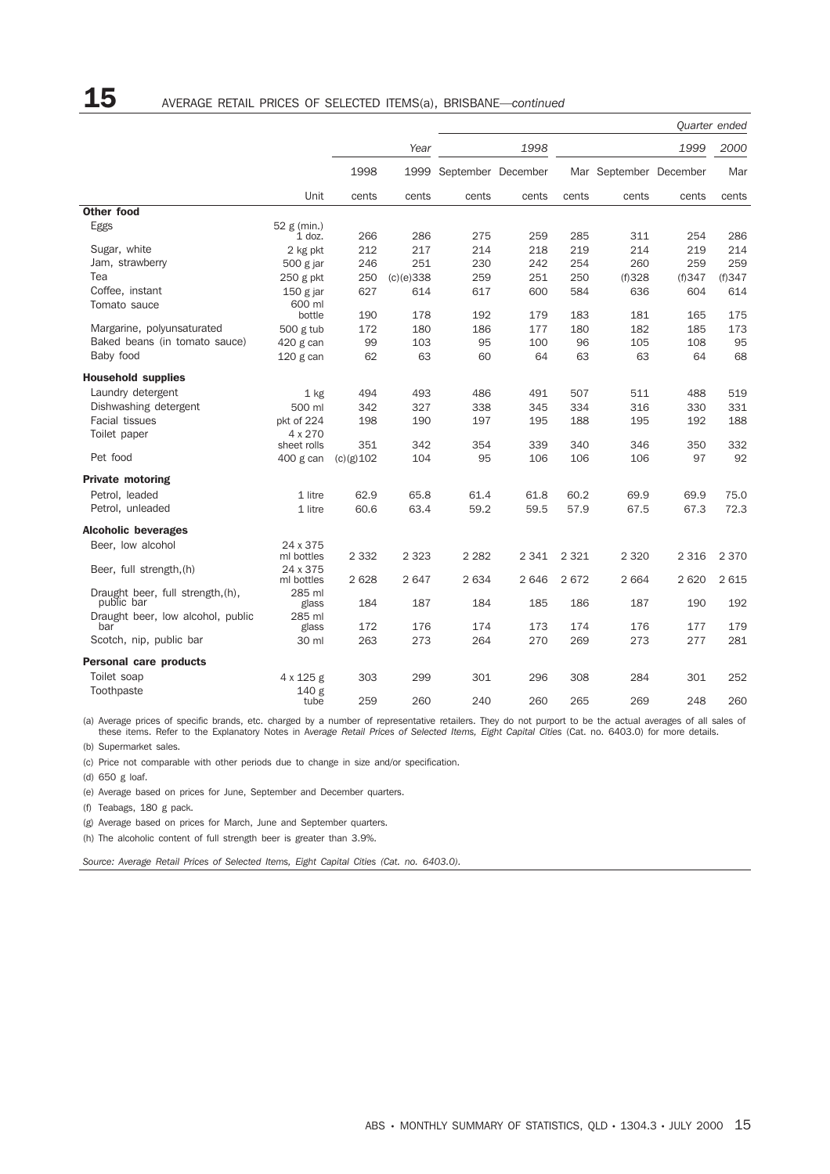## 15 AVERAGE RETAIL PRICES OF SELECTED ITEMS(a), BRISBANE—*continued*

|                                                 |                         |              |           |                         |         |         |                        |         | Quarter ended |
|-------------------------------------------------|-------------------------|--------------|-----------|-------------------------|---------|---------|------------------------|---------|---------------|
|                                                 |                         |              | Year      |                         | 1998    |         |                        | 1999    | 2000          |
|                                                 |                         | 1998         |           | 1999 September December |         |         | Mar September December |         | Mar           |
|                                                 | Unit                    | cents        | cents     | cents                   | cents   | cents   | cents                  | cents   | cents         |
| <b>Other food</b>                               |                         |              |           |                         |         |         |                        |         |               |
| Eggs                                            | 52 g (min.)<br>$1$ doz. | 266          | 286       | 275                     | 259     | 285     | 311                    | 254     | 286           |
| Sugar, white                                    | 2 kg pkt                | 212          | 217       | 214                     | 218     | 219     | 214                    | 219     | 214           |
| Jam, strawberry                                 | 500 g jar               | 246          | 251       | 230                     | 242     | 254     | 260                    | 259     | 259           |
| Tea                                             | $250$ g pkt             | 250          | (c)(e)338 | 259                     | 251     | 250     | (f)328                 | (f)347  | (f)347        |
| Coffee, instant                                 | $150$ g jar             | 627          | 614       | 617                     | 600     | 584     | 636                    | 604     | 614           |
| Tomato sauce                                    | 600 ml                  |              |           |                         |         |         |                        |         |               |
|                                                 | bottle                  | 190          | 178       | 192                     | 179     | 183     | 181                    | 165     | 175           |
| Margarine, polyunsaturated                      | 500 g tub               | 172          | 180       | 186                     | 177     | 180     | 182                    | 185     | 173           |
| Baked beans (in tomato sauce)                   | 420 g can               | 99           | 103       | 95                      | 100     | 96      | 105                    | 108     | 95            |
| Baby food                                       | $120$ g can             | 62           | 63        | 60                      | 64      | 63      | 63                     | 64      | 68            |
| <b>Household supplies</b>                       |                         |              |           |                         |         |         |                        |         |               |
| Laundry detergent                               | $1$ kg                  | 494          | 493       | 486                     | 491     | 507     | 511                    | 488     | 519           |
| Dishwashing detergent                           | 500 ml                  | 342          | 327       | 338                     | 345     | 334     | 316                    | 330     | 331           |
| <b>Facial tissues</b>                           | pkt of 224              | 198          | 190       | 197                     | 195     | 188     | 195                    | 192     | 188           |
| Toilet paper                                    | 4 x 270                 |              |           |                         |         |         |                        |         |               |
|                                                 | sheet rolls             | 351          | 342       | 354                     | 339     | 340     | 346                    | 350     | 332           |
| Pet food                                        | 400 g can               | $(c)(g)$ 102 | 104       | 95                      | 106     | 106     | 106                    | 97      | 92            |
| <b>Private motoring</b>                         |                         |              |           |                         |         |         |                        |         |               |
| Petrol, leaded                                  | 1 litre                 | 62.9         | 65.8      | 61.4                    | 61.8    | 60.2    | 69.9                   | 69.9    | 75.0          |
| Petrol, unleaded                                | 1 litre                 | 60.6         | 63.4      | 59.2                    | 59.5    | 57.9    | 67.5                   | 67.3    | 72.3          |
| <b>Alcoholic beverages</b>                      |                         |              |           |                         |         |         |                        |         |               |
| Beer, low alcohol                               | 24 x 375                |              |           |                         |         |         |                        |         |               |
|                                                 | ml bottles              | 2 3 3 2      | 2 3 2 3   | 2 2 8 2                 | 2 3 4 1 | 2 3 2 1 | 2 3 2 0                | 2 3 1 6 | 2 3 7 0       |
| Beer, full strength, (h)                        | 24 x 375<br>ml bottles  | 2628         | 2647      | 2634                    | 2646    | 2672    | 2 6 6 4                | 2620    | 2 6 1 5       |
| Draught beer, full strength, (h),<br>public bar | 285 ml<br>glass         | 184          | 187       | 184                     | 185     | 186     | 187                    | 190     | 192           |
| Draught beer, low alcohol, public               | 285 ml                  |              |           |                         |         |         |                        |         |               |
| bar                                             | glass                   | 172          | 176       | 174                     | 173     | 174     | 176                    | 177     | 179           |
| Scotch, nip, public bar                         | 30 ml                   | 263          | 273       | 264                     | 270     | 269     | 273                    | 277     | 281           |
| <b>Personal care products</b>                   |                         |              |           |                         |         |         |                        |         |               |
| Toilet soap                                     | 4 x 125 g               | 303          | 299       | 301                     | 296     | 308     | 284                    | 301     | 252           |
| Toothpaste                                      | 140 g<br>tube           | 259          | 260       | 240                     | 260     | 265     | 269                    | 248     | 260           |

(a) Average prices of specific brands, etc. charged by a number of representative retailers. They do not purport to be the actual averages of all sales of these items. Refer to the Explanatory Notes in Average Retail Price

(b) Supermarket sales.

(c) Price not comparable with other periods due to change in size and/or specification.

(d) 650 g loaf.

(e) Average based on prices for June, September and December quarters.

(f) Teabags, 180 g pack.

(g) Average based on prices for March, June and September quarters.

(h) The alcoholic content of full strength beer is greater than 3.9%.

*Source: Average Retail Prices of Selected Items, Eight Capital Cities (Cat. no. 6403.0).*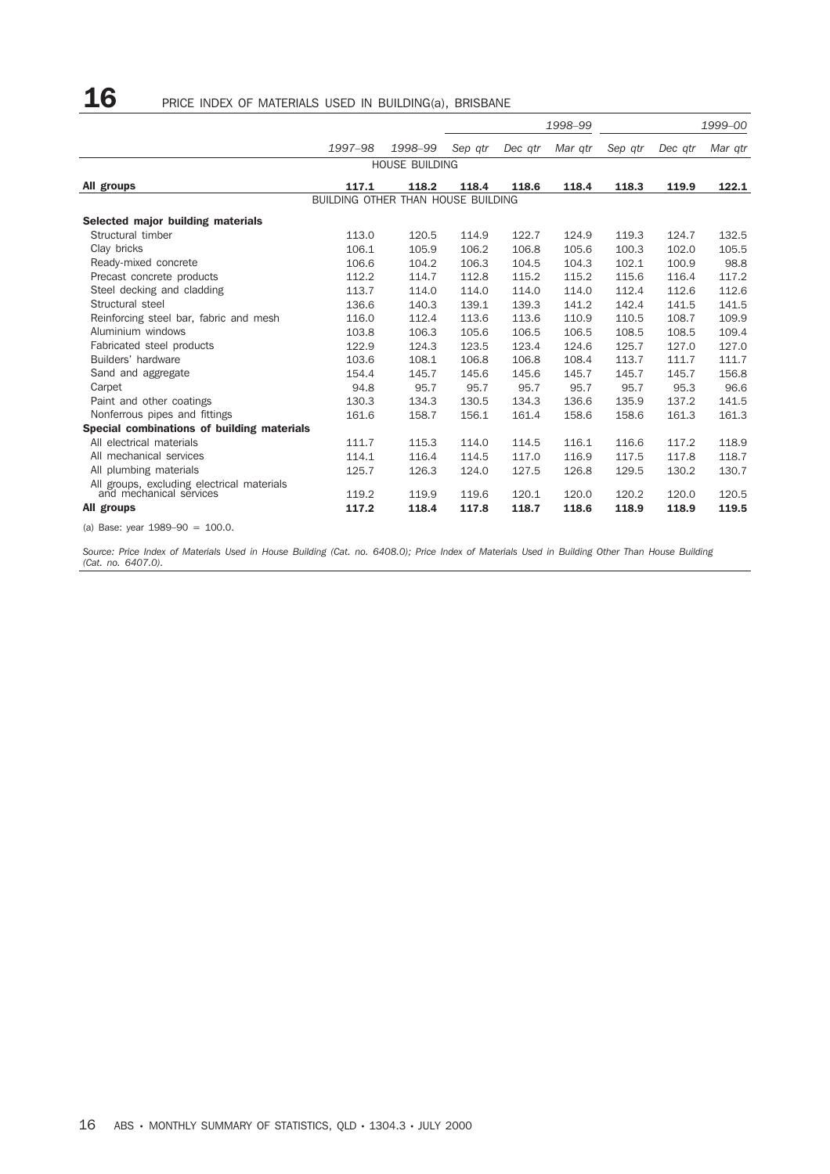# ${\bf 16}$  PRICE INDEX OF MATERIALS USED IN BUILDING(a), BRISBANE

|                                            |                                    |                       |         |         | 1998-99 | 1999-00 |         |         |
|--------------------------------------------|------------------------------------|-----------------------|---------|---------|---------|---------|---------|---------|
|                                            | 1997-98                            | 1998-99               | Sep gtr | Dec atr | Mar gtr | Sep atr | Dec atr | Mar gtr |
|                                            |                                    | <b>HOUSE BUILDING</b> |         |         |         |         |         |         |
| All groups                                 | 117.1                              | 118.2                 | 118.4   | 118.6   | 118.4   | 118.3   | 119.9   | 122.1   |
|                                            | BUILDING OTHER THAN HOUSE BUILDING |                       |         |         |         |         |         |         |
| Selected major building materials          |                                    |                       |         |         |         |         |         |         |
| Structural timber                          | 113.0                              | 120.5                 | 114.9   | 122.7   | 124.9   | 119.3   | 124.7   | 132.5   |
| Clay bricks                                | 106.1                              | 105.9                 | 106.2   | 106.8   | 105.6   | 100.3   | 102.0   | 105.5   |
| Ready-mixed concrete                       | 106.6                              | 104.2                 | 106.3   | 104.5   | 104.3   | 102.1   | 100.9   | 98.8    |
| Precast concrete products                  | 112.2                              | 114.7                 | 112.8   | 115.2   | 115.2   | 115.6   | 116.4   | 117.2   |
| Steel decking and cladding                 | 113.7                              | 114.0                 | 114.0   | 114.0   | 114.0   | 112.4   | 112.6   | 112.6   |
| Structural steel                           | 136.6                              | 140.3                 | 139.1   | 139.3   | 141.2   | 142.4   | 141.5   | 141.5   |
| Reinforcing steel bar, fabric and mesh     | 116.0                              | 112.4                 | 113.6   | 113.6   | 110.9   | 110.5   | 108.7   | 109.9   |
| Aluminium windows                          | 103.8                              | 106.3                 | 105.6   | 106.5   | 106.5   | 108.5   | 108.5   | 109.4   |
| Fabricated steel products                  | 122.9                              | 124.3                 | 123.5   | 123.4   | 124.6   | 125.7   | 127.0   | 127.0   |
| Builders' hardware                         | 103.6                              | 108.1                 | 106.8   | 106.8   | 108.4   | 113.7   | 111.7   | 111.7   |
| Sand and aggregate                         | 154.4                              | 145.7                 | 145.6   | 145.6   | 145.7   | 145.7   | 145.7   | 156.8   |
| Carpet                                     | 94.8                               | 95.7                  | 95.7    | 95.7    | 95.7    | 95.7    | 95.3    | 96.6    |
| Paint and other coatings                   | 130.3                              | 134.3                 | 130.5   | 134.3   | 136.6   | 135.9   | 137.2   | 141.5   |
| Nonferrous pipes and fittings              | 161.6                              | 158.7                 | 156.1   | 161.4   | 158.6   | 158.6   | 161.3   | 161.3   |
| Special combinations of building materials |                                    |                       |         |         |         |         |         |         |
| All electrical materials                   | 111.7                              | 115.3                 | 114.0   | 114.5   | 116.1   | 116.6   | 117.2   | 118.9   |
| All mechanical services                    | 114.1                              | 116.4                 | 114.5   | 117.0   | 116.9   | 117.5   | 117.8   | 118.7   |
| All plumbing materials                     | 125.7                              | 126.3                 | 124.0   | 127.5   | 126.8   | 129.5   | 130.2   | 130.7   |
| All groups, excluding electrical materials |                                    |                       |         |         |         |         |         |         |
| and mechanical services                    | 119.2                              | 119.9                 | 119.6   | 120.1   | 120.0   | 120.2   | 120.0   | 120.5   |
| All groups                                 | 117.2                              | 118.4                 | 117.8   | 118.7   | 118.6   | 118.9   | 118.9   | 119.5   |
| (a) Base: year $1989-90 = 100.0$ .         |                                    |                       |         |         |         |         |         |         |

*Source: Price Index of Materials Used in House Building (Cat. no. 6408.0); Price Index of Materials Used in Building Other Than House Building (Cat. no. 6407.0).*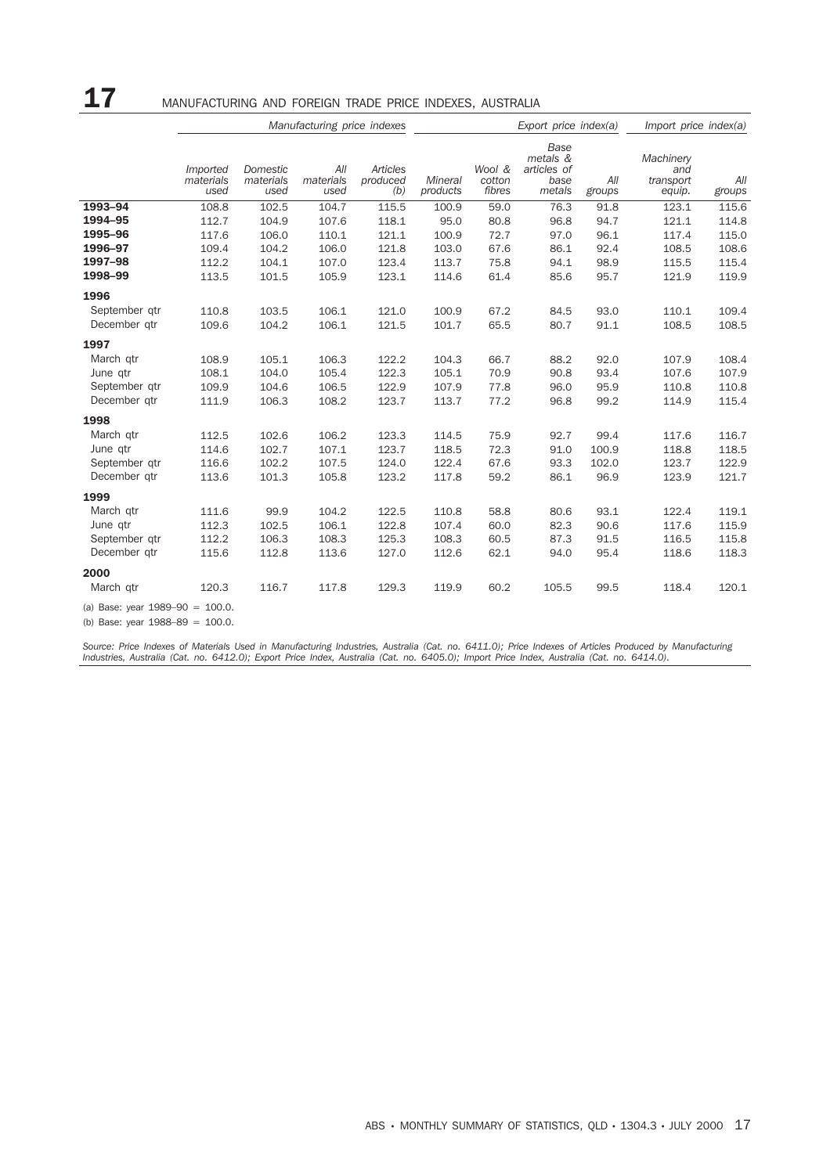# 17 MANUFACTURING AND FOREIGN TRADE PRICE INDEXES, AUSTRALIA

|                                                                          |                               |                               | Manufacturing price indexes |                             | Export price index(a)      |                            |                                                          |               | Import price index(a)                   |               |
|--------------------------------------------------------------------------|-------------------------------|-------------------------------|-----------------------------|-----------------------------|----------------------------|----------------------------|----------------------------------------------------------|---------------|-----------------------------------------|---------------|
|                                                                          | Imported<br>materials<br>used | Domestic<br>materials<br>used | All<br>materials<br>used    | Articles<br>produced<br>(b) | <b>Mineral</b><br>products | Wool &<br>cotton<br>fibres | <b>Base</b><br>metals &<br>articles of<br>base<br>metals | All<br>groups | Machinery<br>and<br>transport<br>equip. | All<br>groups |
| 1993-94                                                                  | 108.8                         | 102.5                         | 104.7                       | 115.5                       | 100.9                      | 59.0                       | 76.3                                                     | 91.8          | 123.1                                   | 115.6         |
| 1994-95                                                                  | 112.7                         | 104.9                         | 107.6                       | 118.1                       | 95.0                       | 80.8                       | 96.8                                                     | 94.7          | 121.1                                   | 114.8         |
| 1995-96                                                                  | 117.6                         | 106.0                         | 110.1                       | 121.1                       | 100.9                      | 72.7                       | 97.0                                                     | 96.1          | 117.4                                   | 115.0         |
| 1996-97                                                                  | 109.4                         | 104.2                         | 106.0                       | 121.8                       | 103.0                      | 67.6                       | 86.1                                                     | 92.4          | 108.5                                   | 108.6         |
| 1997-98                                                                  | 112.2                         | 104.1                         | 107.0                       | 123.4                       | 113.7                      | 75.8                       | 94.1                                                     | 98.9          | 115.5                                   | 115.4         |
| 1998-99                                                                  | 113.5                         | 101.5                         | 105.9                       | 123.1                       | 114.6                      | 61.4                       | 85.6                                                     | 95.7          | 121.9                                   | 119.9         |
| 1996                                                                     |                               |                               |                             |                             |                            |                            |                                                          |               |                                         |               |
| September qtr                                                            | 110.8                         | 103.5                         | 106.1                       | 121.0                       | 100.9                      | 67.2                       | 84.5                                                     | 93.0          | 110.1                                   | 109.4         |
| December gtr                                                             | 109.6                         | 104.2                         | 106.1                       | 121.5                       | 101.7                      | 65.5                       | 80.7                                                     | 91.1          | 108.5                                   | 108.5         |
| 1997                                                                     |                               |                               |                             |                             |                            |                            |                                                          |               |                                         |               |
| March gtr                                                                | 108.9                         | 105.1                         | 106.3                       | 122.2                       | 104.3                      | 66.7                       | 88.2                                                     | 92.0          | 107.9                                   | 108.4         |
| June qtr                                                                 | 108.1                         | 104.0                         | 105.4                       | 122.3                       | 105.1                      | 70.9                       | 90.8                                                     | 93.4          | 107.6                                   | 107.9         |
| September gtr                                                            | 109.9                         | 104.6                         | 106.5                       | 122.9                       | 107.9                      | 77.8                       | 96.0                                                     | 95.9          | 110.8                                   | 110.8         |
| December qtr                                                             | 111.9                         | 106.3                         | 108.2                       | 123.7                       | 113.7                      | 77.2                       | 96.8                                                     | 99.2          | 114.9                                   | 115.4         |
| 1998                                                                     |                               |                               |                             |                             |                            |                            |                                                          |               |                                         |               |
| March qtr                                                                | 112.5                         | 102.6                         | 106.2                       | 123.3                       | 114.5                      | 75.9                       | 92.7                                                     | 99.4          | 117.6                                   | 116.7         |
| June qtr                                                                 | 114.6                         | 102.7                         | 107.1                       | 123.7                       | 118.5                      | 72.3                       | 91.0                                                     | 100.9         | 118.8                                   | 118.5         |
| September qtr                                                            | 116.6                         | 102.2                         | 107.5                       | 124.0                       | 122.4                      | 67.6                       | 93.3                                                     | 102.0         | 123.7                                   | 122.9         |
| December gtr                                                             | 113.6                         | 101.3                         | 105.8                       | 123.2                       | 117.8                      | 59.2                       | 86.1                                                     | 96.9          | 123.9                                   | 121.7         |
| 1999                                                                     |                               |                               |                             |                             |                            |                            |                                                          |               |                                         |               |
| March qtr                                                                | 111.6                         | 99.9                          | 104.2                       | 122.5                       | 110.8                      | 58.8                       | 80.6                                                     | 93.1          | 122.4                                   | 119.1         |
| June qtr                                                                 | 112.3                         | 102.5                         | 106.1                       | 122.8                       | 107.4                      | 60.0                       | 82.3                                                     | 90.6          | 117.6                                   | 115.9         |
| September qtr                                                            | 112.2                         | 106.3                         | 108.3                       | 125.3                       | 108.3                      | 60.5                       | 87.3                                                     | 91.5          | 116.5                                   | 115.8         |
| December qtr                                                             | 115.6                         | 112.8                         | 113.6                       | 127.0                       | 112.6                      | 62.1                       | 94.0                                                     | 95.4          | 118.6                                   | 118.3         |
| 2000                                                                     |                               |                               |                             |                             |                            |                            |                                                          |               |                                         |               |
| March gtr                                                                | 120.3                         | 116.7                         | 117.8                       | 129.3                       | 119.9                      | 60.2                       | 105.5                                                    | 99.5          | 118.4                                   | 120.1         |
| (a) Base: year $1989-90 = 100.0$ .<br>(b) Base: year $1988-89 = 100.0$ . |                               |                               |                             |                             |                            |                            |                                                          |               |                                         |               |

Source: Price Indexes of Materials Used in Manufacturing Industries, Australia (Cat. no. 6411.0); Price Indexes of Articles Produced by Manufacturing<br>Industries, Australia (Cat. no. 6412.0); Export Price Index, Australia (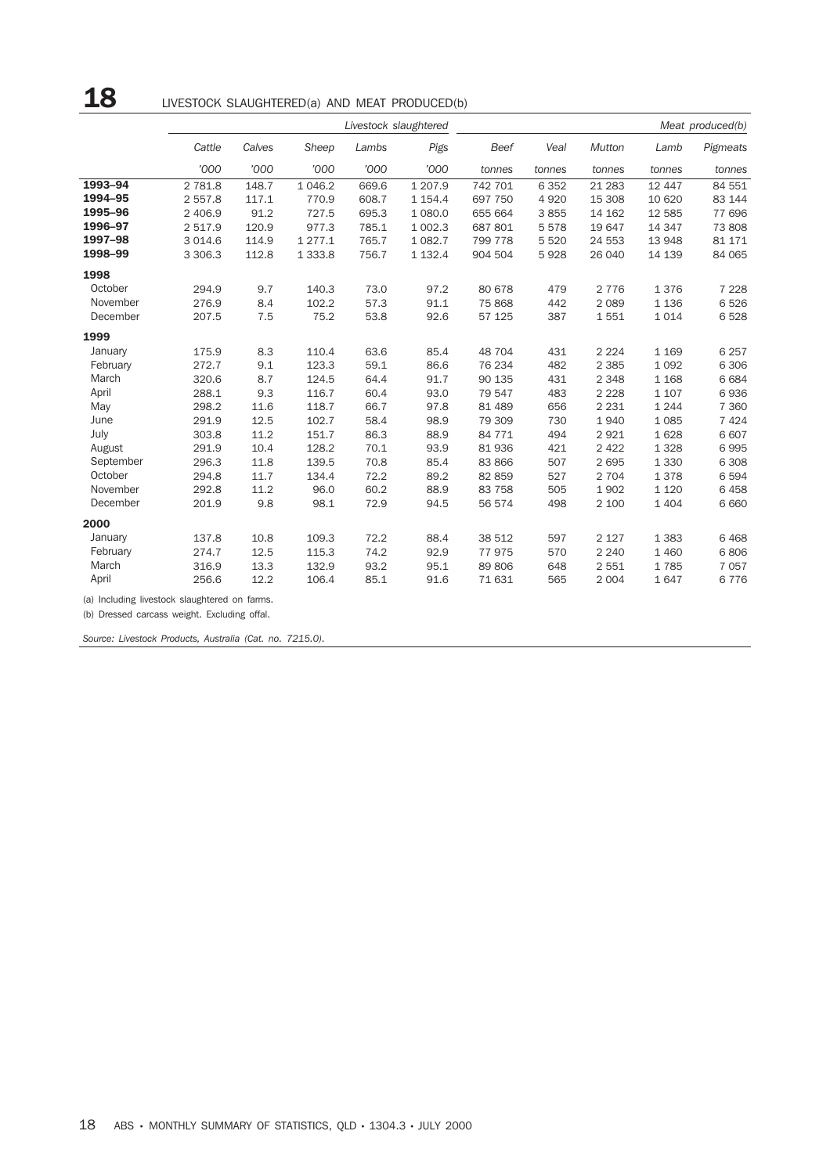# 18 LIVESTOCK SLAUGHTERED(a) AND MEAT PRODUCED(b)

|                                               |           | Livestock slaughtered |             |       |             |         | Meat produced(b) |         |         |          |  |
|-----------------------------------------------|-----------|-----------------------|-------------|-------|-------------|---------|------------------|---------|---------|----------|--|
|                                               | Cattle    | Calves                | Sheep       | Lambs | Pigs        | Beef    | Veal             | Mutton  | Lamb    | Pigmeats |  |
|                                               | '000      | '000                  | '000        | '000  | '000        | tonnes  | tonnes           | tonnes  | tonnes  | tonnes   |  |
| 1993-94                                       | 2 781.8   | 148.7                 | 1 0 4 6.2   | 669.6 | 1 207.9     | 742 701 | 6 3 5 2          | 21 28 3 | 12 447  | 84 551   |  |
| 1994-95                                       | 2 557.8   | 117.1                 | 770.9       | 608.7 | 1 1 5 4 . 4 | 697 750 | 4 9 2 0          | 15 308  | 10 620  | 83 144   |  |
| 1995-96                                       | 2 406.9   | 91.2                  | 727.5       | 695.3 | 1 080.0     | 655 664 | 3855             | 14 162  | 12 5 85 | 77 696   |  |
| 1996-97                                       | 2 517.9   | 120.9                 | 977.3       | 785.1 | 1 002.3     | 687 801 | 5578             | 19 647  | 14 347  | 73 808   |  |
| 1997-98                                       | 3 0 1 4.6 | 114.9                 | 1 2 7 7 . 1 | 765.7 | 1 082.7     | 799 778 | 5 5 20           | 24 553  | 13 948  | 81 171   |  |
| 1998-99                                       | 3 3 0 6.3 | 112.8                 | 1 3 3 3 . 8 | 756.7 | 1 1 3 2.4   | 904 504 | 5928             | 26 040  | 14 139  | 84 065   |  |
| 1998                                          |           |                       |             |       |             |         |                  |         |         |          |  |
| October                                       | 294.9     | 9.7                   | 140.3       | 73.0  | 97.2        | 80 678  | 479              | 2 7 7 6 | 1376    | 7 2 2 8  |  |
| November                                      | 276.9     | 8.4                   | 102.2       | 57.3  | 91.1        | 75 868  | 442              | 2 0 8 9 | 1 1 3 6 | 6526     |  |
| December                                      | 207.5     | 7.5                   | 75.2        | 53.8  | 92.6        | 57 125  | 387              | 1551    | 1014    | 6528     |  |
| 1999                                          |           |                       |             |       |             |         |                  |         |         |          |  |
| January                                       | 175.9     | 8.3                   | 110.4       | 63.6  | 85.4        | 48 704  | 431              | 2 2 2 4 | 1 1 6 9 | 6 2 5 7  |  |
| February                                      | 272.7     | 9.1                   | 123.3       | 59.1  | 86.6        | 76 234  | 482              | 2 3 8 5 | 1 0 9 2 | 6 3 0 6  |  |
| March                                         | 320.6     | 8.7                   | 124.5       | 64.4  | 91.7        | 90 135  | 431              | 2 3 4 8 | 1 1 6 8 | 6 6 8 4  |  |
| April                                         | 288.1     | 9.3                   | 116.7       | 60.4  | 93.0        | 79 547  | 483              | 2 2 2 8 | 1 1 0 7 | 6936     |  |
| May                                           | 298.2     | 11.6                  | 118.7       | 66.7  | 97.8        | 81 489  | 656              | 2 2 3 1 | 1 2 4 4 | 7 3 6 0  |  |
| June                                          | 291.9     | 12.5                  | 102.7       | 58.4  | 98.9        | 79 309  | 730              | 1940    | 1 0 8 5 | 7 4 2 4  |  |
| July                                          | 303.8     | 11.2                  | 151.7       | 86.3  | 88.9        | 84 771  | 494              | 2921    | 1628    | 6 607    |  |
| August                                        | 291.9     | 10.4                  | 128.2       | 70.1  | 93.9        | 81 936  | 421              | 2 4 2 2 | 1 3 2 8 | 6995     |  |
| September                                     | 296.3     | 11.8                  | 139.5       | 70.8  | 85.4        | 83 866  | 507              | 2695    | 1 3 3 0 | 6 3 0 8  |  |
| October                                       | 294.8     | 11.7                  | 134.4       | 72.2  | 89.2        | 82 859  | 527              | 2 7 0 4 | 1378    | 6594     |  |
| November                                      | 292.8     | 11.2                  | 96.0        | 60.2  | 88.9        | 83 758  | 505              | 1902    | 1 1 2 0 | 6458     |  |
| December                                      | 201.9     | 9.8                   | 98.1        | 72.9  | 94.5        | 56 574  | 498              | 2 100   | 1 4 0 4 | 6 6 6 0  |  |
| 2000                                          |           |                       |             |       |             |         |                  |         |         |          |  |
| January                                       | 137.8     | 10.8                  | 109.3       | 72.2  | 88.4        | 38 512  | 597              | 2 1 2 7 | 1 3 8 3 | 6468     |  |
| February                                      | 274.7     | 12.5                  | 115.3       | 74.2  | 92.9        | 77975   | 570              | 2 2 4 0 | 1 4 6 0 | 6806     |  |
| March                                         | 316.9     | 13.3                  | 132.9       | 93.2  | 95.1        | 89 806  | 648              | 2 5 5 1 | 1785    | 7 0 5 7  |  |
| April                                         | 256.6     | 12.2                  | 106.4       | 85.1  | 91.6        | 71 631  | 565              | 2 0 0 4 | 1647    | 6776     |  |
| (a) Including livestock slaughtered on farms. |           |                       |             |       |             |         |                  |         |         |          |  |
| (b) Dressed carcass weight. Excluding offal.  |           |                       |             |       |             |         |                  |         |         |          |  |

*Source: Livestock Products, Australia (Cat. no. 7215.0).*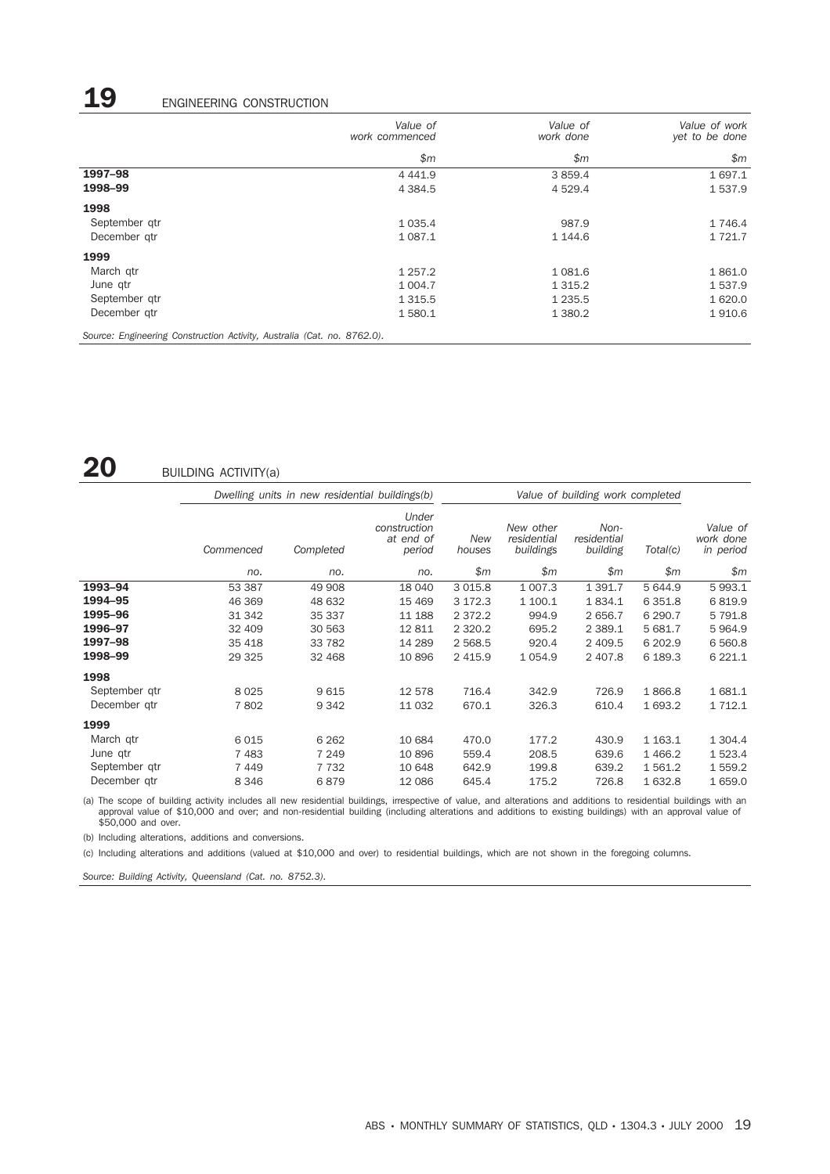# 19 ENGINEERING CONSTRUCTION

|                                                                         | Value of<br>work commenced | Value of<br>work done | Value of work<br>yet to be done |
|-------------------------------------------------------------------------|----------------------------|-----------------------|---------------------------------|
|                                                                         | \$m\$                      | \$m\$                 | \$m\$                           |
| 1997-98                                                                 | 4 4 4 1.9                  | 3 8 5 9.4             | 1 697.1                         |
| 1998-99                                                                 | 4 3 8 4 .5                 | 4 5 2 9.4             | 1537.9                          |
| 1998                                                                    |                            |                       |                                 |
| September gtr                                                           | 1 0 3 5.4                  | 987.9                 | 1 746.4                         |
| December gtr                                                            | 1 0 8 7 . 1                | 1 144.6               | 1 7 2 1 . 7                     |
| 1999                                                                    |                            |                       |                                 |
| March gtr                                                               | 1 2 5 7 . 2                | 1 0 8 1 . 6           | 1861.0                          |
| June qtr                                                                | 1 0 0 4.7                  | 1 3 1 5 . 2           | 1537.9                          |
| September gtr                                                           | 1 3 1 5 .5                 | 1 2 3 5 . 5           | 1 620.0                         |
| December gtr                                                            | 1580.1                     | 1 3 8 0.2             | 1910.6                          |
| Source: Engineering Construction Activity, Australia (Cat. no. 8762.0). |                            |                       |                                 |

## 20 BUILDING ACTIVITY(a)

|               |           | Dwelling units in new residential buildings(b) |                                              |               |                                       | Value of building work completed |             |                                    |
|---------------|-----------|------------------------------------------------|----------------------------------------------|---------------|---------------------------------------|----------------------------------|-------------|------------------------------------|
|               | Commenced | Completed                                      | Under<br>construction<br>at end of<br>period | New<br>houses | New other<br>residential<br>buildings | Non-<br>residential<br>building  | Total(c)    | Value of<br>work done<br>in period |
|               | no.       | no.                                            | no.                                          | \$m\$         | \$m\$                                 | \$m\$                            | \$m\$       | \$m\$                              |
| 1993-94       | 53 387    | 49 908                                         | 18 040                                       | 3 0 1 5.8     | 1 0 0 7.3                             | 1 3 9 1.7                        | 5 644.9     | 5 9 9 3.1                          |
| 1994-95       | 46 369    | 48 632                                         | 15 4 69                                      | 3 172.3       | 1 100.1                               | 1834.1                           | 6 3 5 1.8   | 6819.9                             |
| 1995-96       | 31 342    | 35 337                                         | 11 188                                       | 2 3 7 2 . 2   | 994.9                                 | 2 656.7                          | 6 290.7     | 5 7 9 1.8                          |
| 1996-97       | 32 409    | 30 563                                         | 12 811                                       | 2 3 2 0.2     | 695.2                                 | 2 3 8 9.1                        | 5 681.7     | 5964.9                             |
| 1997-98       | 35 418    | 33 782                                         | 14 289                                       | 2 5 68.5      | 920.4                                 | 2 409.5                          | 6 202.9     | 6 5 6 0.8                          |
| 1998-99       | 29 3 25   | 32 468                                         | 10 896                                       | 2 4 1 5.9     | 1 0 5 4.9                             | 2 407.8                          | 6 189.3     | 6 2 2 1.1                          |
| 1998          |           |                                                |                                              |               |                                       |                                  |             |                                    |
| September qtr | 8025      | 9615                                           | 12 578                                       | 716.4         | 342.9                                 | 726.9                            | 1866.8      | 1 681.1                            |
| December gtr  | 7802      | 9 3 4 2                                        | 11 032                                       | 670.1         | 326.3                                 | 610.4                            | 1 693.2     | 1 7 1 2.1                          |
| 1999          |           |                                                |                                              |               |                                       |                                  |             |                                    |
| March gtr     | 6015      | 6 2 6 2                                        | 10 684                                       | 470.0         | 177.2                                 | 430.9                            | 1 1 6 3 . 1 | 1 3 0 4.4                          |
| June qtr      | 7483      | 7 2 4 9                                        | 10 896                                       | 559.4         | 208.5                                 | 639.6                            | 1 4 6 6.2   | 1 523.4                            |
| September gtr | 7449      | 7 7 3 2                                        | 10 648                                       | 642.9         | 199.8                                 | 639.2                            | 1 5 6 1.2   | 1 559.2                            |
| December gtr  | 8 3 4 6   | 6879                                           | 12 086                                       | 645.4         | 175.2                                 | 726.8                            | 1 632.8     | 1 659.0                            |

(a) The scope of building activity includes all new residential buildings, irrespective of value, and alterations and additions to residential buildings with an<br>approval value of \$10,000 and over; and non-residential build

(b) Including alterations, additions and conversions.

(c) Including alterations and additions (valued at \$10,000 and over) to residential buildings, which are not shown in the foregoing columns.

*Source: Building Activity, Queensland (Cat. no. 8752.3).*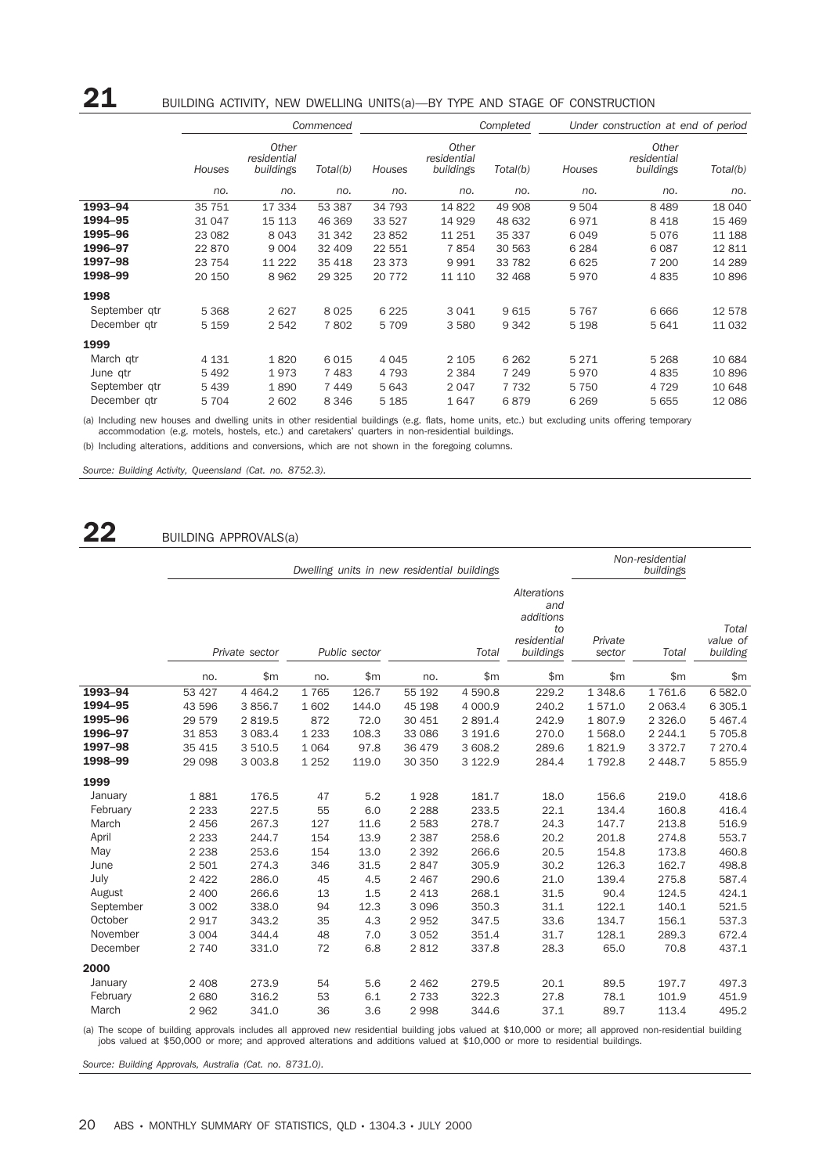|                                                        |                                          |                                   | Commenced                       | Completed                                |                                    |                                       | Under construction at end of period   |                                    |                                     |
|--------------------------------------------------------|------------------------------------------|-----------------------------------|---------------------------------|------------------------------------------|------------------------------------|---------------------------------------|---------------------------------------|------------------------------------|-------------------------------------|
|                                                        | Houses                                   | Other<br>residential<br>buildings | Total(b)                        | Houses                                   | Other<br>residential<br>buildings  | Total(b)                              | Houses                                | Other<br>residential<br>buildings  | Total(b)                            |
|                                                        | no.                                      | no.                               | no.                             | no.                                      | no.                                | no.                                   | no.                                   | no.                                | no.                                 |
| 1993-94                                                | 35 751                                   | 17 334                            | 53 387                          | 34 793                                   | 14 822                             | 49 908                                | 9 5 0 4                               | 8489                               | 18 040                              |
| 1994-95                                                | 31 047                                   | 15 113                            | 46 369                          | 33 527                                   | 14 9 29                            | 48 632                                | 6971                                  | 8418                               | 15 4 69                             |
| 1995-96                                                | 23 082                                   | 8 0 4 3                           | 31 342                          | 23 852                                   | 11 251                             | 35 337                                | 6 0 4 9                               | 5076                               | 11 188                              |
| 1996-97                                                | 22 870                                   | 9 0 0 4                           | 32 409                          | 22 551                                   | 7854                               | 30 563                                | 6 2 8 4                               | 6087                               | 12811                               |
| 1997-98                                                | 23 754                                   | 11 222                            | 35 4 18                         | 23 373                                   | 9991                               | 33 782                                | 6 6 2 5                               | 7 200                              | 14 289                              |
| 1998-99                                                | 20 150                                   | 8 9 6 2                           | 29 3 25                         | 20 772                                   | 11 110                             | 32 468                                | 5970                                  | 4835                               | 10896                               |
| 1998                                                   |                                          |                                   |                                 |                                          |                                    |                                       |                                       |                                    |                                     |
| September gtr                                          | 5 3 6 8                                  | 2627                              | 8 0 2 5                         | 6 2 2 5                                  | 3 0 4 1                            | 9615                                  | 5767                                  | 6666                               | 12 578                              |
| December gtr                                           | 5 1 5 9                                  | 2 5 4 2                           | 7802                            | 5 7 0 9                                  | 3580                               | 9 3 4 2                               | 5 1 9 8                               | 5641                               | 11 0 32                             |
| 1999                                                   |                                          |                                   |                                 |                                          |                                    |                                       |                                       |                                    |                                     |
| March gtr<br>June qtr<br>September gtr<br>December gtr | 4 1 3 1<br>5 4 9 2<br>5 4 3 9<br>5 7 0 4 | 1820<br>1973<br>1890<br>2 602     | 6015<br>7483<br>7449<br>8 3 4 6 | 4 0 4 5<br>4 7 9 3<br>5 6 4 3<br>5 1 8 5 | 2 1 0 5<br>2 3 8 4<br>2047<br>1647 | 6 2 6 2<br>7 2 4 9<br>7 7 3 2<br>6879 | 5 2 7 1<br>5970<br>5 7 5 0<br>6 2 6 9 | 5 2 6 8<br>4835<br>4 7 2 9<br>5655 | 10 684<br>10896<br>10 648<br>12 086 |

(a) Including new houses and dwelling units in other residential buildings (e.g. flats, home units, etc.) but excluding units offering temporary<br>accommodation (e.g. motels, hostels, etc.) and caretakers' quarters in non-re

(b) Including alterations, additions and conversions, which are not shown in the foregoing columns.

*Source: Building Activity, Queensland (Cat. no. 8752.3).*

22 BUILDING APPROVALS(a)

|           |         |                                          |         |                                                                   | Dwelling units in new residential buildings |           |                               | Non-residential |             |           |
|-----------|---------|------------------------------------------|---------|-------------------------------------------------------------------|---------------------------------------------|-----------|-------------------------------|-----------------|-------------|-----------|
|           |         | Private sector<br>Public sector<br>Total |         | Alterations<br>and<br>additions<br>to<br>residential<br>buildings | Private<br>sector                           | Total     | Total<br>value of<br>building |                 |             |           |
|           | no.     | \$m                                      | no.     | \$m                                                               | no.                                         | \$m       | \$m                           | \$m             | \$m\$       | \$m       |
| 1993-94   | 53 427  | 4 4 6 4 .2                               | 1765    | 126.7                                                             | 55 192                                      | 4 590.8   | 229.2                         | 1 3 4 8.6       | 1761.6      | 6 582.0   |
| 1994-95   | 43 596  | 3 8 5 6.7                                | 1 602   | 144.0                                                             | 45 198                                      | 4 000.9   | 240.2                         | 1571.0          | 2 0 6 3.4   | 6 305.1   |
| 1995-96   | 29 579  | 2 8 1 9.5                                | 872     | 72.0                                                              | 30 451                                      | 2 891.4   | 242.9                         | 1807.9          | 2 3 2 6.0   | 5 4 6 7.4 |
| 1996-97   | 31853   | 3 0 8 3 . 4                              | 1 2 3 3 | 108.3                                                             | 33 086                                      | 3 191.6   | 270.0                         | 1568.0          | 2 2 4 4 . 1 | 5 705.8   |
| 1997-98   | 35 4 15 | 3 5 1 0.5                                | 1 0 6 4 | 97.8                                                              | 36 479                                      | 3 608.2   | 289.6                         | 1821.9          | 3 3 7 2.7   | 7 270.4   |
| 1998-99   | 29 0 98 | 3 003.8                                  | 1 2 5 2 | 119.0                                                             | 30 350                                      | 3 1 2 2.9 | 284.4                         | 1 7 9 2.8       | 2 4 4 8.7   | 5 855.9   |
| 1999      |         |                                          |         |                                                                   |                                             |           |                               |                 |             |           |
| January   | 1881    | 176.5                                    | 47      | 5.2                                                               | 1928                                        | 181.7     | 18.0                          | 156.6           | 219.0       | 418.6     |
| February  | 2 2 3 3 | 227.5                                    | 55      | 6.0                                                               | 2 2 8 8                                     | 233.5     | 22.1                          | 134.4           | 160.8       | 416.4     |
| March     | 2 4 5 6 | 267.3                                    | 127     | 11.6                                                              | 2 5 8 3                                     | 278.7     | 24.3                          | 147.7           | 213.8       | 516.9     |
| April     | 2 2 3 3 | 244.7                                    | 154     | 13.9                                                              | 2 3 8 7                                     | 258.6     | 20.2                          | 201.8           | 274.8       | 553.7     |
| May       | 2 2 3 8 | 253.6                                    | 154     | 13.0                                                              | 2 3 9 2                                     | 266.6     | 20.5                          | 154.8           | 173.8       | 460.8     |
| June      | 2 501   | 274.3                                    | 346     | 31.5                                                              | 2847                                        | 305.9     | 30.2                          | 126.3           | 162.7       | 498.8     |
| July      | 2 4 2 2 | 286.0                                    | 45      | 4.5                                                               | 2 4 6 7                                     | 290.6     | 21.0                          | 139.4           | 275.8       | 587.4     |
| August    | 2 400   | 266.6                                    | 13      | 1.5                                                               | 2 4 1 3                                     | 268.1     | 31.5                          | 90.4            | 124.5       | 424.1     |
| September | 3 0 0 2 | 338.0                                    | 94      | 12.3                                                              | 3 0 9 6                                     | 350.3     | 31.1                          | 122.1           | 140.1       | 521.5     |
| October   | 2917    | 343.2                                    | 35      | 4.3                                                               | 2 9 5 2                                     | 347.5     | 33.6                          | 134.7           | 156.1       | 537.3     |
| November  | 3 0 0 4 | 344.4                                    | 48      | 7.0                                                               | 3 0 5 2                                     | 351.4     | 31.7                          | 128.1           | 289.3       | 672.4     |
| December  | 2 7 4 0 | 331.0                                    | 72      | 6.8                                                               | 2 8 1 2                                     | 337.8     | 28.3                          | 65.0            | 70.8        | 437.1     |
| 2000      |         |                                          |         |                                                                   |                                             |           |                               |                 |             |           |
| January   | 2 4 0 8 | 273.9                                    | 54      | 5.6                                                               | 2 4 6 2                                     | 279.5     | 20.1                          | 89.5            | 197.7       | 497.3     |
| February  | 2 6 8 0 | 316.2                                    | 53      | 6.1                                                               | 2 7 3 3                                     | 322.3     | 27.8                          | 78.1            | 101.9       | 451.9     |
| March     | 2 9 6 2 | 341.0                                    | 36      | 3.6                                                               | 2 9 9 8                                     | 344.6     | 37.1                          | 89.7            | 113.4       | 495.2     |

a) The scope of building approvals includes all approved new residential building jobs valued at \$10,000 or more; all approved non-residential building)<br>jobs valued at \$50,000 or more; and approved alterations and addition

*Source: Building Approvals, Australia (Cat. no. 8731.0).*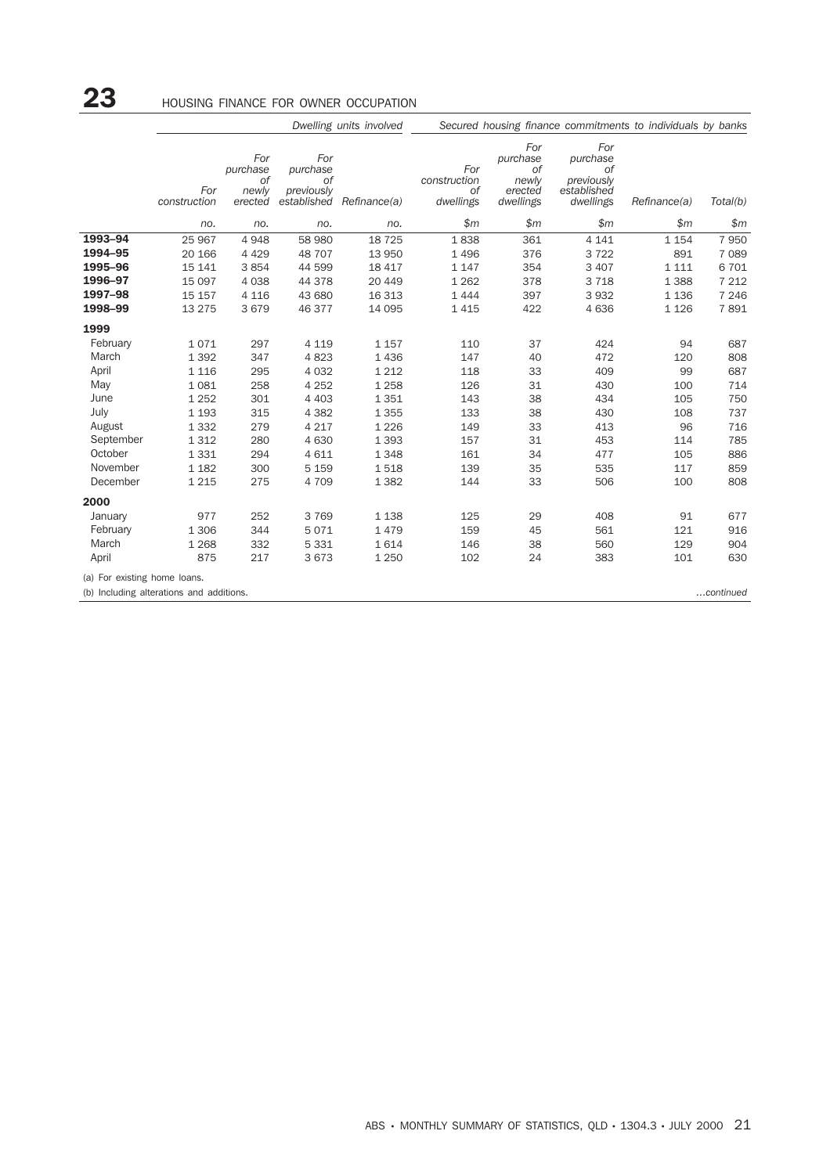# 23 **HOUSING FINANCE FOR OWNER OCCUPATION**

|                              | Dwelling units involved                  |                                           |                                                    |              |                                        | Secured housing finance commitments to individuals by banks |                                                                 |              |           |  |
|------------------------------|------------------------------------------|-------------------------------------------|----------------------------------------------------|--------------|----------------------------------------|-------------------------------------------------------------|-----------------------------------------------------------------|--------------|-----------|--|
|                              | For<br>construction                      | For<br>purchase<br>0f<br>newly<br>erected | For<br>purchase<br>0f<br>previously<br>established | Refinance(a) | For<br>construction<br>0f<br>dwellings | For<br>purchase<br>Οf<br>newly<br>erected<br>dwellings      | For<br>purchase<br>Οf<br>previously<br>established<br>dwellings | Refinance(a) | Total(b)  |  |
|                              | no.                                      | no.                                       | no.                                                | no.          | \$m\$                                  | \$m\$                                                       | \$m\$                                                           | \$m\$        | \$m       |  |
| 1993-94                      | 25 967                                   | 4948                                      | 58 980                                             | 18 7 25      | 1838                                   | 361                                                         | 4 1 4 1                                                         | 1 1 5 4      | 7 9 5 0   |  |
| 1994-95                      | 20 166                                   | 4 4 2 9                                   | 48 707                                             | 13 950       | 1 4 9 6                                | 376                                                         | 3722                                                            | 891          | 7 0 8 9   |  |
| 1995-96                      | 15 141                                   | 3854                                      | 44 599                                             | 18 417       | 1 1 4 7                                | 354                                                         | 3 4 0 7                                                         | 1 1 1 1      | 6 701     |  |
| 1996-97                      | 15 097                                   | 4 0 3 8                                   | 44 378                                             | 20 449       | 1 2 6 2                                | 378                                                         | 3718                                                            | 1 3 8 8      | 7 2 1 2   |  |
| 1997-98                      | 15 157                                   | 4 1 1 6                                   | 43 680                                             | 16 313       | 1 4 4 4                                | 397                                                         | 3 9 3 2                                                         | 1 1 3 6      | 7 2 4 6   |  |
| 1998-99                      | 13 275                                   | 3679                                      | 46 377                                             | 14 095       | 1 4 1 5                                | 422                                                         | 4 6 3 6                                                         | 1 1 2 6      | 7891      |  |
| 1999                         |                                          |                                           |                                                    |              |                                        |                                                             |                                                                 |              |           |  |
| February                     | 1071                                     | 297                                       | 4 1 1 9                                            | 1 1 5 7      | 110                                    | 37                                                          | 424                                                             | 94           | 687       |  |
| March                        | 1 3 9 2                                  | 347                                       | 4823                                               | 1 4 3 6      | 147                                    | 40                                                          | 472                                                             | 120          | 808       |  |
| April                        | 1 1 1 6                                  | 295                                       | 4 0 3 2                                            | 1 2 1 2      | 118                                    | 33                                                          | 409                                                             | 99           | 687       |  |
| May                          | 1 0 8 1                                  | 258                                       | 4 2 5 2                                            | 1 2 5 8      | 126                                    | 31                                                          | 430                                                             | 100          | 714       |  |
| June                         | 1 2 5 2                                  | 301                                       | 4 4 0 3                                            | 1 3 5 1      | 143                                    | 38                                                          | 434                                                             | 105          | 750       |  |
| July                         | 1 1 9 3                                  | 315                                       | 4 3 8 2                                            | 1 3 5 5      | 133                                    | 38                                                          | 430                                                             | 108          | 737       |  |
| August                       | 1 3 3 2                                  | 279                                       | 4 2 1 7                                            | 1 2 2 6      | 149                                    | 33                                                          | 413                                                             | 96           | 716       |  |
| September                    | 1 3 1 2                                  | 280                                       | 4 6 3 0                                            | 1 3 9 3      | 157                                    | 31                                                          | 453                                                             | 114          | 785       |  |
| October                      | 1 3 3 1                                  | 294                                       | 4 6 1 1                                            | 1 3 4 8      | 161                                    | 34                                                          | 477                                                             | 105          | 886       |  |
| November                     | 1 1 8 2                                  | 300                                       | 5 1 5 9                                            | 1518         | 139                                    | 35                                                          | 535                                                             | 117          | 859       |  |
| December                     | 1 2 1 5                                  | 275                                       | 4 709                                              | 1 3 8 2      | 144                                    | 33                                                          | 506                                                             | 100          | 808       |  |
| 2000                         |                                          |                                           |                                                    |              |                                        |                                                             |                                                                 |              |           |  |
| January                      | 977                                      | 252                                       | 3 7 6 9                                            | 1 1 3 8      | 125                                    | 29                                                          | 408                                                             | 91           | 677       |  |
| February                     | 1 3 0 6                                  | 344                                       | 5071                                               | 1 4 7 9      | 159                                    | 45                                                          | 561                                                             | 121          | 916       |  |
| March                        | 1 2 6 8                                  | 332                                       | 5 3 3 1                                            | 1614         | 146                                    | 38                                                          | 560                                                             | 129          | 904       |  |
| April                        | 875                                      | 217                                       | 3673                                               | 1 2 5 0      | 102                                    | 24                                                          | 383                                                             | 101          | 630       |  |
| (a) For existing home loans. |                                          |                                           |                                                    |              |                                        |                                                             |                                                                 |              |           |  |
|                              | (b) Including alterations and additions. |                                           |                                                    |              |                                        |                                                             |                                                                 |              | continued |  |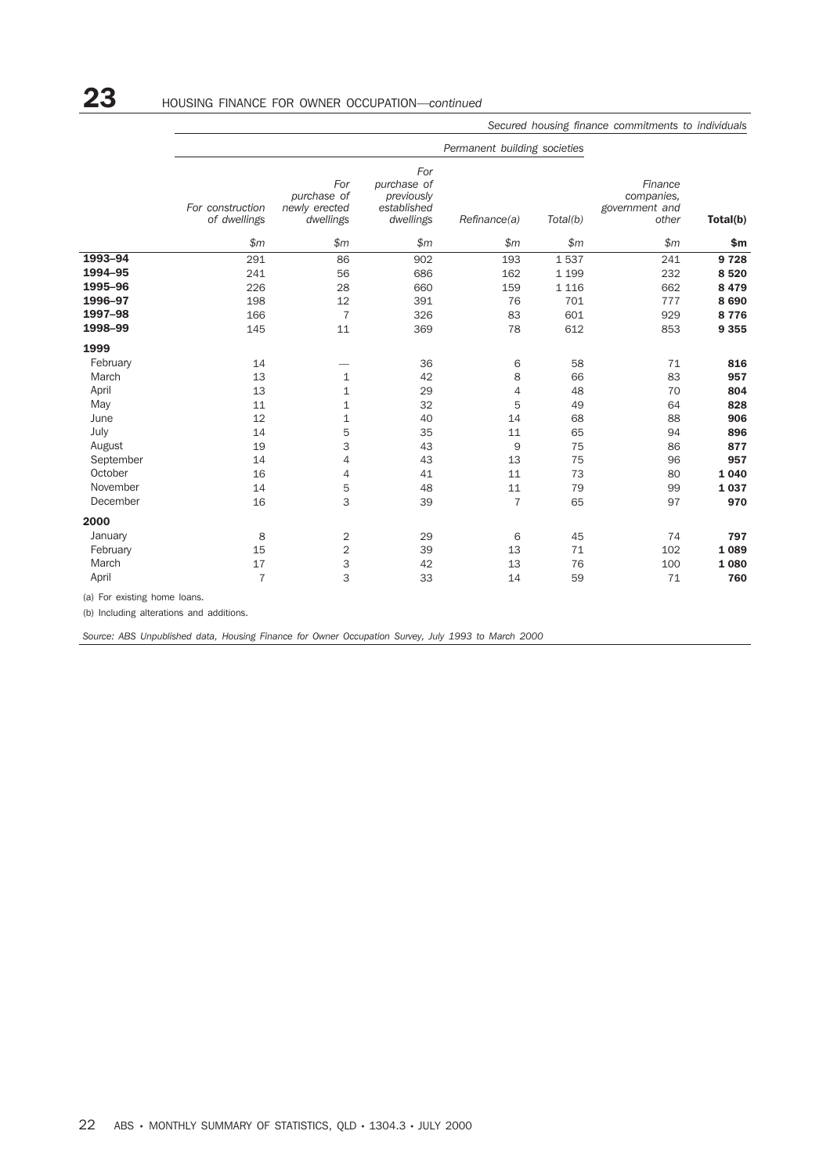## 23 HOUSING FINANCE FOR OWNER OCCUPATION—*continued*

|           | For construction<br>of dwellings | For<br>purchase of<br>newly erected<br>dwellings | For<br>purchase of<br>previously<br>established<br>dwellings | Refinance(a)   | Total(b) | Finance<br>companies,<br>government and<br>other | Total(b) |
|-----------|----------------------------------|--------------------------------------------------|--------------------------------------------------------------|----------------|----------|--------------------------------------------------|----------|
|           | \$m\$                            | \$m\$                                            | \$m\$                                                        | \$m\$          | \$m\$    | \$m                                              | \$m      |
| 1993-94   | 291                              | 86                                               | 902                                                          | 193            | 1537     | 241                                              | 9728     |
| 1994-95   | 241                              | 56                                               | 686                                                          | 162            | 1 1 9 9  | 232                                              | 8520     |
| 1995-96   | 226                              | 28                                               | 660                                                          | 159            | 1 1 1 6  | 662                                              | 8 4 7 9  |
| 1996-97   | 198                              | 12                                               | 391                                                          | 76             | 701      | 777                                              | 8 6 9 0  |
| 1997-98   | 166                              | $\overline{7}$                                   | 326                                                          | 83             | 601      | 929                                              | 8776     |
| 1998-99   | 145                              | 11                                               | 369                                                          | 78             | 612      | 853                                              | 9 3 5 5  |
| 1999      |                                  |                                                  |                                                              |                |          |                                                  |          |
| February  | 14                               |                                                  | 36                                                           | 6              | 58       | 71                                               | 816      |
| March     | 13                               | $\mathbf{1}$                                     | 42                                                           | 8              | 66       | 83                                               | 957      |
| April     | 13                               | 1                                                | 29                                                           | 4              | 48       | 70                                               | 804      |
| May       | 11                               | 1                                                | 32                                                           | 5              | 49       | 64                                               | 828      |
| June      | 12                               | 1                                                | 40                                                           | 14             | 68       | 88                                               | 906      |
| July      | 14                               | 5                                                | 35                                                           | 11             | 65       | 94                                               | 896      |
| August    | 19                               | 3                                                | 43                                                           | 9              | 75       | 86                                               | 877      |
| September | 14                               | 4                                                | 43                                                           | 13             | 75       | 96                                               | 957      |
| October   | 16                               | 4                                                | 41                                                           | 11             | 73       | 80                                               | 1 0 4 0  |
| November  | 14                               | 5                                                | 48                                                           | 11             | 79       | 99                                               | 1037     |
| December  | 16                               | 3                                                | 39                                                           | $\overline{7}$ | 65       | 97                                               | 970      |
| 2000      |                                  |                                                  |                                                              |                |          |                                                  |          |
| January   | 8                                | 2                                                | 29                                                           | 6              | 45       | 74                                               | 797      |
| February  | 15                               | 2                                                | 39                                                           | 13             | 71       | 102                                              | 1 0 8 9  |
| March     | 17                               | 3                                                | 42                                                           | 13             | 76       | 100                                              | 1 0 8 0  |
| April     | $\overline{7}$                   | 3                                                | 33                                                           | 14             | 59       | 71                                               | 760      |

(b) Including alterations and additions.

*Source: ABS Unpublished data, Housing Finance for Owner Occupation Survey, July 1993 to March 2000*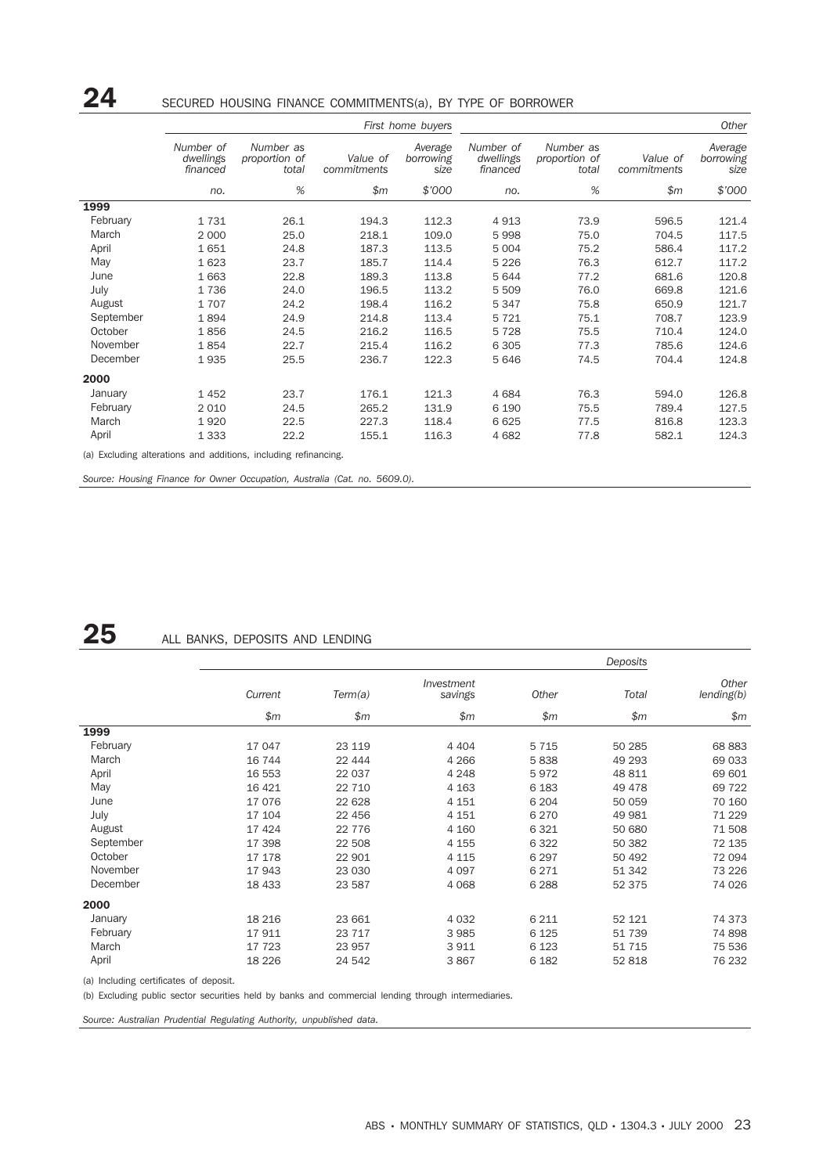## 24 SECURED HOUSING FINANCE COMMITMENTS(a), BY TYPE OF BORROWER

|           |                                    |                                                                 |                         | First home buyers            |                                    |                                     |                         | <b>Other</b>                 |
|-----------|------------------------------------|-----------------------------------------------------------------|-------------------------|------------------------------|------------------------------------|-------------------------------------|-------------------------|------------------------------|
|           | Number of<br>dwellings<br>financed | Number as<br>proportion of<br>total                             | Value of<br>commitments | Average<br>borrowing<br>size | Number of<br>dwellings<br>financed | Number as<br>proportion of<br>total | Value of<br>commitments | Average<br>borrowing<br>size |
|           | no.                                | $\%$                                                            | \$m\$                   | \$'000                       | no.                                | $\%$                                | \$m\$                   | \$7000                       |
| 1999      |                                    |                                                                 |                         |                              |                                    |                                     |                         |                              |
| February  | 1731                               | 26.1                                                            | 194.3                   | 112.3                        | 4913                               | 73.9                                | 596.5                   | 121.4                        |
| March     | 2 0 0 0                            | 25.0                                                            | 218.1                   | 109.0                        | 5998                               | 75.0                                | 704.5                   | 117.5                        |
| April     | 1651                               | 24.8                                                            | 187.3                   | 113.5                        | 5 0 0 4                            | 75.2                                | 586.4                   | 117.2                        |
| May       | 1623                               | 23.7                                                            | 185.7                   | 114.4                        | 5 2 2 6                            | 76.3                                | 612.7                   | 117.2                        |
| June      | 1663                               | 22.8                                                            | 189.3                   | 113.8                        | 5644                               | 77.2                                | 681.6                   | 120.8                        |
| July      | 1736                               | 24.0                                                            | 196.5                   | 113.2                        | 5 509                              | 76.0                                | 669.8                   | 121.6                        |
| August    | 1707                               | 24.2                                                            | 198.4                   | 116.2                        | 5 3 4 7                            | 75.8                                | 650.9                   | 121.7                        |
| September | 1894                               | 24.9                                                            | 214.8                   | 113.4                        | 5 7 2 1                            | 75.1                                | 708.7                   | 123.9                        |
| October   | 1856                               | 24.5                                                            | 216.2                   | 116.5                        | 5728                               | 75.5                                | 710.4                   | 124.0                        |
| November  | 1854                               | 22.7                                                            | 215.4                   | 116.2                        | 6 3 0 5                            | 77.3                                | 785.6                   | 124.6                        |
| December  | 1935                               | 25.5                                                            | 236.7                   | 122.3                        | 5 646                              | 74.5                                | 704.4                   | 124.8                        |
| 2000      |                                    |                                                                 |                         |                              |                                    |                                     |                         |                              |
| January   | 1452                               | 23.7                                                            | 176.1                   | 121.3                        | 4684                               | 76.3                                | 594.0                   | 126.8                        |
| February  | 2 0 1 0                            | 24.5                                                            | 265.2                   | 131.9                        | 6 1 9 0                            | 75.5                                | 789.4                   | 127.5                        |
| March     | 1920                               | 22.5                                                            | 227.3                   | 118.4                        | 6 6 2 5                            | 77.5                                | 816.8                   | 123.3                        |
| April     | 1 3 3 3                            | 22.2                                                            | 155.1                   | 116.3                        | 4 6 8 2                            | 77.8                                | 582.1                   | 124.3                        |
|           |                                    | (a) Excluding alterations and additions, including refinancing. |                         |                              |                                    |                                     |                         |                              |

*Source: Housing Finance for Owner Occupation, Australia (Cat. no. 5609.0).*

## 25 ALL BANKS, DEPOSITS AND LENDING

|           |         |          |                       |         | Deposits |                     |
|-----------|---------|----------|-----------------------|---------|----------|---------------------|
|           | Current | Term(a)  | Investment<br>savings | Other   | Total    | Other<br>lending(b) |
|           | \$m\$   | \$m\$    | \$m\$                 | \$m     | \$m      | \$m\$               |
| 1999      |         |          |                       |         |          |                     |
| February  | 17 047  | 23 119   | 4 4 0 4               | 5 7 1 5 | 50 285   | 68 883              |
| March     | 16 744  | 22 444   | 4 2 6 6               | 5838    | 49 293   | 69 033              |
| April     | 16 553  | 22 037   | 4 2 4 8               | 5972    | 48 811   | 69 601              |
| May       | 16 4 21 | 22 710   | 4 1 6 3               | 6 1 8 3 | 49 4 78  | 69 722              |
| June      | 17076   | 22 628   | 4 1 5 1               | 6 2 0 4 | 50 059   | 70 160              |
| July      | 17 104  | 22 456   | 4 1 5 1               | 6 2 7 0 | 49 981   | 71 229              |
| August    | 17 4 24 | 22 7 7 6 | 4 160                 | 6 3 2 1 | 50 680   | 71 508              |
| September | 17 398  | 22 508   | 4 1 5 5               | 6 3 2 2 | 50 382   | 72 135              |
| October   | 17 178  | 22 901   | 4 1 1 5               | 6 2 9 7 | 50 492   | 72 094              |
| November  | 17943   | 23 030   | 4 0 9 7               | 6 2 7 1 | 51 342   | 73 226              |
| December  | 18 433  | 23 587   | 4 0 6 8               | 6 2 8 8 | 52 375   | 74 026              |
| 2000      |         |          |                       |         |          |                     |
| January   | 18 216  | 23 661   | 4 0 3 2               | 6 2 1 1 | 52 121   | 74 373              |
| February  | 17911   | 23 717   | 3 9 8 5               | 6 1 2 5 | 51 739   | 74 898              |
| March     | 17 723  | 23 957   | 3 9 1 1               | 6 1 2 3 | 51 715   | 75 536              |
| April     | 18 2 26 | 24 542   | 3867                  | 6 1 8 2 | 52 818   | 76 232              |

(a) Including certificates of deposit.

(b) Excluding public sector securities held by banks and commercial lending through intermediaries.

*Source: Australian Prudential Regulating Authority, unpublished data.*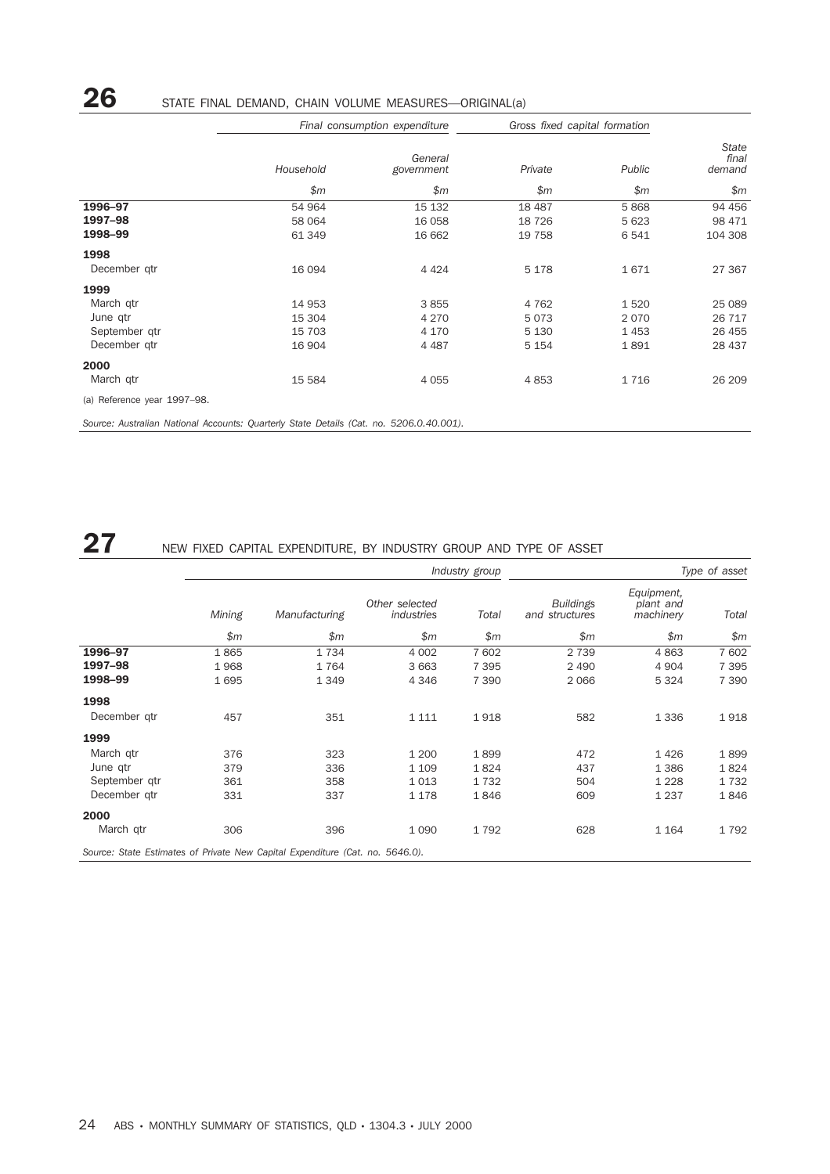|              |           | Final consumption expenditure |         | Gross fixed capital formation |                          |  |
|--------------|-----------|-------------------------------|---------|-------------------------------|--------------------------|--|
|              | Household | General<br>government         | Private | Public                        | State<br>final<br>demand |  |
|              | \$m\$     | \$m                           | \$m\$   | \$m\$                         | \$m                      |  |
| 1996-97      | 54 964    | 15 132                        | 18 4 87 | 5868                          | 94 456                   |  |
| 1997-98      | 58 064    | 16 058                        | 18 7 26 | 5 6 2 3                       | 98 471                   |  |
| 1998-99      | 61 349    | 16 662                        | 19 7 58 | 6 5 4 1                       | 104 308                  |  |
| 1998         |           |                               |         |                               |                          |  |
| December gtr | 16 094    | 4 4 2 4                       | 5 1 7 8 | 1671                          | 27 367                   |  |
| 1999         |           |                               |         |                               |                          |  |
| March gtr    | 14 953    | 3855                          | 4 7 6 2 | 1520                          | 25 089                   |  |

June qtr 15 304 4 270 5 073 2 070 26 717 September qtr 15 703 4 170 5 130 1 453 26 455

March qtr 15 584 4 055 4 853 1 716 26 209

*\$m*

*Source: Australian National Accounts: Quarterly State Details (Cat. no. 5206.0.40.001).*

December qtr

(a) Reference year 1997–98.

2000

## 27 NEW FIXED CAPITAL EXPENDITURE, BY INDUSTRY GROUP AND TYPE OF ASSET

|                                                                               |        |               |                              | Industry group |                                    |                                      | Type of asset |
|-------------------------------------------------------------------------------|--------|---------------|------------------------------|----------------|------------------------------------|--------------------------------------|---------------|
|                                                                               | Mining | Manufacturing | Other selected<br>industries | Total          | <b>Buildings</b><br>and structures | Equipment,<br>plant and<br>machinery | Total         |
|                                                                               | \$m\$  | \$m\$         | \$m\$                        | \$m\$          | \$m                                | \$m\$                                | \$m\$         |
| 1996-97                                                                       | 1865   | 1734          | 4 0 0 2                      | 7 602          | 2 7 3 9                            | 4863                                 | 7 602         |
| 1997-98                                                                       | 1968   | 1764          | 3 6 6 3                      | 7 3 9 5        | 2 4 9 0                            | 4 9 0 4                              | 7 3 9 5       |
| 1998-99                                                                       | 1695   | 1 3 4 9       | 4 3 4 6                      | 7 3 9 0        | 2066                               | 5 3 2 4                              | 7 3 9 0       |
| 1998                                                                          |        |               |                              |                |                                    |                                      |               |
| December gtr                                                                  | 457    | 351           | 1 1 1 1                      | 1918           | 582                                | 1 3 3 6                              | 1918          |
| 1999                                                                          |        |               |                              |                |                                    |                                      |               |
| March gtr                                                                     | 376    | 323           | 1 200                        | 1899           | 472                                | 1426                                 | 1899          |
| June qtr                                                                      | 379    | 336           | 1 1 0 9                      | 1824           | 437                                | 1 3 8 6                              | 1824          |
| September qtr                                                                 | 361    | 358           | 1 0 1 3                      | 1732           | 504                                | 1 2 2 8                              | 1732          |
| December gtr                                                                  | 331    | 337           | 1 1 7 8                      | 1846           | 609                                | 1 2 3 7                              | 1846          |
| 2000                                                                          |        |               |                              |                |                                    |                                      |               |
| March qtr                                                                     | 306    | 396           | 1 0 9 0                      | 1792           | 628                                | 1 1 6 4                              | 1792          |
| Source: State Estimates of Private New Capital Expenditure (Cat. no. 5646.0). |        |               |                              |                |                                    |                                      |               |

## 26 STATE FINAL DEMAND, CHAIN VOLUME MEASURES—ORIGINAL(a)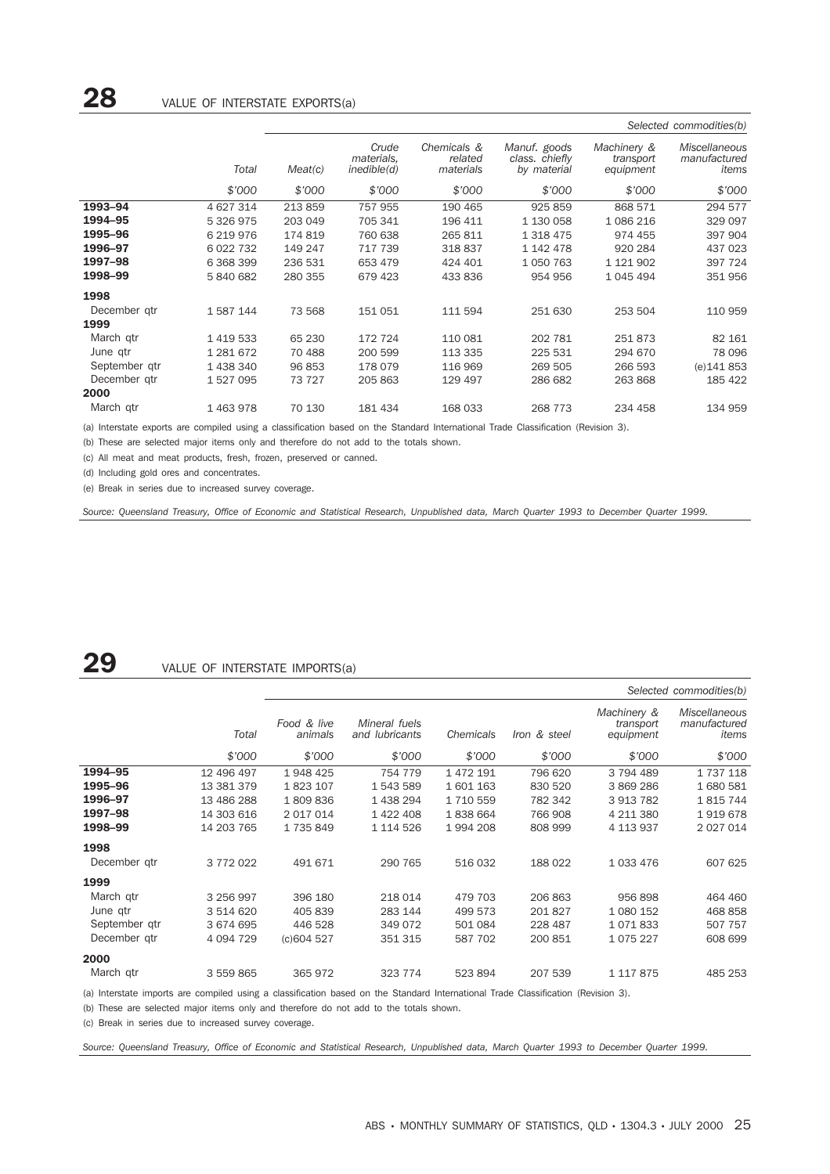|               |           |         |                                    |                                     |                                               |                                       | Selected commodities(b)                |
|---------------|-----------|---------|------------------------------------|-------------------------------------|-----------------------------------------------|---------------------------------------|----------------------------------------|
|               | Total     | Meat(c) | Crude<br>materials,<br>inedible(d) | Chemicals &<br>related<br>materials | Manuf. goods<br>class. chiefly<br>by material | Machinery &<br>transport<br>equipment | Miscellaneous<br>manufactured<br>items |
|               | \$'000    | \$7000  | \$'000                             | \$'000                              | \$'000                                        | \$'000                                | \$'000                                 |
| 1993-94       | 4 627 314 | 213859  | 757 955                            | 190 465                             | 925 859                                       | 868 571                               | 294 577                                |
| 1994-95       | 5 326 975 | 203 049 | 705 341                            | 196 411                             | 1 130 058                                     | 1086216                               | 329 097                                |
| 1995-96       | 6 219 976 | 174 819 | 760 638                            | 265 811                             | 1 318 475                                     | 974 455                               | 397 904                                |
| 1996-97       | 6 022 732 | 149 247 | 717 739                            | 318837                              | 1 142 478                                     | 920 284                               | 437 023                                |
| 1997-98       | 6 368 399 | 236 531 | 653 479                            | 424 401                             | 1 0 5 0 7 6 3                                 | 1 121 902                             | 397 724                                |
| 1998-99       | 5840682   | 280 355 | 679 423                            | 433 836                             | 954 956                                       | 1 045 494                             | 351 956                                |
| 1998          |           |         |                                    |                                     |                                               |                                       |                                        |
| December gtr  | 1587144   | 73 568  | 151 051                            | 111 594                             | 251 630                                       | 253 504                               | 110 959                                |
| 1999          |           |         |                                    |                                     |                                               |                                       |                                        |
| March qtr     | 1 419 533 | 65 230  | 172 724                            | 110 081                             | 202 781                                       | 251873                                | 82 161                                 |
| June qtr      | 1 281 672 | 70 488  | 200 599                            | 113 335                             | 225 531                                       | 294 670                               | 78 096                                 |
| September gtr | 1 438 340 | 96 853  | 178 079                            | 116 969                             | 269 505                                       | 266 593                               | (e) 141 853                            |
| December gtr  | 1527095   | 73 727  | 205 863                            | 129 497                             | 286 682                                       | 263 868                               | 185 422                                |
| 2000          |           |         |                                    |                                     |                                               |                                       |                                        |
| March qtr     | 1463978   | 70 130  | 181 434                            | 168 033                             | 268 773                                       | 234 458                               | 134 959                                |

(a) Interstate exports are compiled using a classification based on the Standard International Trade Classification (Revision 3).

(b) These are selected major items only and therefore do not add to the totals shown.

(c) All meat and meat products, fresh, frozen, preserved or canned.

(d) Including gold ores and concentrates.

(e) Break in series due to increased survey coverage.

*Source: Queensland Treasury, Office of Economic and Statistical Research, Unpublished data, March Quarter 1993 to December Quarter 1999.*

## 29 VALUE OF INTERSTATE IMPORTS(a)

|               |             |                        |                                        |           |              |                                       | Selected commodities(b)                       |
|---------------|-------------|------------------------|----------------------------------------|-----------|--------------|---------------------------------------|-----------------------------------------------|
|               | Total       | Food & live<br>animals | Mineral fuels<br>and <i>lubricants</i> | Chemicals | Iron & steel | Machinery &<br>transport<br>equipment | <b>Miscellaneous</b><br>manufactured<br>items |
|               | \$'000      | \$'000                 | \$7000                                 | \$'000    | \$'000       | \$'000                                | \$7000                                        |
| 1994-95       | 12 496 497  | 1948 425               | 754 779                                | 1 472 191 | 796 620      | 3 794 489                             | 1 737 118                                     |
| 1995-96       | 13 381 379  | 1823 107               | 1 543 589                              | 1601163   | 830 520      | 3 869 286                             | 1680581                                       |
| 1996-97       | 13 486 288  | 1809836                | 1 438 294                              | 1 710 559 | 782 342      | 3 913 782                             | 1815744                                       |
| 1997-98       | 14 303 616  | 2 017 014              | 1 422 408                              | 1838664   | 766 908      | 4 211 380                             | 1919678                                       |
| 1998-99       | 14 203 765  | 1735849                | 1 114 526                              | 1994208   | 808 999      | 4 113 937                             | 2 0 2 7 0 1 4                                 |
| 1998          |             |                        |                                        |           |              |                                       |                                               |
| December gtr  | 3 772 022   | 491 671                | 290 765                                | 516 032   | 188 022      | 1 033 476                             | 607 625                                       |
| 1999          |             |                        |                                        |           |              |                                       |                                               |
| March qtr     | 3 256 997   | 396 180                | 218 014                                | 479 703   | 206 863      | 956 898                               | 464 460                                       |
| June qtr      | 3 514 620   | 405 839                | 283 144                                | 499 573   | 201827       | 1 080 152                             | 468 858                                       |
| September gtr | 3 674 695   | 446 528                | 349 072                                | 501 084   | 228 487      | 1071833                               | 507 757                                       |
| December gtr  | 4 0 94 7 29 | (c)604 527             | 351 315                                | 587 702   | 200 851      | 1 075 227                             | 608 699                                       |
| 2000          |             |                        |                                        |           |              |                                       |                                               |
| March gtr     | 3 559 865   | 365 972                | 323 774                                | 523 894   | 207 539      | 1 117 875                             | 485 253                                       |

(a) Interstate imports are compiled using a classification based on the Standard International Trade Classification (Revision 3).

(b) These are selected major items only and therefore do not add to the totals shown.

(c) Break in series due to increased survey coverage.

*Source: Queensland Treasury, Office of Economic and Statistical Research, Unpublished data, March Quarter 1993 to December Quarter 1999.*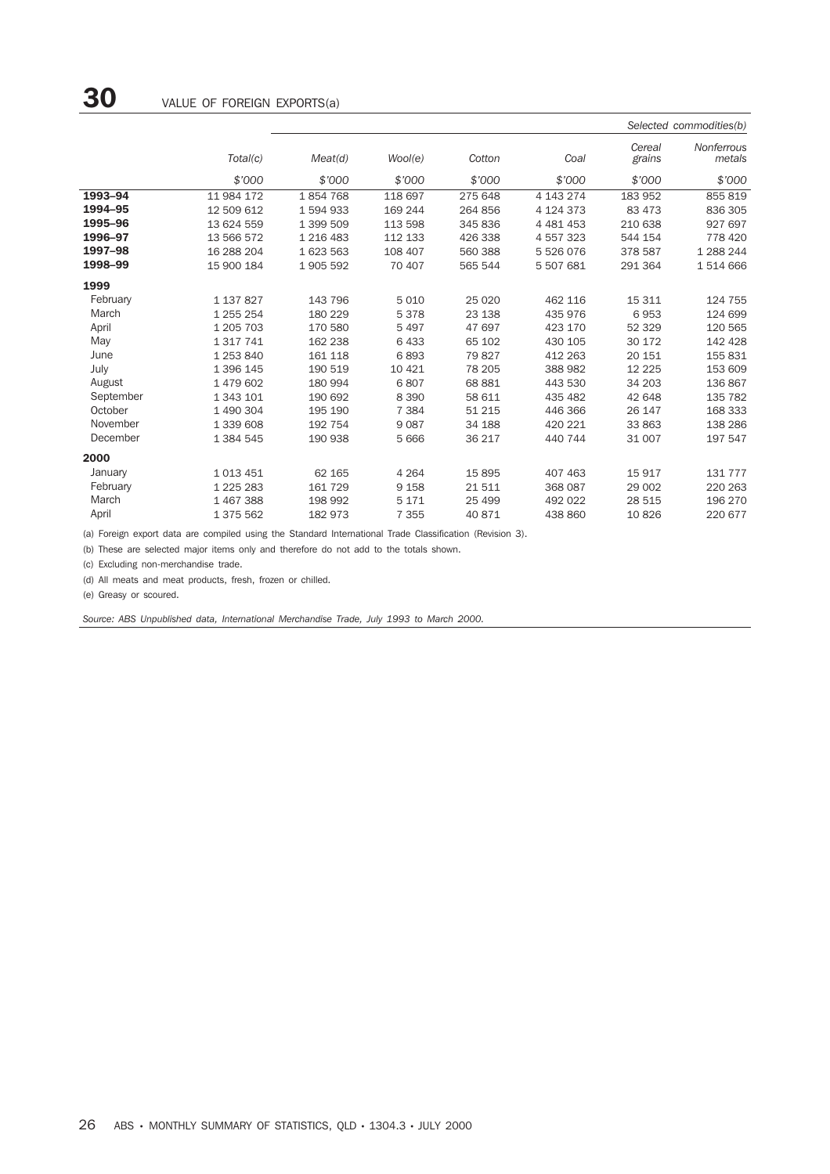|           |               |           |         |          |               |                  | Selected commodities(b)     |
|-----------|---------------|-----------|---------|----------|---------------|------------------|-----------------------------|
|           | Total(c)      | Meat(d)   | Wool(e) | Cotton   | Coal          | Cereal<br>grains | <b>Nonferrous</b><br>metals |
|           | \$'000        | \$'000    | \$'000  | \$'000   | \$'000        | \$'000           | \$7000                      |
| 1993-94   | 11 984 172    | 1854768   | 118 697 | 275 648  | 4 143 274     | 183 952          | 855 819                     |
| 1994-95   | 12 509 612    | 1 594 933 | 169 244 | 264 856  | 4 124 373     | 83 473           | 836 305                     |
| 1995-96   | 13 624 559    | 1 399 509 | 113 598 | 345 836  | 4 4 8 1 4 5 3 | 210 638          | 927 697                     |
| 1996-97   | 13 566 572    | 1 216 483 | 112 133 | 426 338  | 4 5 5 7 3 2 3 | 544 154          | 778 420                     |
| 1997-98   | 16 288 204    | 1 623 563 | 108 407 | 560 388  | 5 526 076     | 378 587          | 1 288 244                   |
| 1998-99   | 15 900 184    | 1 905 592 | 70 407  | 565 544  | 5 507 681     | 291 364          | 1514666                     |
| 1999      |               |           |         |          |               |                  |                             |
| February  | 1 137 827     | 143 796   | 5010    | 25 0 20  | 462 116       | 15 311           | 124 755                     |
| March     | 1 255 254     | 180 229   | 5378    | 23 138   | 435 976       | 6953             | 124 699                     |
| April     | 1 205 703     | 170 580   | 5497    | 47 697   | 423 170       | 52 329           | 120 565                     |
| May       | 1 3 1 7 7 4 1 | 162 238   | 6433    | 65 102   | 430 105       | 30 172           | 142 428                     |
| June      | 1 253 840     | 161 118   | 6893    | 79 827   | 412 263       | 20 151           | 155 831                     |
| July      | 1 396 145     | 190 519   | 10 4 21 | 78 205   | 388 982       | 12 2 2 5         | 153 609                     |
| August    | 1479602       | 180 994   | 6807    | 68 881   | 443 530       | 34 203           | 136 867                     |
| September | 1 343 101     | 190 692   | 8 3 9 0 | 58 611   | 435 482       | 42 648           | 135 782                     |
| October   | 1 490 304     | 195 190   | 7 3 8 4 | 51 215   | 446 366       | 26 147           | 168 333                     |
| November  | 1 339 608     | 192 754   | 9087    | 34 188   | 420 221       | 33 863           | 138 286                     |
| December  | 1 384 545     | 190 938   | 5 6 6 6 | 36 217   | 440 744       | 31 007           | 197 547                     |
| 2000      |               |           |         |          |               |                  |                             |
| January   | 1013451       | 62 165    | 4 2 6 4 | 15 8 95  | 407 463       | 15 917           | 131 777                     |
| February  | 1 2 2 5 2 8 3 | 161 729   | 9 1 5 8 | 21511    | 368 087       | 29 002           | 220 263                     |
| March     | 1467388       | 198 992   | 5 1 7 1 | 25 4 9 9 | 492 022       | 28 515           | 196 270                     |
| April     | 1 375 562     | 182 973   | 7 3 5 5 | 40 871   | 438 860       | 10826            | 220 677                     |

(a) Foreign export data are compiled using the Standard International Trade Classification (Revision 3).

(b) These are selected major items only and therefore do not add to the totals shown.

(c) Excluding non-merchandise trade.

(d) All meats and meat products, fresh, frozen or chilled.

(e) Greasy or scoured.

*Source: ABS Unpublished data, International Merchandise Trade, July 1993 to March 2000.*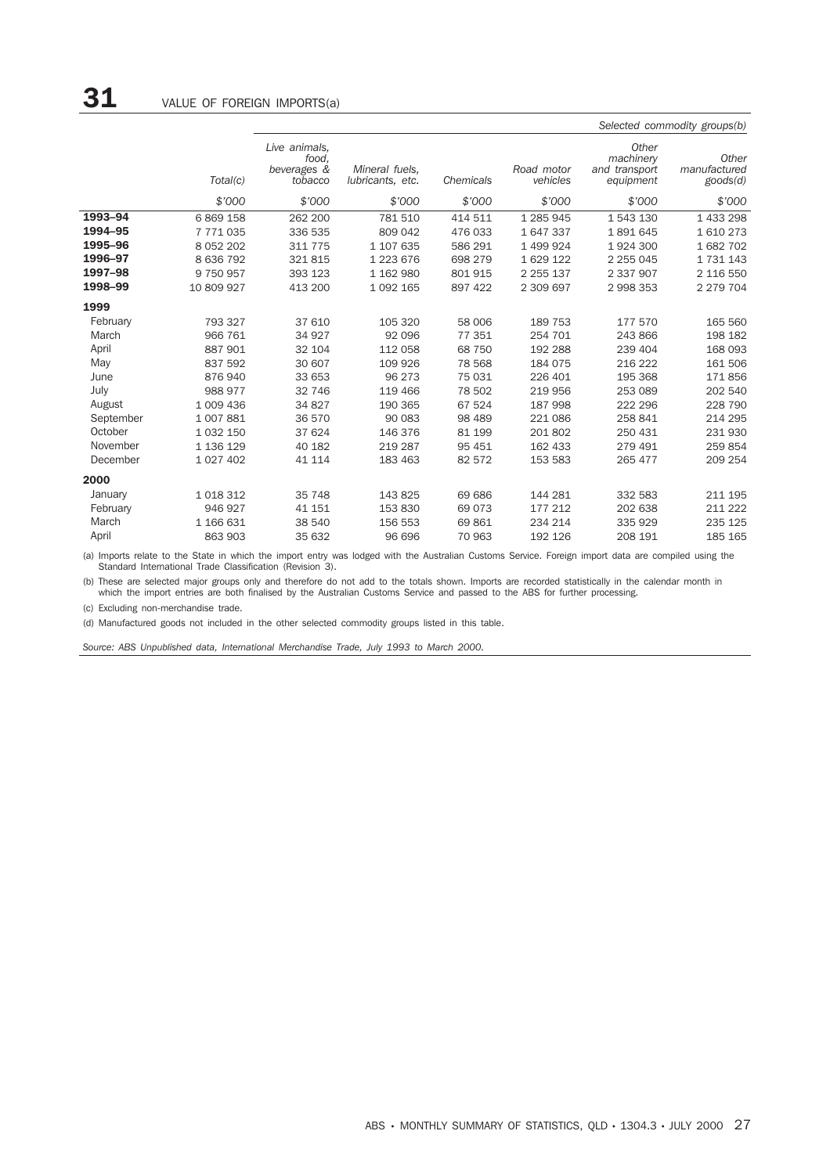|           |               |                                                  |                                    |           |                        |                                                  | Selected commodity groups(b)      |
|-----------|---------------|--------------------------------------------------|------------------------------------|-----------|------------------------|--------------------------------------------------|-----------------------------------|
|           | Total(c)      | Live animals.<br>food.<br>beverages &<br>tobacco | Mineral fuels.<br>lubricants, etc. | Chemicals | Road motor<br>vehicles | Other<br>machinery<br>and transport<br>equipment | Other<br>manufactured<br>goods(d) |
|           | \$'000        | \$'000                                           | \$'000                             | \$'000    | \$'000                 | \$'000                                           | \$'000                            |
| 1993-94   | 6 869 158     | 262 200                                          | 781 510                            | 414 511   | 1 285 945              | 1 543 130                                        | 1 433 298                         |
| 1994-95   | 7771035       | 336 535                                          | 809 042                            | 476 033   | 1 647 337              | 1891645                                          | 1610273                           |
| 1995-96   | 8 0 5 2 2 0 2 | 311 775                                          | 1 107 635                          | 586 291   | 1 499 924              | 1924300                                          | 1 682 702                         |
| 1996-97   | 8 636 792     | 321815                                           | 1 223 676                          | 698 279   | 1 629 122              | 2 2 5 0 4 5                                      | 1 731 143                         |
| 1997-98   | 9 750 957     | 393 123                                          | 1 162 980                          | 801 915   | 2 2 5 1 3 7            | 2 337 907                                        | 2 116 550                         |
| 1998-99   | 10 809 927    | 413 200                                          | 1 0 9 2 1 6 5                      | 897 422   | 2 309 697              | 2 998 353                                        | 2 279 704                         |
| 1999      |               |                                                  |                                    |           |                        |                                                  |                                   |
| February  | 793 327       | 37 610                                           | 105 320                            | 58 006    | 189 753                | 177 570                                          | 165 560                           |
| March     | 966 761       | 34 927                                           | 92 096                             | 77 351    | 254 701                | 243 866                                          | 198 182                           |
| April     | 887 901       | 32 104                                           | 112 058                            | 68 750    | 192 288                | 239 404                                          | 168 093                           |
| May       | 837 592       | 30 607                                           | 109 926                            | 78 568    | 184 075                | 216 222                                          | 161 506                           |
| June      | 876940        | 33 653                                           | 96 273                             | 75 031    | 226 401                | 195 368                                          | 171856                            |
| July      | 988 977       | 32 746                                           | 119 466                            | 78 502    | 219 956                | 253 089                                          | 202 540                           |
| August    | 1 009 436     | 34 827                                           | 190 365                            | 67 524    | 187 998                | 222 296                                          | 228 790                           |
| September | 1 007 881     | 36 570                                           | 90 083                             | 98 489    | 221 086                | 258 841                                          | 214 295                           |
| October   | 1 0 3 2 1 5 0 | 37 624                                           | 146 376                            | 81 199    | 201 802                | 250 431                                          | 231 930                           |
| November  | 1 136 129     | 40 182                                           | 219 287                            | 95 451    | 162 433                | 279 491                                          | 259 854                           |
| December  | 1 027 402     | 41 114                                           | 183 463                            | 82 572    | 153 583                | 265 477                                          | 209 254                           |
| 2000      |               |                                                  |                                    |           |                        |                                                  |                                   |
| January   | 1 0 18 3 12   | 35 748                                           | 143 825                            | 69 686    | 144 281                | 332 583                                          | 211 195                           |
| February  | 946 927       | 41 151                                           | 153 830                            | 69 0 73   | 177 212                | 202 638                                          | 211 222                           |
| March     | 1 166 631     | 38 540                                           | 156 553                            | 69861     | 234 214                | 335 929                                          | 235 125                           |
| April     | 863 903       | 35 632                                           | 96 696                             | 70 963    | 192 126                | 208 191                                          | 185 165                           |

(a) Imports relate to the State in which the import entry was lodged with the Australian Customs Service. Foreign import data are compiled using the Standard International Trade Classification (Revision 3).

(b) These are selected major groups only and therefore do not add to the totals shown. Imports are recorded statistically in the calendar month in<br>which the import entries are both finalised by the Australian Customs Servi

(c) Excluding non-merchandise trade.

(d) Manufactured goods not included in the other selected commodity groups listed in this table.

*Source: ABS Unpublished data, International Merchandise Trade, July 1993 to March 2000.*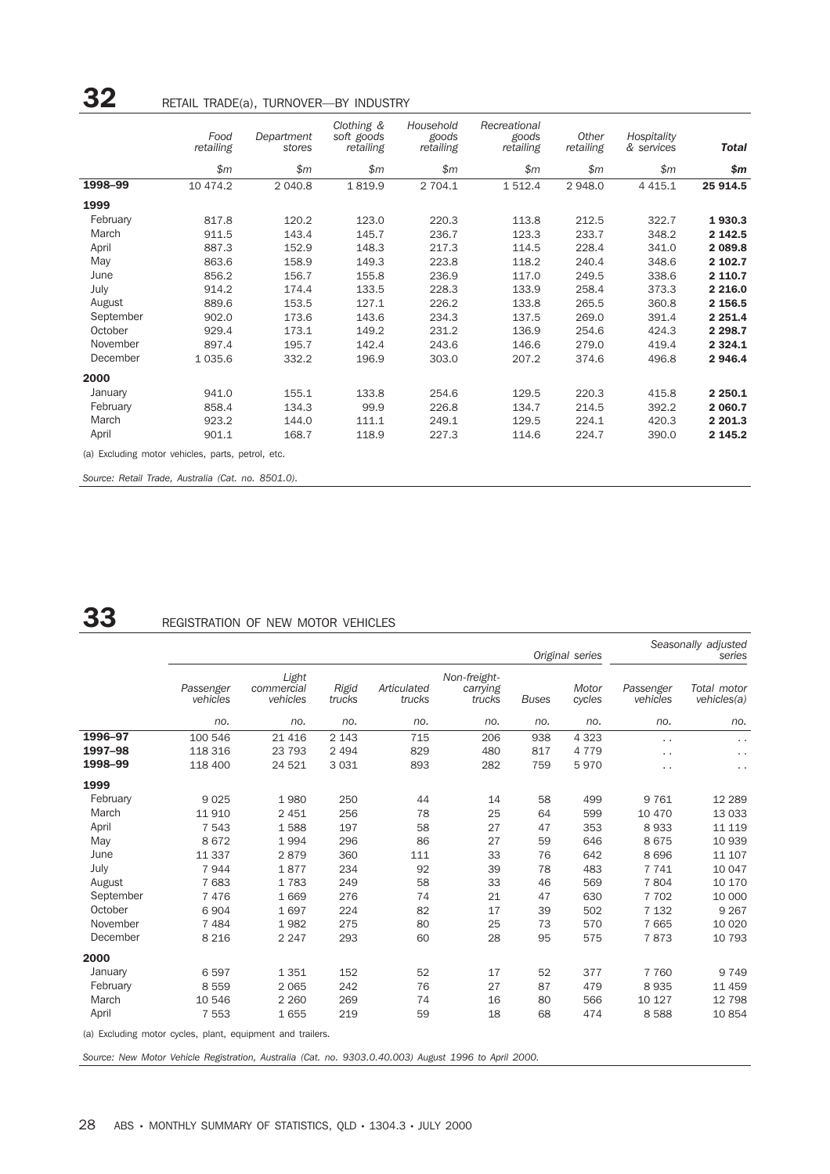|           | Food<br>retailing | Department<br>stores | Clothing &<br>soft goods<br>retailing | Household<br>goods<br>retailing | Recreational<br>goods<br>retailing | Other<br>retailing | Hospitality<br>& services | <b>Total</b> |
|-----------|-------------------|----------------------|---------------------------------------|---------------------------------|------------------------------------|--------------------|---------------------------|--------------|
|           | \$m               | \$m\$                | \$m\$                                 | \$m\$                           | \$m\$                              | \$m\$              | \$m\$                     | \$m          |
| 1998-99   | 10 474.2          | 2 040.8              | 1819.9                                | 2 704.1                         | 1 512.4                            | 2948.0             | 4 4 1 5.1                 | 25 914.5     |
| 1999      |                   |                      |                                       |                                 |                                    |                    |                           |              |
| February  | 817.8             | 120.2                | 123.0                                 | 220.3                           | 113.8                              | 212.5              | 322.7                     | 1930.3       |
| March     | 911.5             | 143.4                | 145.7                                 | 236.7                           | 123.3                              | 233.7              | 348.2                     | 2 142.5      |
| April     | 887.3             | 152.9                | 148.3                                 | 217.3                           | 114.5                              | 228.4              | 341.0                     | 2 089.8      |
| May       | 863.6             | 158.9                | 149.3                                 | 223.8                           | 118.2                              | 240.4              | 348.6                     | 2 102.7      |
| June      | 856.2             | 156.7                | 155.8                                 | 236.9                           | 117.0                              | 249.5              | 338.6                     | 2 110.7      |
| July      | 914.2             | 174.4                | 133.5                                 | 228.3                           | 133.9                              | 258.4              | 373.3                     | 2 2 16.0     |
| August    | 889.6             | 153.5                | 127.1                                 | 226.2                           | 133.8                              | 265.5              | 360.8                     | 2 156.5      |
| September | 902.0             | 173.6                | 143.6                                 | 234.3                           | 137.5                              | 269.0              | 391.4                     | 2 2 5 1.4    |
| October   | 929.4             | 173.1                | 149.2                                 | 231.2                           | 136.9                              | 254.6              | 424.3                     | 2 2 9 8.7    |
| November  | 897.4             | 195.7                | 142.4                                 | 243.6                           | 146.6                              | 279.0              | 419.4                     | 2 3 2 4 . 1  |
| December  | 1 0 3 5.6         | 332.2                | 196.9                                 | 303.0                           | 207.2                              | 374.6              | 496.8                     | 2 946.4      |
| 2000      |                   |                      |                                       |                                 |                                    |                    |                           |              |
| January   | 941.0             | 155.1                | 133.8                                 | 254.6                           | 129.5                              | 220.3              | 415.8                     | 2 2 5 0.1    |
| February  | 858.4             | 134.3                | 99.9                                  | 226.8                           | 134.7                              | 214.5              | 392.2                     | 2 060.7      |
| March     | 923.2             | 144.0                | 111.1                                 | 249.1                           | 129.5                              | 224.1              | 420.3                     | 2 201.3      |
| April     | 901.1             | 168.7                | 118.9                                 | 227.3                           | 114.6                              | 224.7              | 390.0                     | 2 145.2      |

*Source: Retail Trade, Australia (Cat. no. 8501.0).*

## **33** REGISTRATION OF NEW MOTOR VEHICLES

|           | Original series                                            |                                 |                 |                       |                                    |              |                 |                       | Seasonally adjusted<br>series |
|-----------|------------------------------------------------------------|---------------------------------|-----------------|-----------------------|------------------------------------|--------------|-----------------|-----------------------|-------------------------------|
|           | Passenger<br>vehicles                                      | Light<br>commercial<br>vehicles | Rigid<br>trucks | Articulated<br>trucks | Non-freight-<br>carrying<br>trucks | <b>Buses</b> | Motor<br>cycles | Passenger<br>vehicles | Total motor<br>vehicles(a)    |
|           | no.                                                        | no.                             | no.             | no.                   | no.                                | no.          | no.             | no.                   | no.                           |
| 1996-97   | 100 546                                                    | 21 4 16                         | 2 1 4 3         | 715                   | 206                                | 938          | 4 3 2 3         | $\ddot{\phantom{0}}$  | $\sim$ $\sim$                 |
| 1997-98   | 118 316                                                    | 23 793                          | 2 4 9 4         | 829                   | 480                                | 817          | 4 7 7 9         | $\cdot$ .             | $\ddot{\phantom{0}}$          |
| 1998-99   | 118 400                                                    | 24 5 21                         | 3 0 3 1         | 893                   | 282                                | 759          | 5970            | . .                   | $\ddot{\phantom{1}}$ .        |
| 1999      |                                                            |                                 |                 |                       |                                    |              |                 |                       |                               |
| February  | 9025                                                       | 1980                            | 250             | 44                    | 14                                 | 58           | 499             | 9761                  | 12 2 8 9                      |
| March     | 11910                                                      | 2 4 5 1                         | 256             | 78                    | 25                                 | 64           | 599             | 10 470                | 13 0 33                       |
| April     | 7 5 4 3                                                    | 1588                            | 197             | 58                    | 27                                 | 47           | 353             | 8933                  | 11 119                        |
| May       | 8672                                                       | 1994                            | 296             | 86                    | 27                                 | 59           | 646             | 8675                  | 10 939                        |
| June      | 11 337                                                     | 2879                            | 360             | 111                   | 33                                 | 76           | 642             | 8696                  | 11 107                        |
| July      | 7944                                                       | 1877                            | 234             | 92                    | 39                                 | 78           | 483             | 7741                  | 10 047                        |
| August    | 7 683                                                      | 1783                            | 249             | 58                    | 33                                 | 46           | 569             | 7804                  | 10 170                        |
| September | 7476                                                       | 1669                            | 276             | 74                    | 21                                 | 47           | 630             | 7 7 0 2               | 10 000                        |
| October   | 6 9 0 4                                                    | 1697                            | 224             | 82                    | 17                                 | 39           | 502             | 7 1 3 2               | 9 2 6 7                       |
| November  | 7 4 8 4                                                    | 1982                            | 275             | 80                    | 25                                 | 73           | 570             | 7665                  | 10 0 20                       |
| December  | 8 2 1 6                                                    | 2 2 4 7                         | 293             | 60                    | 28                                 | 95           | 575             | 7873                  | 10 793                        |
| 2000      |                                                            |                                 |                 |                       |                                    |              |                 |                       |                               |
| January   | 6597                                                       | 1 3 5 1                         | 152             | 52                    | 17                                 | 52           | 377             | 7 7 6 0               | 9 7 4 9                       |
| February  | 8 5 5 9                                                    | 2 0 6 5                         | 242             | 76                    | 27                                 | 87           | 479             | 8935                  | 11 459                        |
| March     | 10 546                                                     | 2 2 6 0                         | 269             | 74                    | 16                                 | 80           | 566             | 10 127                | 12 798                        |
| April     | 7 5 5 3                                                    | 1655                            | 219             | 59                    | 18                                 | 68           | 474             | 8588                  | 10854                         |
|           | (a) Excluding motor cycles, plant, equipment and trailers. |                                 |                 |                       |                                    |              |                 |                       |                               |

*Source: New Motor Vehicle Registration, Australia (Cat. no. 9303.0.40.003) August 1996 to April 2000.*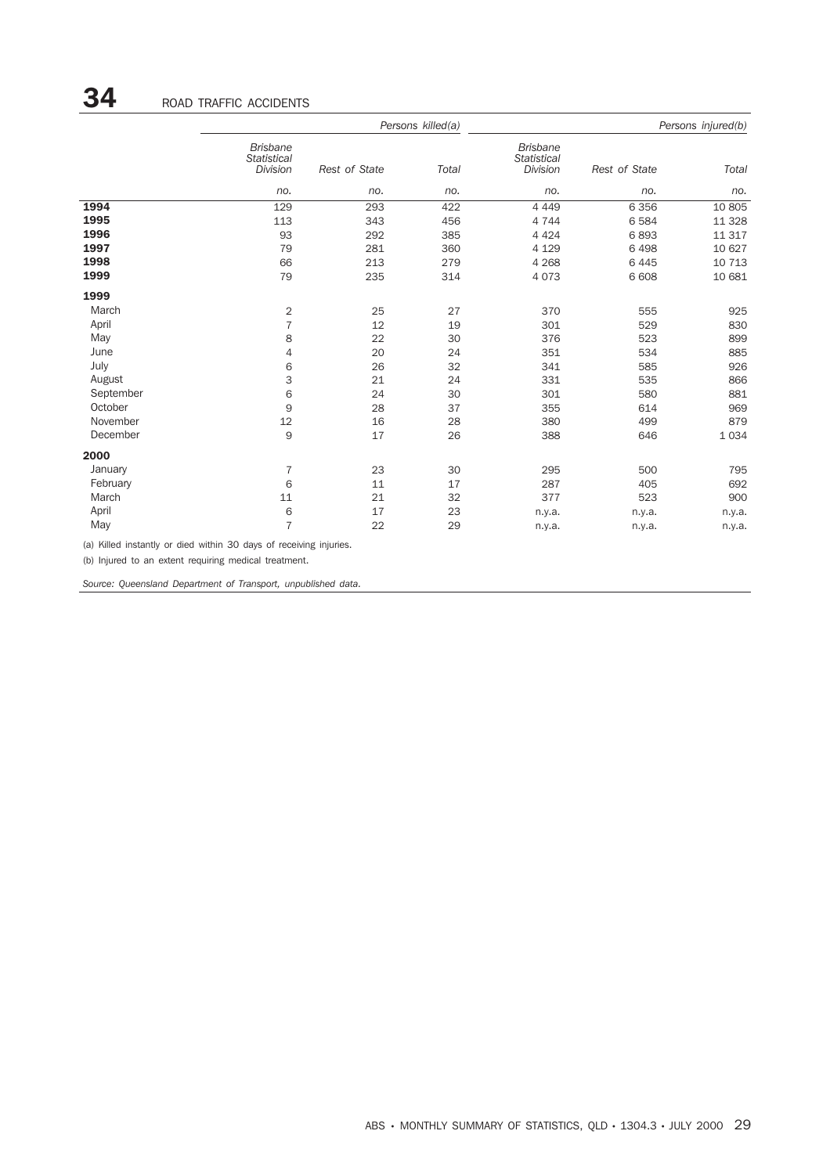|           |                                                   |               | Persons killed(a) | Persons injured(b)                                |               |              |
|-----------|---------------------------------------------------|---------------|-------------------|---------------------------------------------------|---------------|--------------|
|           | <b>Brisbane</b><br><b>Statistical</b><br>Division | Rest of State | Total             | <b>Brisbane</b><br><b>Statistical</b><br>Division | Rest of State | <b>Total</b> |
|           | no.                                               | no.           | no.               | no.                                               | no.           | no.          |
| 1994      | 129                                               | 293           | 422               | 4 4 4 9                                           | 6 3 5 6       | 10 805       |
| 1995      | 113                                               | 343           | 456               | 4 7 4 4                                           | 6 5 8 4       | 11 3 28      |
| 1996      | 93                                                | 292           | 385               | 4 4 2 4                                           | 6893          | 11 317       |
| 1997      | 79                                                | 281           | 360               | 4 1 2 9                                           | 6 4 9 8       | 10 627       |
| 1998      | 66                                                | 213           | 279               | 4 2 6 8                                           | 6 4 4 5       | 10 713       |
| 1999      | 79                                                | 235           | 314               | 4 0 7 3                                           | 6 608         | 10 681       |
| 1999      |                                                   |               |                   |                                                   |               |              |
| March     | $\overline{2}$                                    | 25            | 27                | 370                                               | 555           | 925          |
| April     | $\overline{7}$                                    | 12            | 19                | 301                                               | 529           | 830          |
| May       | 8                                                 | 22            | 30                | 376                                               | 523           | 899          |
| June      | 4                                                 | 20            | 24                | 351                                               | 534           | 885          |
| July      | 6                                                 | 26            | 32                | 341                                               | 585           | 926          |
| August    | 3                                                 | 21            | 24                | 331                                               | 535           | 866          |
| September | 6                                                 | 24            | 30                | 301                                               | 580           | 881          |
| October   | 9                                                 | 28            | 37                | 355                                               | 614           | 969          |
| November  | 12                                                | 16            | 28                | 380                                               | 499           | 879          |
| December  | 9                                                 | 17            | 26                | 388                                               | 646           | 1034         |
| 2000      |                                                   |               |                   |                                                   |               |              |
| January   | $\overline{7}$                                    | 23            | 30                | 295                                               | 500           | 795          |
| February  | 6                                                 | 11            | 17                | 287                                               | 405           | 692          |
| March     | 11                                                | 21            | 32                | 377                                               | 523           | 900          |
| April     | 6                                                 | 17            | 23                | n.y.a.                                            | n.y.a.        | n.y.a.       |
| May       | $\overline{7}$                                    | 22            | 29                | n.y.a.                                            | n.y.a.        | n.y.a.       |

(a) Killed instantly or died within 30 days of receiving injuries.

(b) Injured to an extent requiring medical treatment.

*Source: Queensland Department of Transport, unpublished data.*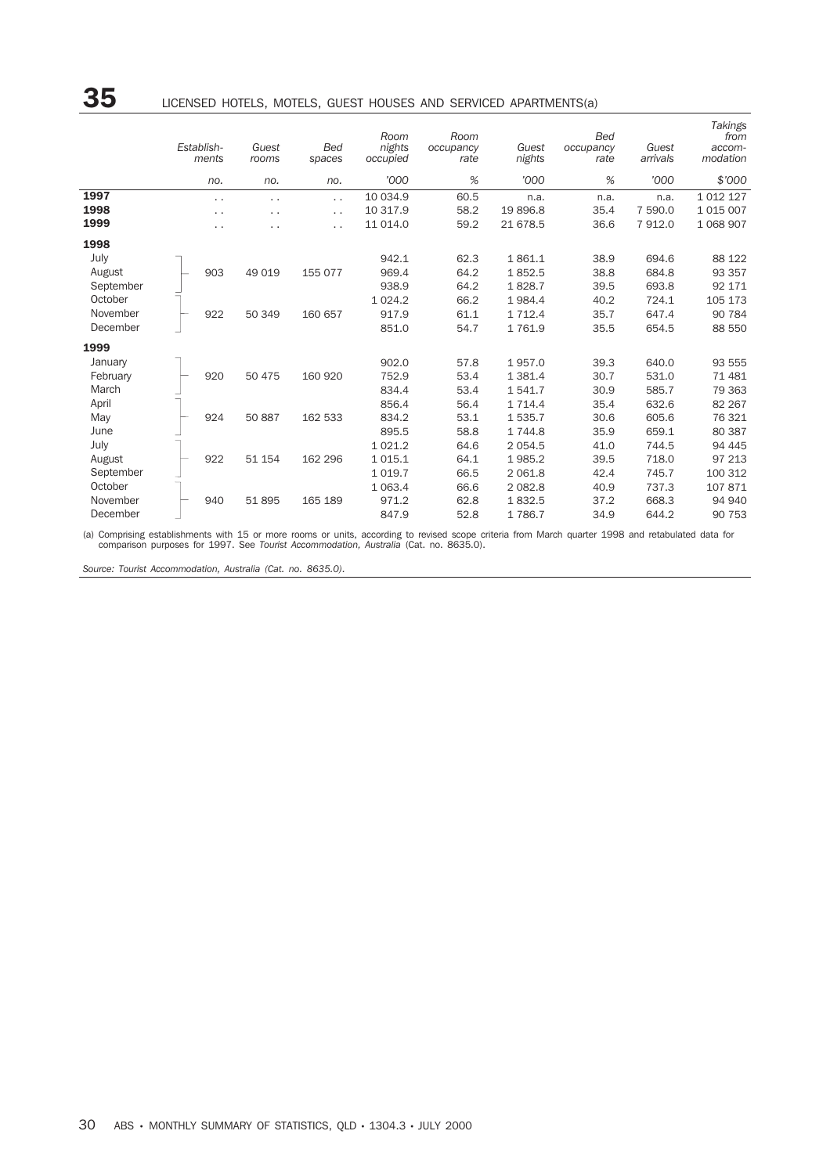|           | Establish-<br>ments  | Guest<br>rooms | <b>Bed</b><br>spaces | Room<br>nights<br>occupied | Room<br>occupancy<br>rate | Guest<br>nights | <b>Bed</b><br>occupancy<br>rate | Guest<br>arrivals | Takings<br>from<br>accom-<br>modation |
|-----------|----------------------|----------------|----------------------|----------------------------|---------------------------|-----------------|---------------------------------|-------------------|---------------------------------------|
|           | no.                  | no.            | no.                  | '000                       | $\%$                      | '000            | %                               | '000              | \$7000                                |
| 1997      | $\ddot{\phantom{0}}$ | $\cdot$ .      | $\ddot{\phantom{0}}$ | 10 034.9                   | 60.5                      | n.a.            | n.a.                            | n.a.              | 1 0 1 2 1 2 7                         |
| 1998      | $\ddot{\phantom{0}}$ | . .            | $\ddot{\phantom{0}}$ | 10 317.9                   | 58.2                      | 19896.8         | 35.4                            | 7 590.0           | 1 0 1 5 0 0 7                         |
| 1999      | $\ddot{\phantom{1}}$ | . .            | $\cdot$ .            | 11 014.0                   | 59.2                      | 21 678.5        | 36.6                            | 7912.0            | 1 0 68 9 0 7                          |
| 1998      |                      |                |                      |                            |                           |                 |                                 |                   |                                       |
| July      |                      |                |                      | 942.1                      | 62.3                      | 1861.1          | 38.9                            | 694.6             | 88 122                                |
| August    | 903                  | 49 019         | 155 077              | 969.4                      | 64.2                      | 1852.5          | 38.8                            | 684.8             | 93 357                                |
| September |                      |                |                      | 938.9                      | 64.2                      | 1828.7          | 39.5                            | 693.8             | 92 171                                |
| October   |                      |                |                      | 1 0 24.2                   | 66.2                      | 1984.4          | 40.2                            | 724.1             | 105 173                               |
| November  | 922                  | 50 349         | 160 657              | 917.9                      | 61.1                      | 1 7 1 2.4       | 35.7                            | 647.4             | 90 784                                |
| December  |                      |                |                      | 851.0                      | 54.7                      | 1761.9          | 35.5                            | 654.5             | 88 550                                |
| 1999      |                      |                |                      |                            |                           |                 |                                 |                   |                                       |
| January   |                      |                |                      | 902.0                      | 57.8                      | 1957.0          | 39.3                            | 640.0             | 93 555                                |
| February  | 920                  | 50 475         | 160 920              | 752.9                      | 53.4                      | 1 3 8 1.4       | 30.7                            | 531.0             | 71 481                                |
| March     |                      |                |                      | 834.4                      | 53.4                      | 1541.7          | 30.9                            | 585.7             | 79 363                                |
| April     |                      |                |                      | 856.4                      | 56.4                      | 1 7 1 4.4       | 35.4                            | 632.6             | 82 267                                |
| May       | 924                  | 50 887         | 162 533              | 834.2                      | 53.1                      | 1535.7          | 30.6                            | 605.6             | 76 321                                |
| June      |                      |                |                      | 895.5                      | 58.8                      | 1744.8          | 35.9                            | 659.1             | 80 387                                |
| July      |                      |                |                      | 1 0 2 1 . 2                | 64.6                      | 2054.5          | 41.0                            | 744.5             | 94 445                                |
| August    | 922                  | 51 154         | 162 296              | 1 0 1 5 . 1                | 64.1                      | 1985.2          | 39.5                            | 718.0             | 97 213                                |
| September |                      |                |                      | 1 0 1 9.7                  | 66.5                      | 2 0 6 1.8       | 42.4                            | 745.7             | 100 312                               |
| October   |                      |                |                      | 1 0 6 3.4                  | 66.6                      | 2 0 8 2.8       | 40.9                            | 737.3             | 107871                                |
| November  | 940                  | 51895          | 165 189              | 971.2                      | 62.8                      | 1832.5          | 37.2                            | 668.3             | 94 940                                |
| December  |                      |                |                      | 847.9                      | 52.8                      | 1786.7          | 34.9                            | 644.2             | 90 753                                |

(a) Comprising establishments with 15 or more rooms or units, according to revised scope criteria from March quarter 1998 and retabulated data for<br>comparison purposes for 1997. See Tourist Accommodation, Australia (Cat. no

*Source: Tourist Accommodation, Australia (Cat. no. 8635.0).*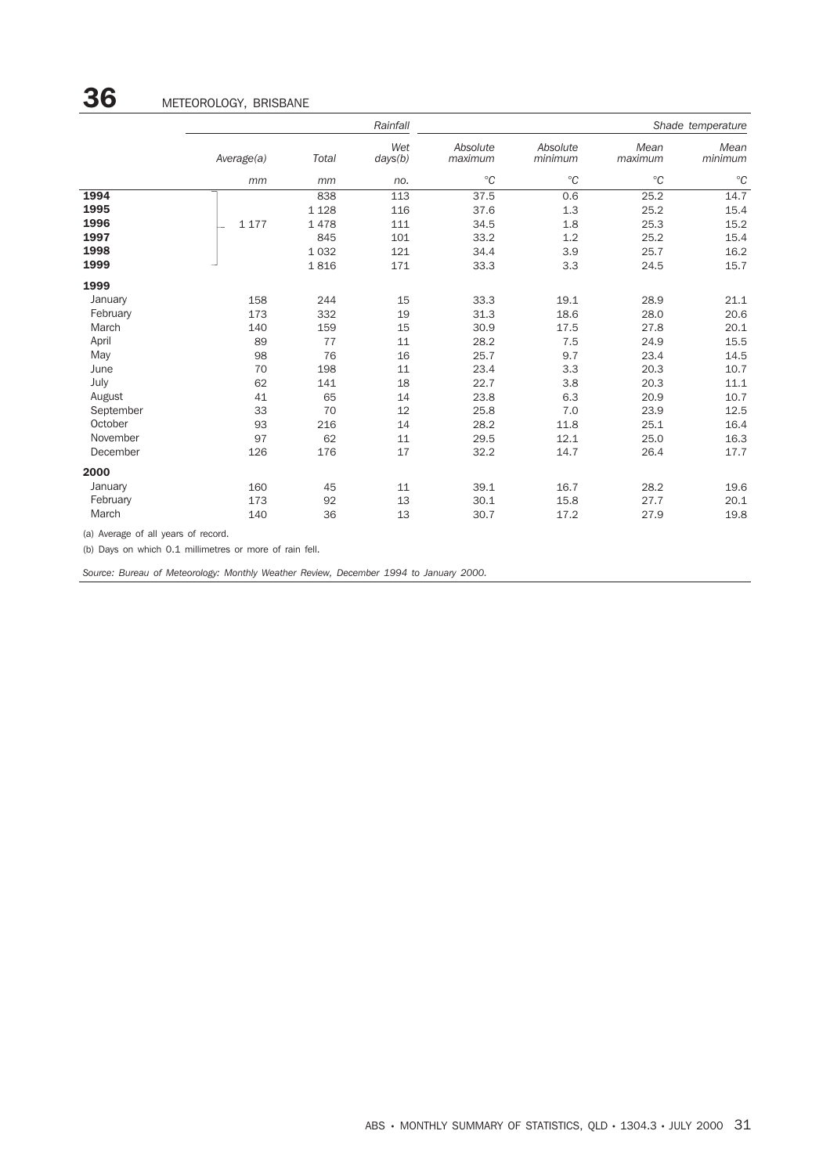|           |            |         | Rainfall       | Shade temperature   |                     |                 |                 |  |
|-----------|------------|---------|----------------|---------------------|---------------------|-----------------|-----------------|--|
|           | Average(a) | Total   | Wet<br>days(b) | Absolute<br>maximum | Absolute<br>minimum | Mean<br>maximum | Mean<br>minimum |  |
|           | mm         | mm      | no.            | $^{\circ}C$         | $^{\circ}C$         | $^{\circ}C$     | $^{\circ}C$     |  |
| 1994      |            | 838     | 113            | 37.5                | 0.6                 | 25.2            | 14.7            |  |
| 1995      |            | 1 1 2 8 | 116            | 37.6                | 1.3                 | 25.2            | 15.4            |  |
| 1996      | 1 1 7 7    | 1478    | 111            | 34.5                | 1.8                 | 25.3            | 15.2            |  |
| 1997      |            | 845     | 101            | 33.2                | 1.2                 | 25.2            | 15.4            |  |
| 1998      |            | 1 0 3 2 | 121            | 34.4                | 3.9                 | 25.7            | 16.2            |  |
| 1999      |            | 1816    | 171            | 33.3                | 3.3                 | 24.5            | 15.7            |  |
| 1999      |            |         |                |                     |                     |                 |                 |  |
| January   | 158        | 244     | 15             | 33.3                | 19.1                | 28.9            | 21.1            |  |
| February  | 173        | 332     | 19             | 31.3                | 18.6                | 28.0            | 20.6            |  |
| March     | 140        | 159     | 15             | 30.9                | 17.5                | 27.8            | 20.1            |  |
| April     | 89         | 77      | 11             | 28.2                | 7.5                 | 24.9            | 15.5            |  |
| May       | 98         | 76      | 16             | 25.7                | 9.7                 | 23.4            | 14.5            |  |
| June      | 70         | 198     | 11             | 23.4                | 3.3                 | 20.3            | 10.7            |  |
| July      | 62         | 141     | 18             | 22.7                | 3.8                 | 20.3            | 11.1            |  |
| August    | 41         | 65      | 14             | 23.8                | 6.3                 | 20.9            | 10.7            |  |
| September | 33         | 70      | 12             | 25.8                | 7.0                 | 23.9            | 12.5            |  |
| October   | 93         | 216     | 14             | 28.2                | 11.8                | 25.1            | 16.4            |  |
| November  | 97         | 62      | 11             | 29.5                | 12.1                | 25.0            | 16.3            |  |
| December  | 126        | 176     | 17             | 32.2                | 14.7                | 26.4            | 17.7            |  |
| 2000      |            |         |                |                     |                     |                 |                 |  |
| January   | 160        | 45      | 11             | 39.1                | 16.7                | 28.2            | 19.6            |  |
| February  | 173        | 92      | 13             | 30.1                | 15.8                | 27.7            | 20.1            |  |
| March     | 140        | 36      | 13             | 30.7                | 17.2                | 27.9            | 19.8            |  |

(a) Average of all years of record.

(b) Days on which 0.1 millimetres or more of rain fell.

*Source: Bureau of Meteorology: Monthly Weather Review, December 1994 to January 2000.*